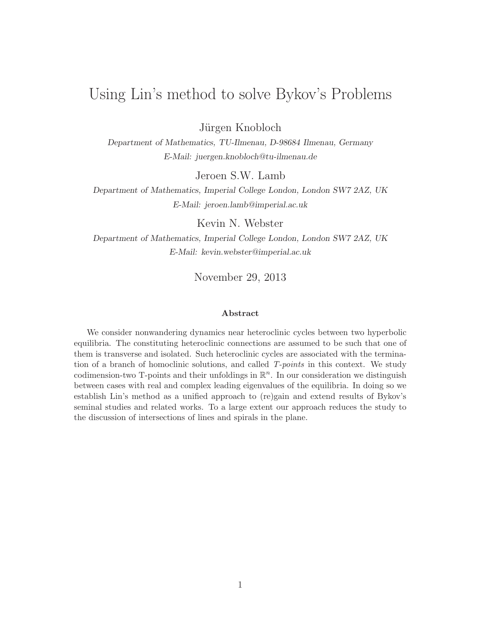# Using Lin's method to solve Bykov's Problems

Jürgen Knobloch

Department of Mathematics, TU-Ilmenau, D-98684 Ilmenau, Germany E-Mail: juergen.knobloch@tu-ilmenau.de

Jeroen S.W. Lamb

Department of Mathematics, Imperial College London, London SW7 2AZ, UK E-Mail: jeroen.lamb@imperial.ac.uk

Kevin N. Webster

Department of Mathematics, Imperial College London, London SW7 2AZ, UK E-Mail: kevin.webster@imperial.ac.uk

November 29, 2013

#### Abstract

We consider nonwandering dynamics near heteroclinic cycles between two hyperbolic equilibria. The constituting heteroclinic connections are assumed to be such that one of them is transverse and isolated. Such heteroclinic cycles are associated with the termination of a branch of homoclinic solutions, and called T-points in this context. We study codimension-two T-points and their unfoldings in  $\mathbb{R}^n$ . In our consideration we distinguish between cases with real and complex leading eigenvalues of the equilibria. In doing so we establish Lin's method as a unified approach to (re)gain and extend results of Bykov's seminal studies and related works. To a large extent our approach reduces the study to the discussion of intersections of lines and spirals in the plane.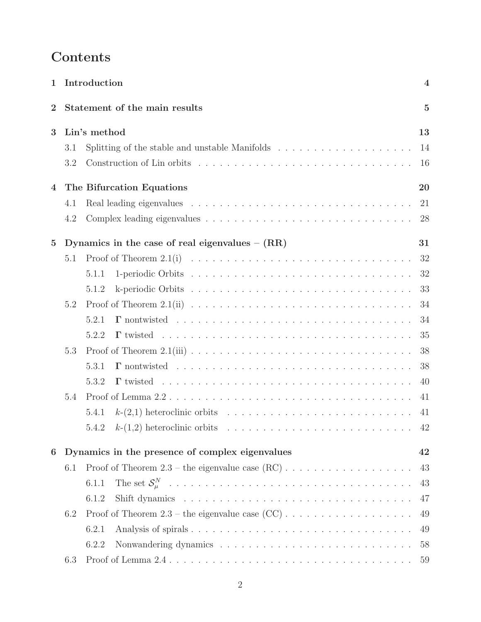# Contents

| $\mathbf 1$    |     | Introduction                                                                               | $\boldsymbol{4}$ |
|----------------|-----|--------------------------------------------------------------------------------------------|------------------|
| $\mathbf{2}$   |     | Statement of the main results                                                              | $\overline{5}$   |
| 3              |     | Lin's method                                                                               | 13               |
|                | 3.1 | Splitting of the stable and unstable Manifolds $\ldots \ldots \ldots \ldots \ldots \ldots$ | 14               |
|                | 3.2 |                                                                                            | 16               |
| 4              |     | The Bifurcation Equations                                                                  | 20               |
|                | 4.1 |                                                                                            | 21               |
|                | 4.2 |                                                                                            | 28               |
| $\overline{5}$ |     | Dynamics in the case of real eigenvalues $- (RR)$                                          | 31               |
|                | 5.1 |                                                                                            | 32               |
|                |     | 5.1.1                                                                                      | 32               |
|                |     | 5.1.2                                                                                      | 33               |
|                | 5.2 |                                                                                            | 34               |
|                |     | 5.2.1                                                                                      | 34               |
|                |     | 5.2.2                                                                                      | 35               |
|                | 5.3 |                                                                                            | 38               |
|                |     | 5.3.1                                                                                      | 38               |
|                |     | 5.3.2                                                                                      | 40               |
|                | 5.4 |                                                                                            | 41               |
|                |     | 5.4.1                                                                                      | 41               |
|                |     |                                                                                            | 42               |
| 6              |     | Dynamics in the presence of complex eigenvalues                                            | 42               |
|                | 6.1 |                                                                                            | 43               |
|                |     | 6.1.1                                                                                      | 43               |
|                |     | 6.1.2                                                                                      | 47               |
|                | 6.2 |                                                                                            | 49               |
|                |     | 6.2.1                                                                                      | 49               |
|                |     | 6.2.2                                                                                      | 58               |
|                | 6.3 |                                                                                            | 59               |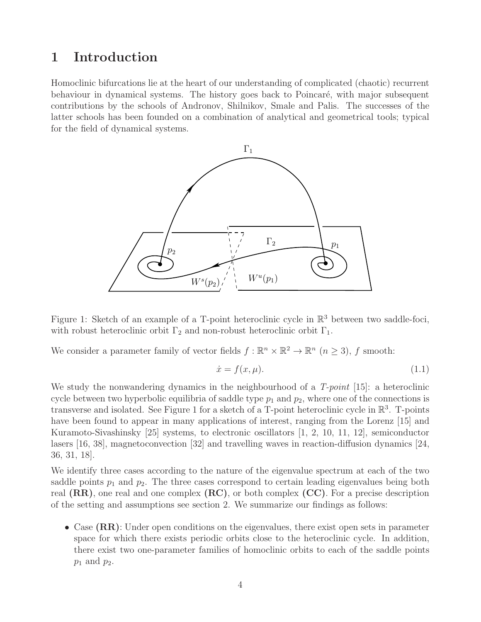## 1 Introduction

Homoclinic bifurcations lie at the heart of our understanding of complicated (chaotic) recurrent behaviour in dynamical systems. The history goes back to Poincaré, with major subsequent contributions by the schools of Andronov, Shilnikov, Smale and Palis. The successes of the latter schools has been founded on a combination of analytical and geometrical tools; typical for the field of dynamical systems.



Figure 1: Sketch of an example of a T-point heteroclinic cycle in  $\mathbb{R}^3$  between two saddle-foci, with robust heteroclinic orbit  $\Gamma_2$  and non-robust heteroclinic orbit  $\Gamma_1$ .

We consider a parameter family of vector fields  $f : \mathbb{R}^n \times \mathbb{R}^2 \to \mathbb{R}^n$   $(n \geq 3)$ , f smooth:

$$
\dot{x} = f(x, \mu). \tag{1.1}
$$

We study the nonwandering dynamics in the neighbourhood of a  $T$ -point [15]: a heteroclinic cycle between two hyperbolic equilibria of saddle type  $p_1$  and  $p_2$ , where one of the connections is transverse and isolated. See Figure 1 for a sketch of a T-point heteroclinic cycle in  $\mathbb{R}^3$ . T-points have been found to appear in many applications of interest, ranging from the Lorenz [15] and Kuramoto-Sivashinsky [25] systems, to electronic oscillators [1, 2, 10, 11, 12], semiconductor lasers [16, 38], magnetoconvection [32] and travelling waves in reaction-diffusion dynamics [24, 36, 31, 18].

We identify three cases according to the nature of the eigenvalue spectrum at each of the two saddle points  $p_1$  and  $p_2$ . The three cases correspond to certain leading eigenvalues being both real  $(RR)$ , one real and one complex  $(RC)$ , or both complex  $(CC)$ . For a precise description of the setting and assumptions see section 2. We summarize our findings as follows:

• Case (RR): Under open conditions on the eigenvalues, there exist open sets in parameter space for which there exists periodic orbits close to the heteroclinic cycle. In addition, there exist two one-parameter families of homoclinic orbits to each of the saddle points  $p_1$  and  $p_2$ .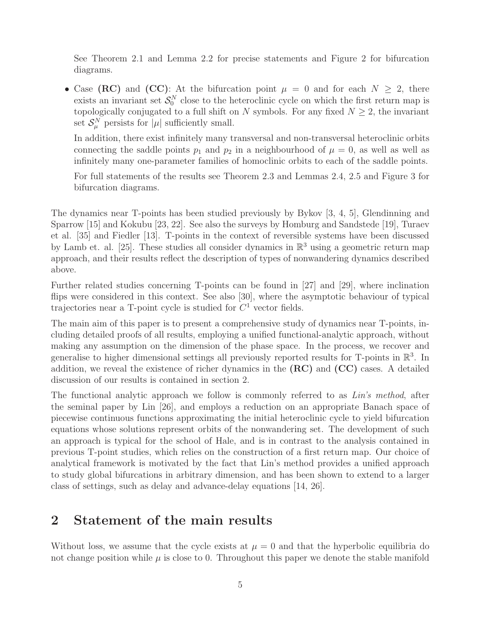See Theorem 2.1 and Lemma 2.2 for precise statements and Figure 2 for bifurcation diagrams.

• Case (RC) and (CC): At the bifurcation point  $\mu = 0$  and for each  $N \geq 2$ , there exists an invariant set  $S_0^N$  close to the heteroclinic cycle on which the first return map is topologically conjugated to a full shift on N symbols. For any fixed  $N \geq 2$ , the invariant set  $S_{\mu}^{N}$  persists for  $|\mu|$  sufficiently small.

In addition, there exist infinitely many transversal and non-transversal heteroclinic orbits connecting the saddle points  $p_1$  and  $p_2$  in a neighbourhood of  $\mu = 0$ , as well as well as infinitely many one-parameter families of homoclinic orbits to each of the saddle points.

For full statements of the results see Theorem 2.3 and Lemmas 2.4, 2.5 and Figure 3 for bifurcation diagrams.

The dynamics near T-points has been studied previously by Bykov [3, 4, 5], Glendinning and Sparrow [15] and Kokubu [23, 22]. See also the surveys by Homburg and Sandstede [19], Turaev et al. [35] and Fiedler [13]. T-points in the context of reversible systems have been discussed by Lamb et. al. [25]. These studies all consider dynamics in  $\mathbb{R}^3$  using a geometric return map approach, and their results reflect the description of types of nonwandering dynamics described above.

Further related studies concerning T-points can be found in [27] and [29], where inclination flips were considered in this context. See also [30], where the asymptotic behaviour of typical trajectories near a T-point cycle is studied for  $C<sup>1</sup>$  vector fields.

The main aim of this paper is to present a comprehensive study of dynamics near T-points, including detailed proofs of all results, employing a unified functional-analytic approach, without making any assumption on the dimension of the phase space. In the process, we recover and generalise to higher dimensional settings all previously reported results for T-points in  $\mathbb{R}^3$ . In addition, we reveal the existence of richer dynamics in the  $(RC)$  and  $(CC)$  cases. A detailed discussion of our results is contained in section 2.

The functional analytic approach we follow is commonly referred to as Lin's method, after the seminal paper by Lin [26], and employs a reduction on an appropriate Banach space of piecewise continuous functions approximating the initial heteroclinic cycle to yield bifurcation equations whose solutions represent orbits of the nonwandering set. The development of such an approach is typical for the school of Hale, and is in contrast to the analysis contained in previous T-point studies, which relies on the construction of a first return map. Our choice of analytical framework is motivated by the fact that Lin's method provides a unified approach to study global bifurcations in arbitrary dimension, and has been shown to extend to a larger class of settings, such as delay and advance-delay equations [14, 26].

## 2 Statement of the main results

Without loss, we assume that the cycle exists at  $\mu = 0$  and that the hyperbolic equilibria do not change position while  $\mu$  is close to 0. Throughout this paper we denote the stable manifold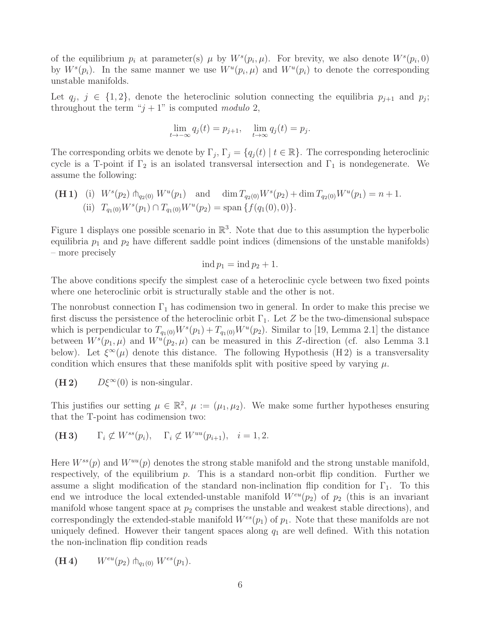of the equilibrium  $p_i$  at parameter(s)  $\mu$  by  $W^s(p_i, \mu)$ . For brevity, we also denote  $W^s(p_i, 0)$ by  $W^s(p_i)$ . In the same manner we use  $W^u(p_i, \mu)$  and  $W^u(p_i)$  to denote the corresponding unstable manifolds.

Let  $q_j$ ,  $j \in \{1,2\}$ , denote the heteroclinic solution connecting the equilibria  $p_{j+1}$  and  $p_j$ ; throughout the term " $j + 1$ " is computed modulo 2,

$$
\lim_{t \to -\infty} q_j(t) = p_{j+1}, \quad \lim_{t \to \infty} q_j(t) = p_j.
$$

The corresponding orbits we denote by  $\Gamma_j$ ,  $\Gamma_j = \{q_j(t) | t \in \mathbb{R}\}$ . The corresponding heteroclinic cycle is a T-point if  $\Gamma_2$  is an isolated transversal intersection and  $\Gamma_1$  is nondegenerate. We assume the following:

(H1) (i) 
$$
W^s(p_2) \uparrow_{q_2(0)} W^u(p_1)
$$
 and  $\dim T_{q_2(0)} W^s(p_2) + \dim T_{q_2(0)} W^u(p_1) = n + 1.$   
\n(ii)  $T_{q_1(0)} W^s(p_1) \cap T_{q_1(0)} W^u(p_2) = \text{span} \{f(q_1(0), 0)\}.$ 

Figure 1 displays one possible scenario in  $\mathbb{R}^3$ . Note that due to this assumption the hyperbolic equilibria  $p_1$  and  $p_2$  have different saddle point indices (dimensions of the unstable manifolds) – more precisely

$$
ind p_1 = ind p_2 + 1.
$$

The above conditions specify the simplest case of a heteroclinic cycle between two fixed points where one heteroclinic orbit is structurally stable and the other is not.

The nonrobust connection  $\Gamma_1$  has codimension two in general. In order to make this precise we first discuss the persistence of the heteroclinic orbit  $\Gamma_1$ . Let Z be the two-dimensional subspace which is perpendicular to  $T_{q_1(0)}W^s(p_1) + T_{q_1(0)}W^u(p_2)$ . Similar to [19, Lemma 2.1] the distance between  $W^{s}(p_1,\mu)$  and  $W^{u}(p_2,\mu)$  can be measured in this Z-direction (cf. also Lemma 3.1) below). Let  $\xi^{\infty}(\mu)$  denote this distance. The following Hypothesis (H2) is a transversality condition which ensures that these manifolds split with positive speed by varying  $\mu$ .

(H 2)  $D\xi^{\infty}(0)$  is non-singular.

This justifies our setting  $\mu \in \mathbb{R}^2$ ,  $\mu := (\mu_1, \mu_2)$ . We make some further hypotheses ensuring that the T-point has codimension two:

(H3) 
$$
\Gamma_i \not\subset W^{ss}(p_i), \quad \Gamma_i \not\subset W^{uu}(p_{i+1}), \quad i=1,2.
$$

Here  $W^{ss}(p)$  and  $W^{uu}(p)$  denotes the strong stable manifold and the strong unstable manifold, respectively, of the equilibrium  $p$ . This is a standard non-orbit flip condition. Further we assume a slight modification of the standard non-inclination flip condition for  $\Gamma_1$ . To this end we introduce the local extended-unstable manifold  $W^{eu}(p_2)$  of  $p_2$  (this is an invariant manifold whose tangent space at  $p_2$  comprises the unstable and weakest stable directions), and correspondingly the extended-stable manifold  $W^{es}(p_1)$  of  $p_1$ . Note that these manifolds are not uniquely defined. However their tangent spaces along  $q_1$  are well defined. With this notation the non-inclination flip condition reads

(H 4) 
$$
W^{eu}(p_2) \uparrow_{q_1(0)} W^{es}(p_1)
$$
.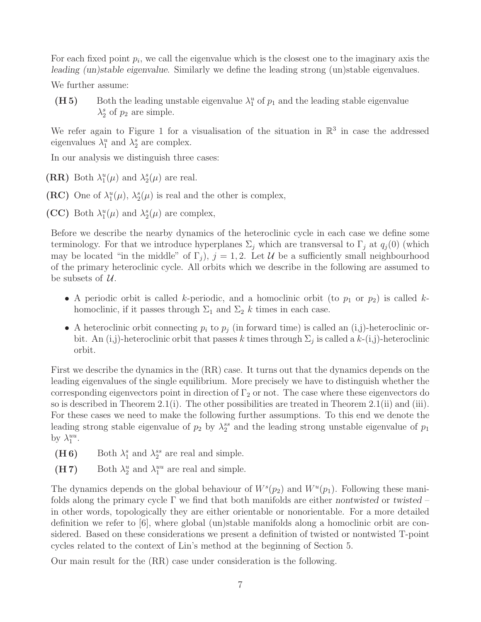For each fixed point  $p_i$ , we call the eigenvalue which is the closest one to the imaginary axis the leading (un)stable eigenvalue. Similarly we define the leading strong (un)stable eigenvalues.

We further assume:

(H 5) Both the leading unstable eigenvalue  $\lambda_1^u$  of  $p_1$  and the leading stable eigenvalue  $\lambda_2^s$  of  $p_2$  are simple.

We refer again to Figure 1 for a visualisation of the situation in  $\mathbb{R}^3$  in case the addressed eigenvalues  $\lambda_1^u$  and  $\lambda_2^s$  are complex.

In our analysis we distinguish three cases:

(RR) Both  $\lambda_1^u(\mu)$  and  $\lambda_2^s(\mu)$  are real.

(RC) One of  $\lambda_1^u(\mu)$ ,  $\lambda_2^s(\mu)$  is real and the other is complex,

(CC) Both  $\lambda_1^u(\mu)$  and  $\lambda_2^s(\mu)$  are complex,

Before we describe the nearby dynamics of the heteroclinic cycle in each case we define some terminology. For that we introduce hyperplanes  $\Sigma_j$  which are transversal to  $\Gamma_j$  at  $q_j(0)$  (which may be located "in the middle" of  $\Gamma_j$ ,  $j = 1, 2$ . Let U be a sufficiently small neighbourhood of the primary heteroclinic cycle. All orbits which we describe in the following are assumed to be subsets of  $U$ .

- A periodic orbit is called k-periodic, and a homoclinic orbit (to  $p_1$  or  $p_2$ ) is called khomoclinic, if it passes through  $\Sigma_1$  and  $\Sigma_2$  k times in each case.
- A heteroclinic orbit connecting  $p_i$  to  $p_j$  (in forward time) is called an (i,j)-heteroclinic orbit. An (i,j)-heteroclinic orbit that passes k times through  $\Sigma_j$  is called a k-(i,j)-heteroclinic orbit.

First we describe the dynamics in the (RR) case. It turns out that the dynamics depends on the leading eigenvalues of the single equilibrium. More precisely we have to distinguish whether the corresponding eigenvectors point in direction of  $\Gamma_2$  or not. The case where these eigenvectors do so is described in Theorem 2.1(i). The other possibilities are treated in Theorem 2.1(ii) and (iii). For these cases we need to make the following further assumptions. To this end we denote the leading strong stable eigenvalue of  $p_2$  by  $\lambda_2^{ss}$  and the leading strong unstable eigenvalue of  $p_1$ by  $\lambda_1^{uu}$ .

- (**H** 6) Both  $\lambda_1^s$  and  $\lambda_2^{ss}$  are real and simple.
- (H 7) Both  $\lambda_2^u$  and  $\lambda_1^{uu}$  are real and simple.

The dynamics depends on the global behaviour of  $W^s(p_2)$  and  $W^u(p_1)$ . Following these manifolds along the primary cycle  $\Gamma$  we find that both manifolds are either nontwisted or twisted – in other words, topologically they are either orientable or nonorientable. For a more detailed definition we refer to [6], where global (un)stable manifolds along a homoclinic orbit are considered. Based on these considerations we present a definition of twisted or nontwisted T-point cycles related to the context of Lin's method at the beginning of Section 5.

Our main result for the (RR) case under consideration is the following.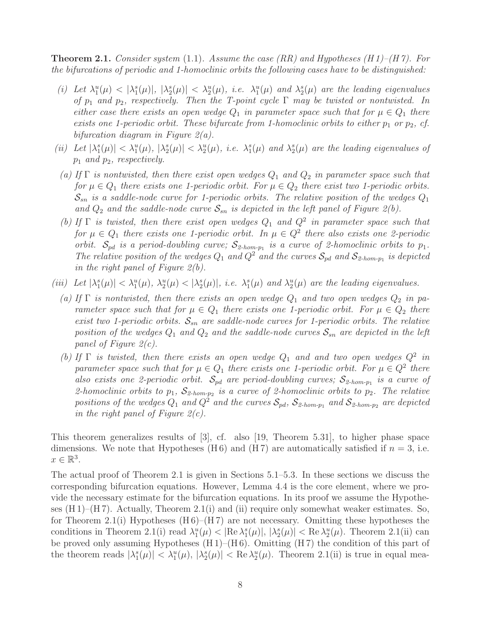**Theorem 2.1.** Consider system (1.1). Assume the case (RR) and Hypotheses (H1)–(H7). For the bifurcations of periodic and 1-homoclinic orbits the following cases have to be distinguished:

- (i) Let  $\lambda_1^u(\mu) < |\lambda_2^s(\mu)|, |\lambda_2^s(\mu)| < \lambda_2^u(\mu),$  i.e.  $\lambda_1^u(\mu)$  and  $\lambda_2^s(\mu)$  are the leading eigenvalues of  $p_1$  and  $p_2$ , respectively. Then the T-point cycle  $\Gamma$  may be twisted or nontwisted. In either case there exists an open wedge  $Q_1$  in parameter space such that for  $\mu \in Q_1$  there exists one 1-periodic orbit. These bifurcate from 1-homoclinic orbits to either  $p_1$  or  $p_2$ , cf. bifurcation diagram in Figure  $2(a)$ .
- (ii) Let  $|\lambda_1^s(\mu)| < \lambda_1^u(\mu)$ ,  $|\lambda_2^s(\mu)| < \lambda_2^u(\mu)$ , i.e.  $\lambda_1^s(\mu)$  and  $\lambda_2^s(\mu)$  are the leading eigenvalues of  $p_1$  and  $p_2$ , respectively.
	- (a) If  $\Gamma$  is nontwisted, then there exist open wedges  $Q_1$  and  $Q_2$  in parameter space such that for  $\mu \in Q_1$  there exists one 1-periodic orbit. For  $\mu \in Q_2$  there exist two 1-periodic orbits.  $\mathcal{S}_{sn}$  is a saddle-node curve for 1-periodic orbits. The relative position of the wedges  $Q_1$ and  $Q_2$  and the saddle-node curve  $S_{sn}$  is depicted in the left panel of Figure 2(b).
	- (b) If  $\Gamma$  is twisted, then there exist open wedges  $Q_1$  and  $Q^2$  in parameter space such that for  $\mu \in Q_1$  there exists one 1-periodic orbit. In  $\mu \in Q^2$  there also exists one 2-periodic orbit.  $S_{pd}$  is a period-doubling curve;  $S_{2\text{-}hom-p_1}$  is a curve of 2-homoclinic orbits to  $p_1$ . The relative position of the wedges  $Q_1$  and  $Q^2$  and the curves  $S_{pd}$  and  $S_{2\text{-}hom-p_1}$  is depicted in the right panel of Figure  $2(b)$ .
- (iii) Let  $|\lambda_1^s(\mu)| < \lambda_1^u(\mu)$ ,  $\lambda_2^u(\mu) < |\lambda_2^s(\mu)|$ , i.e.  $\lambda_1^s(\mu)$  and  $\lambda_2^u(\mu)$  are the leading eigenvalues.
	- (a) If  $\Gamma$  is nontwisted, then there exists an open wedge  $Q_1$  and two open wedges  $Q_2$  in parameter space such that for  $\mu \in Q_1$  there exists one 1-periodic orbit. For  $\mu \in Q_2$  there exist two 1-periodic orbits.  $S_{sn}$  are saddle-node curves for 1-periodic orbits. The relative position of the wedges  $Q_1$  and  $Q_2$  and the saddle-node curves  $S_{sn}$  are depicted in the left panel of Figure 2(c).
	- (b) If  $\Gamma$  is twisted, then there exists an open wedge  $Q_1$  and and two open wedges  $Q^2$  in parameter space such that for  $\mu \in Q_1$  there exists one 1-periodic orbit. For  $\mu \in Q^2$  there also exists one 2-periodic orbit.  $S_{pd}$  are period-doubling curves;  $S_{2\text{-}hom-p_1}$  is a curve of 2-homoclinic orbits to  $p_1$ ,  $S_{2\text{-}hom-p_2}$  is a curve of 2-homoclinic orbits to  $p_2$ . The relative positions of the wedges  $Q_1$  and  $Q^2$  and the curves  $S_{pd}$ ,  $S_{2\text{-}hom-p_1}$  and  $S_{2\text{-}hom-p_2}$  are depicted in the right panel of Figure  $2(c)$ .

This theorem generalizes results of [3], cf. also [19, Theorem 5.31], to higher phase space dimensions. We note that Hypotheses (H6) and (H7) are automatically satisfied if  $n = 3$ , i.e.  $x \in \mathbb{R}^3$ .

The actual proof of Theorem 2.1 is given in Sections 5.1–5.3. In these sections we discuss the corresponding bifurcation equations. However, Lemma 4.4 is the core element, where we provide the necessary estimate for the bifurcation equations. In its proof we assume the Hypotheses  $(H 1)$ – $(H 7)$ . Actually, Theorem 2.1(i) and (ii) require only somewhat weaker estimates. So, for Theorem 2.1(i) Hypotheses  $(H 6)$ – $(H 7)$  are not necessary. Omitting these hypotheses the conditions in Theorem 2.1(i) read  $\lambda_1^u(\mu) < |\text{Re }\lambda_1^s(\mu)|, |\lambda_2^s(\mu)| < \text{Re }\lambda_2^u(\mu)$ . Theorem 2.1(ii) can be proved only assuming Hypotheses  $(H 1)$ – $(H 6)$ . Omitting  $(H 7)$  the condition of this part of the theorem reads  $|\lambda_1^s(\mu)| < \lambda_1^u(\mu)$ ,  $|\lambda_2^s(\mu)| < \text{Re }\lambda_2^u(\mu)$ . Theorem 2.1(ii) is true in equal mea-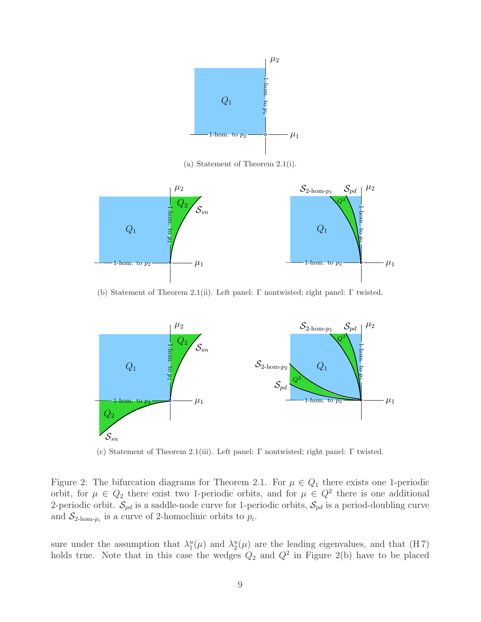

(a) Statement of Theorem 2.1(i).



(b) Statement of Theorem 2.1(ii). Left panel: Γ nontwisted; right panel: Γ twisted.



(c) Statement of Theorem 2.1(iii). Left panel: Γ nontwisted; right panel: Γ twisted.

Figure 2: The bifurcation diagrams for Theorem 2.1. For  $\mu \in Q_1$  there exists one 1-periodic orbit, for  $\mu \in Q_2$  there exist two 1-periodic orbits, and for  $\mu \in Q^2$  there is one additional 2-periodic orbit.  $S_{pd}$  is a saddle-node curve for 1-periodic orbits,  $S_{pd}$  is a period-doubling curve and  $S_{2\text{-hom-}p_i}$  is a curve of 2-homoclinic orbits to  $p_i$ .

sure under the assumption that  $\lambda_1^u(\mu)$  and  $\lambda_2^u(\mu)$  are the leading eigenvalues, and that (H7) holds true. Note that in this case the wedges  $Q_2$  and  $Q^2$  in Figure 2(b) have to be placed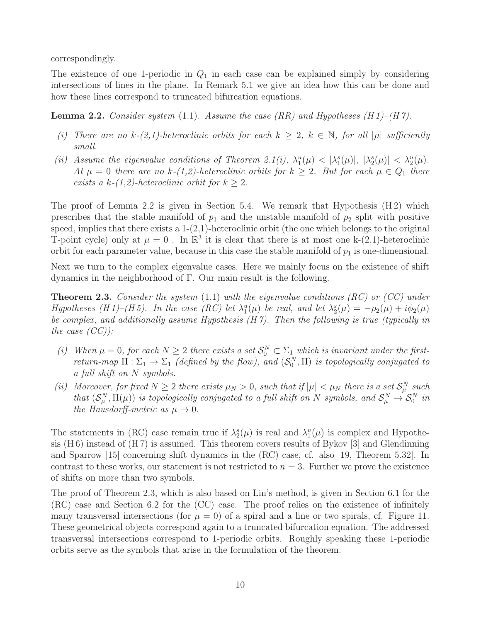correspondingly.

The existence of one 1-periodic in  $Q_1$  in each case can be explained simply by considering intersections of lines in the plane. In Remark 5.1 we give an idea how this can be done and how these lines correspond to truncated bifurcation equations.

**Lemma 2.2.** Consider system (1.1). Assume the case (RR) and Hypotheses (H 1)–(H 7).

- (i) There are no  $k-(2,1)$ -heteroclinic orbits for each  $k \geq 2$ ,  $k \in \mathbb{N}$ , for all  $|\mu|$  sufficiently small.
- (ii) Assume the eigenvalue conditions of Theorem 2.1(i),  $\lambda_1^u(\mu) < |\lambda_1^s(\mu)|, |\lambda_2^s(\mu)| < \lambda_2^u(\mu)$ . At  $\mu = 0$  there are no k-(1,2)-heteroclinic orbits for  $k \geq 2$ . But for each  $\mu \in Q_1$  there exists a k- $(1,2)$ -heteroclinic orbit for  $k \geq 2$ .

The proof of Lemma 2.2 is given in Section 5.4. We remark that Hypothesis  $(H 2)$  which prescribes that the stable manifold of  $p_1$  and the unstable manifold of  $p_2$  split with positive speed, implies that there exists a  $1-(2,1)$ -heteroclinic orbit (the one which belongs to the original T-point cycle) only at  $\mu = 0$ . In  $\mathbb{R}^3$  it is clear that there is at most one k-(2,1)-heteroclinic orbit for each parameter value, because in this case the stable manifold of  $p_1$  is one-dimensional.

Next we turn to the complex eigenvalue cases. Here we mainly focus on the existence of shift dynamics in the neighborhood of Γ. Our main result is the following.

**Theorem 2.3.** Consider the system  $(1.1)$  with the eigenvalue conditions  $(RC)$  or  $(CC)$  under Hypotheses (H 1)–(H 5). In the case (RC) let  $\lambda_1^u(\mu)$  be real, and let  $\lambda_2^s(\mu) = -\rho_2(\mu) + i\phi_2(\mu)$ be complex, and additionally assume Hypothesis (H 7). Then the following is true (typically in the case  $(CC)$ :

- (i) When  $\mu = 0$ , for each  $N \geq 2$  there exists a set  $S_0^N \subset \Sigma_1$  which is invariant under the firstreturn-map  $\Pi : \Sigma_1 \to \Sigma_1$  (defined by the flow), and  $(\mathcal{S}_0^N, \Pi)$  is topologically conjugated to a full shift on N symbols.
- (ii) Moreover, for fixed  $N \geq 2$  there exists  $\mu_N > 0$ , such that if  $|\mu| < \mu_N$  there is a set  $S_\mu^N$  such that  $(S^N_\mu, \Pi(\mu))$  is topologically conjugated to a full shift on N symbols, and  $S^N_\mu \to S^N_0$  in the Hausdorff-metric as  $\mu \to 0$ .

The statements in (RC) case remain true if  $\lambda_2^s(\mu)$  is real and  $\lambda_1^u(\mu)$  is complex and Hypothesis  $(H 6)$  instead of  $(H 7)$  is assumed. This theorem covers results of Bykov [3] and Glendinning and Sparrow [15] concerning shift dynamics in the (RC) case, cf. also [19, Theorem 5.32]. In contrast to these works, our statement is not restricted to  $n = 3$ . Further we prove the existence of shifts on more than two symbols.

The proof of Theorem 2.3, which is also based on Lin's method, is given in Section 6.1 for the (RC) case and Section 6.2 for the (CC) case. The proof relies on the existence of infinitely many transversal intersections (for  $\mu = 0$ ) of a spiral and a line or two spirals, cf. Figure 11. These geometrical objects correspond again to a truncated bifurcation equation. The addressed transversal intersections correspond to 1-periodic orbits. Roughly speaking these 1-periodic orbits serve as the symbols that arise in the formulation of the theorem.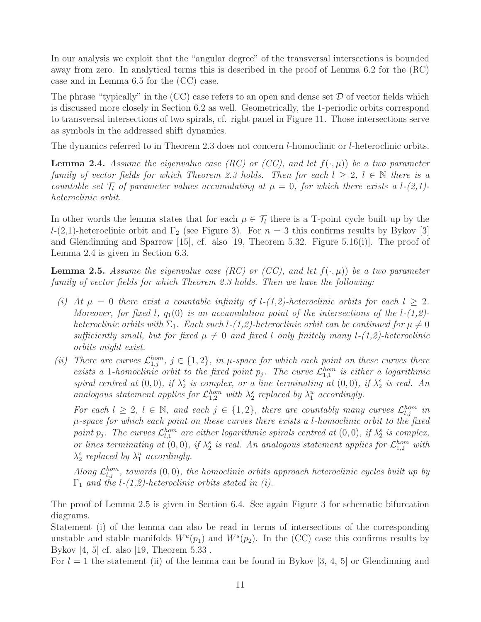In our analysis we exploit that the "angular degree" of the transversal intersections is bounded away from zero. In analytical terms this is described in the proof of Lemma 6.2 for the (RC) case and in Lemma 6.5 for the (CC) case.

The phrase "typically" in the  $(CC)$  case refers to an open and dense set  $D$  of vector fields which is discussed more closely in Section 6.2 as well. Geometrically, the 1-periodic orbits correspond to transversal intersections of two spirals, cf. right panel in Figure 11. Those intersections serve as symbols in the addressed shift dynamics.

The dynamics referred to in Theorem 2.3 does not concern *l*-homoclinic or *l*-heteroclinic orbits.

**Lemma 2.4.** Assume the eigenvalue case (RC) or (CC), and let  $f(\cdot,\mu)$ ) be a two parameter family of vector fields for which Theorem 2.3 holds. Then for each  $l \geq 2$ ,  $l \in \mathbb{N}$  there is a countable set  $\mathcal{T}_l$  of parameter values accumulating at  $\mu = 0$ , for which there exists a l-(2,1)heteroclinic orbit.

In other words the lemma states that for each  $\mu \in \mathcal{T}_l$  there is a T-point cycle built up by the l-(2,1)-heteroclinic orbit and  $\Gamma_2$  (see Figure 3). For  $n=3$  this confirms results by Bykov [3] and Glendinning and Sparrow  $[15]$ , cf. also  $[19,$  Theorem 5.32. Figure 5.16(i). The proof of Lemma 2.4 is given in Section 6.3.

**Lemma 2.5.** Assume the eigenvalue case (RC) or (CC), and let  $f(\cdot,\mu)$ ) be a two parameter family of vector fields for which Theorem 2.3 holds. Then we have the following:

- (i) At  $\mu = 0$  there exist a countable infinity of l-(1,2)-heteroclinic orbits for each  $l \geq 2$ . Moreover, for fixed l,  $q_1(0)$  is an accumulation point of the intersections of the l-(1,2)heteroclinic orbits with  $\Sigma_1$ . Each such l-(1,2)-heteroclinic orbit can be continued for  $\mu \neq 0$ sufficiently small, but for fixed  $\mu \neq 0$  and fixed l only finitely many l-(1,2)-heteroclinic orbits might exist.
- (ii) There are curves  $\mathcal{L}_{1,j}^{hom}$ ,  $j \in \{1,2\}$ , in  $\mu$ -space for which each point on these curves there exists a 1-homoclinic orbit to the fixed point  $p_j$ . The curve  $\mathcal{L}_{1,1}^{hom}$  is either a logarithmic spiral centred at  $(0,0)$ , if  $\lambda_2^s$  is complex, or a line terminating at  $(0,0)$ , if  $\lambda_2^s$  is real. An analogous statement applies for  $\mathcal{L}_{1,2}^{hom}$  with  $\lambda_2^s$  replaced by  $\lambda_1^u$  accordingly.

For each  $l \geq 2$ ,  $l \in \mathbb{N}$ , and each  $j \in \{1,2\}$ , there are countably many curves  $\mathcal{L}_{l,j}^{hom}$  in  $\mu$ -space for which each point on these curves there exists a l-homoclinic orbit to the fixed point  $p_j$ . The curves  $\mathcal{L}_{l,1}^{hom}$  are either logarithmic spirals centred at  $(0,0)$ , if  $\lambda_2^s$  is complex, or lines terminating at  $(0,0)$ , if  $\lambda_2^s$  is real. An analogous statement applies for  $\mathcal{L}_{1,2}^{hom}$  with  $\lambda_2^s$  replaced by  $\lambda_1^u$  accordingly.

Along  $\mathcal{L}_{l,j}^{hom}$ , towards  $(0,0)$ , the homoclinic orbits approach heteroclinic cycles built up by  $\Gamma_1$  and the l-(1,2)-heteroclinic orbits stated in (i).

The proof of Lemma 2.5 is given in Section 6.4. See again Figure 3 for schematic bifurcation diagrams.

Statement (i) of the lemma can also be read in terms of intersections of the corresponding unstable and stable manifolds  $W^u(p_1)$  and  $W^s(p_2)$ . In the (CC) case this confirms results by Bykov [4, 5] cf. also [19, Theorem 5.33].

For  $l = 1$  the statement (ii) of the lemma can be found in Bykov [3, 4, 5] or Glendinning and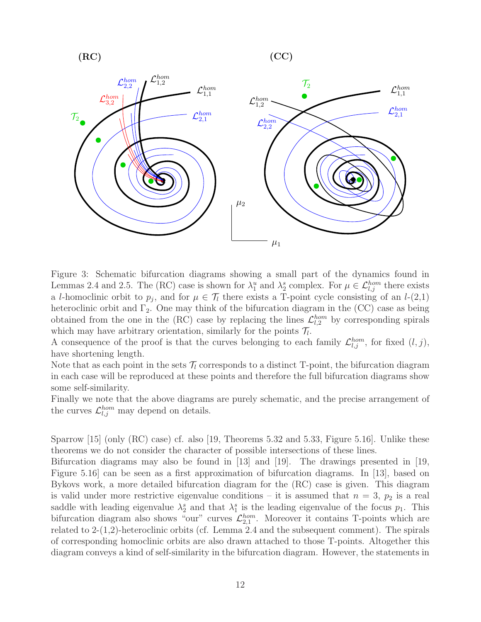$$
(RC)
$$

 $(RC)$   $(CC)$ 



Figure 3: Schematic bifurcation diagrams showing a small part of the dynamics found in Lemmas 2.4 and 2.5. The (RC) case is shown for  $\lambda_1^u$  and  $\lambda_2^s$  complex. For  $\mu \in \mathcal{L}_{l,j}^{hom}$  there exists a l-homoclinic orbit to  $p_j$ , and for  $\mu \in \mathcal{T}_l$  there exists a T-point cycle consisting of an  $l$ -(2,1) heteroclinic orbit and  $\Gamma_2$ . One may think of the bifurcation diagram in the (CC) case as being obtained from the one in the (RC) case by replacing the lines  $\mathcal{L}_{l,2}^{hom}$  by corresponding spirals which may have arbitrary orientation, similarly for the points  $\mathcal{T}_l$ .

A consequence of the proof is that the curves belonging to each family  $\mathcal{L}_{l,j}^{hom}$ , for fixed  $(l, j)$ , have shortening length.

Note that as each point in the sets  $\mathcal{T}_l$  corresponds to a distinct T-point, the bifurcation diagram in each case will be reproduced at these points and therefore the full bifurcation diagrams show some self-similarity.

Finally we note that the above diagrams are purely schematic, and the precise arrangement of the curves  $\mathcal{L}_{l,j}^{hom}$  may depend on details.

Sparrow [15] (only (RC) case) cf. also [19, Theorems 5.32 and 5.33, Figure 5.16]. Unlike these theorems we do not consider the character of possible intersections of these lines.

Bifurcation diagrams may also be found in [13] and [19]. The drawings presented in [19, Figure 5.16] can be seen as a first approximation of bifurcation diagrams. In [13], based on Bykovs work, a more detailed bifurcation diagram for the (RC) case is given. This diagram is valid under more restrictive eigenvalue conditions – it is assumed that  $n = 3$ ,  $p_2$  is a real saddle with leading eigenvalue  $\lambda_2^s$  and that  $\lambda_1^s$  is the leading eigenvalue of the focus  $p_1$ . This bifurcation diagram also shows "our" curves  $\mathcal{L}_{2,1}^{hom}$ . Moreover it contains T-points which are related to 2-(1,2)-heteroclinic orbits (cf. Lemma 2.4 and the subsequent comment). The spirals of corresponding homoclinic orbits are also drawn attached to those T-points. Altogether this diagram conveys a kind of self-similarity in the bifurcation diagram. However, the statements in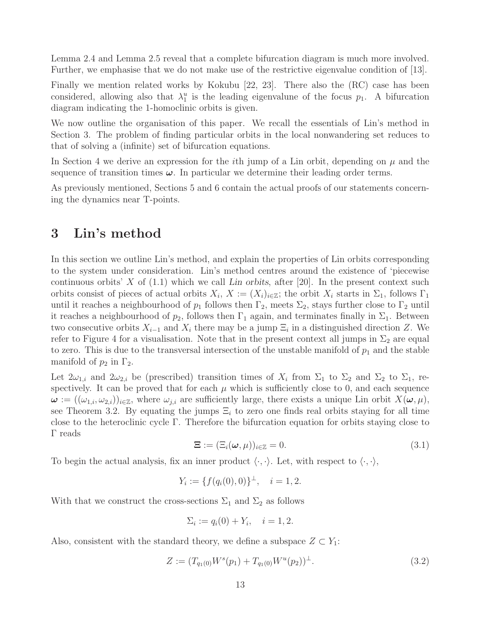Lemma 2.4 and Lemma 2.5 reveal that a complete bifurcation diagram is much more involved. Further, we emphasise that we do not make use of the restrictive eigenvalue condition of [13].

Finally we mention related works by Kokubu [22, 23]. There also the (RC) case has been considered, allowing also that  $\lambda_1^u$  is the leading eigenvalune of the focus  $p_1$ . A bifurcation diagram indicating the 1-homoclinic orbits is given.

We now outline the organisation of this paper. We recall the essentials of Lin's method in Section 3. The problem of finding particular orbits in the local nonwandering set reduces to that of solving a (infinite) set of bifurcation equations.

In Section 4 we derive an expression for the *i*th jump of a Lin orbit, depending on  $\mu$  and the sequence of transition times  $\omega$ . In particular we determine their leading order terms.

As previously mentioned, Sections 5 and 6 contain the actual proofs of our statements concerning the dynamics near T-points.

## 3 Lin's method

In this section we outline Lin's method, and explain the properties of Lin orbits corresponding to the system under consideration. Lin's method centres around the existence of 'piecewise continuous orbits' X of  $(1.1)$  which we call Lin orbits, after [20]. In the present context such orbits consist of pieces of actual orbits  $X_i$ ,  $X := (X_i)_{i \in \mathbb{Z}}$ ; the orbit  $X_i$  starts in  $\Sigma_1$ , follows  $\Gamma_1$ until it reaches a neighbourhood of  $p_1$  follows then  $\Gamma_2$ , meets  $\Sigma_2$ , stays further close to  $\Gamma_2$  until it reaches a neighbourhood of  $p_2$ , follows then  $\Gamma_1$  again, and terminates finally in  $\Sigma_1$ . Between two consecutive orbits  $X_{i-1}$  and  $X_i$  there may be a jump  $\Xi_i$  in a distinguished direction Z. We refer to Figure 4 for a visualisation. Note that in the present context all jumps in  $\Sigma_2$  are equal to zero. This is due to the transversal intersection of the unstable manifold of  $p_1$  and the stable manifold of  $p_2$  in  $\Gamma_2$ .

Let  $2\omega_{1,i}$  and  $2\omega_{2,i}$  be (prescribed) transition times of  $X_i$  from  $\Sigma_1$  to  $\Sigma_2$  and  $\Sigma_2$  to  $\Sigma_1$ , respectively. It can be proved that for each  $\mu$  which is sufficiently close to 0, and each sequence  $\omega := ((\omega_{1,i}, \omega_{2,i}))_{i\in\mathbb{Z}}$ , where  $\omega_{j,i}$  are sufficiently large, there exists a unique Lin orbit  $X(\omega, \mu)$ , see Theorem 3.2. By equating the jumps  $\Xi_i$  to zero one finds real orbits staying for all time close to the heteroclinic cycle Γ. Therefore the bifurcation equation for orbits staying close to Γ reads

$$
\mathbf{\Xi} := (\Xi_i(\boldsymbol{\omega}, \mu))_{i \in \mathbb{Z}} = 0. \tag{3.1}
$$

To begin the actual analysis, fix an inner product  $\langle \cdot, \cdot \rangle$ . Let, with respect to  $\langle \cdot, \cdot \rangle$ ,

$$
Y_i := \{ f(q_i(0), 0) \}^{\perp}, \quad i = 1, 2.
$$

With that we construct the cross-sections  $\Sigma_1$  and  $\Sigma_2$  as follows

$$
\Sigma_i := q_i(0) + Y_i, \quad i = 1, 2.
$$

Also, consistent with the standard theory, we define a subspace  $Z \subset Y_1$ :

$$
Z := (T_{q_1(0)}W^s(p_1) + T_{q_1(0)}W^u(p_2))^\perp.
$$
\n(3.2)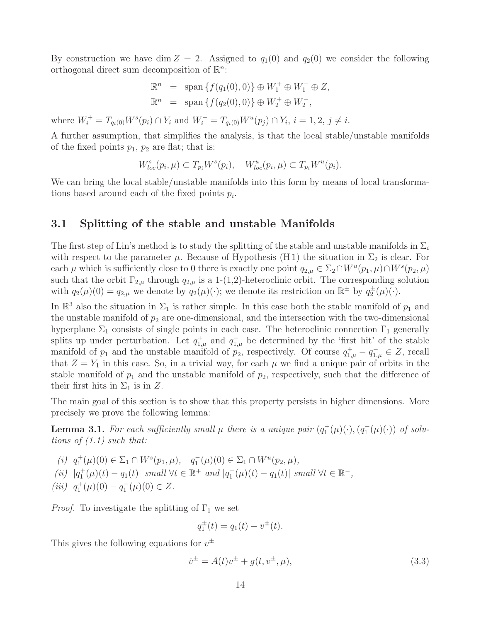By construction we have dim  $Z = 2$ . Assigned to  $q_1(0)$  and  $q_2(0)$  we consider the following orthogonal direct sum decomposition of  $\mathbb{R}^n$ :

$$
\mathbb{R}^{n} = \text{span} \{ f(q_{1}(0), 0) \} \oplus W_{1}^{+} \oplus W_{1}^{-} \oplus Z,
$$
  

$$
\mathbb{R}^{n} = \text{span} \{ f(q_{2}(0), 0) \} \oplus W_{2}^{+} \oplus W_{2}^{-},
$$

where  $W_i^+ = T_{q_i(0)} W^s(p_i) \cap Y_i$  and  $W_i^- = T_{q_i(0)} W^u(p_j) \cap Y_i$ ,  $i = 1, 2, j \neq i$ .

A further assumption, that simplifies the analysis, is that the local stable/unstable manifolds of the fixed points  $p_1$ ,  $p_2$  are flat; that is:

$$
W_{loc}^s(p_i, \mu) \subset T_{p_i} W^s(p_i), \quad W_{loc}^u(p_i, \mu) \subset T_{p_i} W^u(p_i).
$$

We can bring the local stable/unstable manifolds into this form by means of local transformations based around each of the fixed points  $p_i$ .

### 3.1 Splitting of the stable and unstable Manifolds

The first step of Lin's method is to study the splitting of the stable and unstable manifolds in  $\Sigma_i$ with respect to the parameter  $\mu$ . Because of Hypothesis (H 1) the situation in  $\Sigma_2$  is clear. For each  $\mu$  which is sufficiently close to 0 there is exactly one point  $q_{2,\mu} \in \Sigma_2 \cap W^u(p_1,\mu) \cap W^s(p_2,\mu)$ such that the orbit  $\Gamma_{2,\mu}$  through  $q_{2,\mu}$  is a 1-(1,2)-heteroclinic orbit. The corresponding solution with  $q_2(\mu)(0) = q_{2,\mu}$  we denote by  $q_2(\mu)(\cdot)$ ; we denote its restriction on  $\mathbb{R}^{\pm}$  by  $q_2^{\pm}(\mu)(\cdot)$ .

In  $\mathbb{R}^3$  also the situation in  $\Sigma_1$  is rather simple. In this case both the stable manifold of  $p_1$  and the unstable manifold of  $p_2$  are one-dimensional, and the intersection with the two-dimensional hyperplane  $\Sigma_1$  consists of single points in each case. The heteroclinic connection  $\Gamma_1$  generally splits up under perturbation. Let  $q_{1,\mu}^+$  and  $q_{1,\mu}^-$  be determined by the 'first hit' of the stable manifold of  $p_1$  and the unstable manifold of  $p_2$ , respectively. Of course  $q_{1,\mu}^+ - q_{1,\mu}^- \in Z$ , recall that  $Z = Y_1$  in this case. So, in a trivial way, for each  $\mu$  we find a unique pair of orbits in the stable manifold of  $p_1$  and the unstable manifold of  $p_2$ , respectively, such that the difference of their first hits in  $\Sigma_1$  is in Z.

The main goal of this section is to show that this property persists in higher dimensions. More precisely we prove the following lemma:

**Lemma 3.1.** For each sufficiently small  $\mu$  there is a unique pair  $(q_1^+(\mu)(\cdot), (q_1^-(\mu)(\cdot))$  of solutions of  $(1.1)$  such that:

(i)  $q_1^+(\mu)(0) \in \Sigma_1 \cap W^s(p_1, \mu), \quad q_1^-(\mu)(0) \in \Sigma_1 \cap W^u(p_2, \mu),$ (ii)  $|q_1^+(\mu)(t) - q_1(t)|$  small ∀t ∈ ℝ<sup>+</sup> and  $|q_1^-(\mu)(t) - q_1(t)|$  small ∀t ∈ ℝ<sup>-</sup>, (iii)  $q_1^+(\mu)(0) - q_1^-(\mu)(0) \in Z$ .

*Proof.* To investigate the splitting of  $\Gamma_1$  we set

$$
q_1^{\pm}(t) = q_1(t) + v^{\pm}(t).
$$

This gives the following equations for  $v^{\pm}$ 

$$
\dot{v}^{\pm} = A(t)v^{\pm} + g(t, v^{\pm}, \mu), \tag{3.3}
$$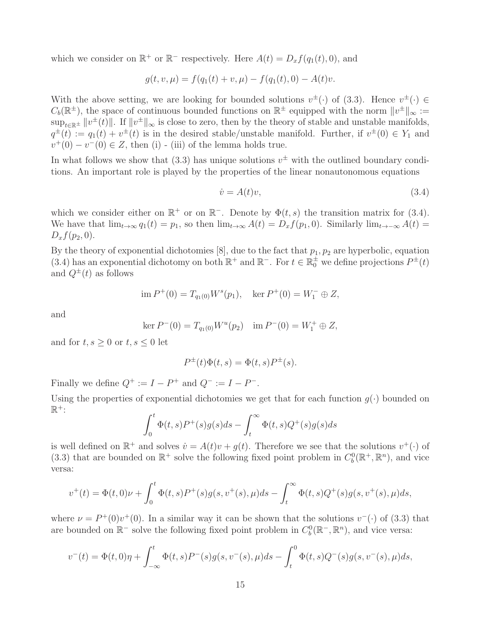which we consider on  $\mathbb{R}^+$  or  $\mathbb{R}^-$  respectively. Here  $A(t) = D_x f(q_1(t), 0)$ , and

$$
g(t, v, \mu) = f(q_1(t) + v, \mu) - f(q_1(t), 0) - A(t)v.
$$

With the above setting, we are looking for bounded solutions  $v^{\pm}(\cdot)$  of (3.3). Hence  $v^{\pm}(\cdot) \in$  $C_b(\mathbb{R}^{\pm})$ , the space of continuous bounded functions on  $\mathbb{R}^{\pm}$  equipped with the norm  $||v^{\pm}||_{\infty} :=$  $\sup_{t\in\mathbb{R}^{\pm}}||v^{\pm}(t)||$ . If  $||v^{\pm}||_{\infty}$  is close to zero, then by the theory of stable and unstable manifolds,  $q^{\pm}(t) := q_1(t) + v^{\pm}(t)$  is in the desired stable/unstable manifold. Further, if  $v^{\pm}(0) \in Y_1$  and  $v^+(0) - v^-(0) \in Z$ , then (i) - (iii) of the lemma holds true.

In what follows we show that  $(3.3)$  has unique solutions  $v^{\pm}$  with the outlined boundary conditions. An important role is played by the properties of the linear nonautonomous equations

$$
\dot{v} = A(t)v,\tag{3.4}
$$

which we consider either on  $\mathbb{R}^+$  or on  $\mathbb{R}^-$ . Denote by  $\Phi(t,s)$  the transition matrix for (3.4). We have that  $\lim_{t\to\infty} q_1(t) = p_1$ , so then  $\lim_{t\to\infty} A(t) = D_x f(p_1, 0)$ . Similarly  $\lim_{t\to\infty} A(t) =$  $D_x f(p_2, 0).$ 

By the theory of exponential dichotomies [8], due to the fact that  $p_1, p_2$  are hyperbolic, equation (3.4) has an exponential dichotomy on both  $\mathbb{R}^+$  and  $\mathbb{R}^-$ . For  $t \in \mathbb{R}^+$  we define projections  $P^{\pm}(t)$ and  $Q^{\pm}(t)$  as follows

$$
\text{im } P^+(0) = T_{q_1(0)} W^s(p_1), \quad \text{ker } P^+(0) = W_1^- \oplus Z,
$$

and

$$
\ker P^-(0) = T_{q_1(0)} W^u(p_2) \quad \text{im } P^-(0) = W_1^+ \oplus Z,
$$

and for  $t, s \geq 0$  or  $t, s \leq 0$  let

$$
P^{\pm}(t)\Phi(t,s) = \Phi(t,s)P^{\pm}(s).
$$

Finally we define  $Q^+ := I - P^+$  and  $Q^- := I - P^-$ .

Using the properties of exponential dichotomies we get that for each function  $g(\cdot)$  bounded on  $\mathbb{R}^+$ :

$$
\int_0^t \Phi(t,s)P^+(s)g(s)ds - \int_t^\infty \Phi(t,s)Q^+(s)g(s)ds
$$

is well defined on  $\mathbb{R}^+$  and solves  $\dot{v} = A(t)v + g(t)$ . Therefore we see that the solutions  $v^+(\cdot)$  of (3.3) that are bounded on  $\mathbb{R}^+$  solve the following fixed point problem in  $C_b^0(\mathbb{R}^+,\mathbb{R}^n)$ , and vice versa:

$$
v^+(t) = \Phi(t,0)\nu + \int_0^t \Phi(t,s)P^+(s)g(s,v^+(s),\mu)ds - \int_t^\infty \Phi(t,s)Q^+(s)g(s,v^+(s),\mu)ds,
$$

where  $\nu = P^+(0)v^+(0)$ . In a similar way it can be shown that the solutions  $v^-(\cdot)$  of (3.3) that are bounded on  $\mathbb{R}^-$  solve the following fixed point problem in  $C_b^0(\mathbb{R}^-,\mathbb{R}^n)$ , and vice versa:

$$
v^-(t) = \Phi(t,0)\eta + \int_{-\infty}^t \Phi(t,s)P^-(s)g(s,v^-(s),\mu)ds - \int_t^0 \Phi(t,s)Q^-(s)g(s,v^-(s),\mu)ds,
$$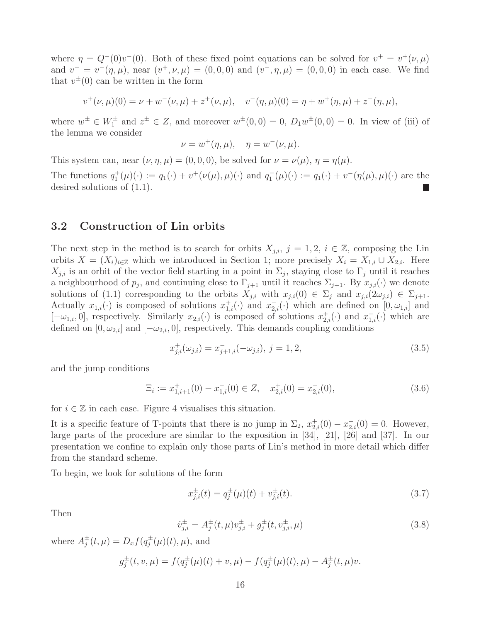where  $\eta = Q^{-}(0)v^{-}(0)$ . Both of these fixed point equations can be solved for  $v^{+} = v^{+}(\nu, \mu)$ and  $v^- = v^-(\eta,\mu)$ , near  $(v^+, \nu, \mu) = (0,0,0)$  and  $(v^-, \eta, \mu) = (0,0,0)$  in each case. We find that  $v^{\pm}(0)$  can be written in the form

$$
v^+(\nu,\mu)(0) = \nu + w^-(\nu,\mu) + z^+(\nu,\mu), \quad v^-(\eta,\mu)(0) = \eta + w^+(\eta,\mu) + z^-(\eta,\mu),
$$

where  $w^{\pm} \in W_1^{\pm}$  and  $z^{\pm} \in Z$ , and moreover  $w^{\pm}(0,0) = 0$ ,  $D_1w^{\pm}(0,0) = 0$ . In view of (iii) of the lemma we consider

$$
\nu = w^+(\eta, \mu), \quad \eta = w^-(\nu, \mu).
$$

This system can, near  $(\nu, \eta, \mu) = (0, 0, 0)$ , be solved for  $\nu = \nu(\mu)$ ,  $\eta = \eta(\mu)$ .

The functions  $q_1^+(\mu)(\cdot) := q_1(\cdot) + v^+(\nu(\mu), \mu)(\cdot)$  and  $q_1^-(\mu)(\cdot) := q_1(\cdot) + v^-(\eta(\mu), \mu)(\cdot)$  are the desired solutions of (1.1).

### 3.2 Construction of Lin orbits

The next step in the method is to search for orbits  $X_{j,i}, j = 1, 2, i \in \mathbb{Z}$ , composing the Lin orbits  $X = (X_i)_{i \in \mathbb{Z}}$  which we introduced in Section 1; more precisely  $X_i = X_{1,i} \cup X_{2,i}$ . Here  $X_{j,i}$  is an orbit of the vector field starting in a point in  $\Sigma_j$ , staying close to  $\Gamma_j$  until it reaches a neighbourhood of  $p_j$ , and continuing close to  $\Gamma_{j+1}$  until it reaches  $\Sigma_{j+1}$ . By  $x_{j,i}(\cdot)$  we denote solutions of (1.1) corresponding to the orbits  $X_{j,i}$  with  $x_{j,i}(0) \in \Sigma_j$  and  $x_{j,i}(2\omega_{j,i}) \in \Sigma_{j+1}$ . Actually  $x_{1,i}(\cdot)$  is composed of solutions  $x_{1,i}^+(\cdot)$  and  $x_{2,i}^-(\cdot)$  which are defined on  $[0,\omega_{1,i}]$  and  $[-\omega_{1,i},0]$ , respectively. Similarly  $x_{2,i}(\cdot)$  is composed of solutions  $x_{2,i}^+(\cdot)$  and  $x_{1,i}^-(\cdot)$  which are defined on  $[0, \omega_{2,i}]$  and  $[-\omega_{2,i}, 0]$ , respectively. This demands coupling conditions

$$
x_{j,i}^{+}(\omega_{j,i}) = x_{j+1,i}^{-}(-\omega_{j,i}), j = 1, 2,
$$
\n(3.5)

and the jump conditions

$$
\Xi_i := x_{1,i+1}^+(0) - x_{1,i}^-(0) \in Z, \quad x_{2,i}^+(0) = x_{2,i}^-(0), \tag{3.6}
$$

for  $i \in \mathbb{Z}$  in each case. Figure 4 visualises this situation.

It is a specific feature of T-points that there is no jump in  $\Sigma_2$ ,  $x_{2,i}^+(0) - x_{2,i}^-(0) = 0$ . However, large parts of the procedure are similar to the exposition in [34], [21], [26] and [37]. In our presentation we confine to explain only those parts of Lin's method in more detail which differ from the standard scheme.

To begin, we look for solutions of the form

$$
x_{j,i}^{\pm}(t) = q_j^{\pm}(\mu)(t) + v_{j,i}^{\pm}(t). \tag{3.7}
$$

Then

$$
\dot{v}_{j,i}^{\pm} = A_j^{\pm}(t,\mu)v_{j,i}^{\pm} + g_j^{\pm}(t,v_{j,i}^{\pm},\mu)
$$
\n(3.8)

where  $A_i^{\pm}$  $j^{\pm}(t,\mu) = D_x f(q_j^{\pm})$  $j^{\pm}(\mu)(t), \mu$ , and

$$
g_j^{\pm}(t, v, \mu) = f(q_j^{\pm}(\mu)(t) + v, \mu) - f(q_j^{\pm}(\mu)(t), \mu) - A_j^{\pm}(t, \mu)v.
$$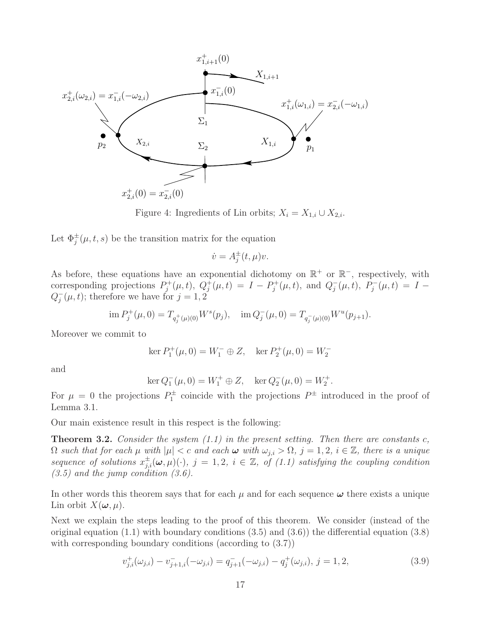

Figure 4: Ingredients of Lin orbits;  $X_i = X_{1,i} \cup X_{2,i}$ .

Let  $\Phi_j^{\pm}(\mu, t, s)$  be the transition matrix for the equation

$$
\dot{v} = A_j^{\pm}(t, \mu)v.
$$

As before, these equations have an exponential dichotomy on  $\mathbb{R}^+$  or  $\mathbb{R}^-$ , respectively, with corresponding projections  $P_j^+(\mu, t)$ ,  $Q_j^+(\mu, t) = I - P_j^+(\mu, t)$ , and  $Q_j^-(\mu, t)$ ,  $P_j^-(\mu, t) = I Q_i^$  $j(\mu, t)$ ; therefore we have for  $j = 1, 2$ 

$$
\operatorname{im} P_j^+(\mu, 0) = T_{q_j^+(\mu)(0)} W^s(p_j), \quad \operatorname{im} Q_j^-(\mu, 0) = T_{q_j^-(\mu)(0)} W^u(p_{j+1}).
$$

Moreover we commit to

$$
\ker P_1^+(\mu, 0) = W_1^- \oplus Z, \quad \ker P_2^+(\mu, 0) = W_2^-
$$

and

$$
\ker Q_1^-(\mu, 0) = W_1^+ \oplus Z, \quad \ker Q_2^-(\mu, 0) = W_2^+.
$$

For  $\mu = 0$  the projections  $P_{1}^{\pm}$  coincide with the projections  $P^{\pm}$  introduced in the proof of Lemma 3.1.

Our main existence result in this respect is the following:

**Theorem 3.2.** Consider the system  $(1.1)$  in the present setting. Then there are constants c,  $\Omega$  such that for each  $\mu$  with  $|\mu| < c$  and each  $\omega$  with  $\omega_{j,i} > \Omega$ ,  $j = 1, 2, i \in \mathbb{Z}$ , there is a unique sequence of solutions  $x_{j,i}^{\pm}(\omega,\mu)(\cdot)$ ,  $j=1,2$ ,  $i \in \mathbb{Z}$ , of (1.1) satisfying the coupling condition  $(3.5)$  and the jump condition  $(3.6)$ .

In other words this theorem says that for each  $\mu$  and for each sequence  $\omega$  there exists a unique Lin orbit  $X(\boldsymbol{\omega}, \mu)$ .

Next we explain the steps leading to the proof of this theorem. We consider (instead of the original equation  $(1.1)$  with boundary conditions  $(3.5)$  and  $(3.6)$ ) the differential equation  $(3.8)$ with corresponding boundary conditions (according to  $(3.7)$ )

$$
v_{j,i}^{+}(\omega_{j,i}) - v_{j+1,i}^{-}(-\omega_{j,i}) = q_{j+1}^{-}(-\omega_{j,i}) - q_{j}^{+}(\omega_{j,i}), j = 1, 2,
$$
\n(3.9)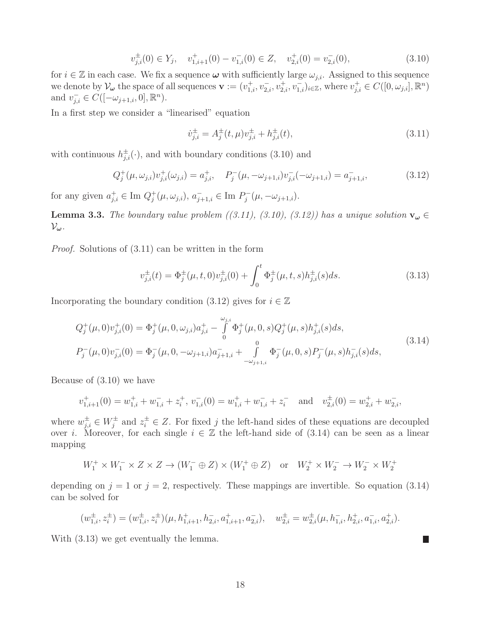$$
v_{j,i}^{\pm}(0) \in Y_j, \quad v_{1,i+1}^+(0) - v_{1,i}^-(0) \in Z, \quad v_{2,i}^+(0) = v_{2,i}^-(0), \tag{3.10}
$$

for  $i \in \mathbb{Z}$  in each case. We fix a sequence  $\boldsymbol{\omega}$  with sufficiently large  $\omega_{j,i}$ . Assigned to this sequence we denote by  $\mathcal{V}_{\boldsymbol{\omega}}$  the space of all sequences  $\mathbf{v} := (v_{1,i}^+, v_{2,i}^-, v_{2,i}^+, v_{1,i}^-)_{i \in \mathbb{Z}}$ , where  $v_{j,i}^+ \in C([0, \omega_{j,i}], \mathbb{R}^n)$ and  $v_{j,i}^- \in C([-\omega_{j+1,i},0], \mathbb{R}^n)$ .

In a first step we consider a "linearised" equation

$$
\dot{v}_{j,i}^{\pm} = A_j^{\pm}(t,\mu)v_{j,i}^{\pm} + h_{j,i}^{\pm}(t),\tag{3.11}
$$

with continuous  $h_{j,i}^{\pm}(\cdot)$ , and with boundary conditions (3.10) and

$$
Q_j^+(\mu, \omega_{j,i})v_{j,i}^+(\omega_{j,i}) = a_{j,i}^+, \quad P_j^-(\mu, -\omega_{j+1,i})v_{j,i}^-(-\omega_{j+1,i}) = a_{j+1,i}^-, \tag{3.12}
$$

for any given  $a_{j,i}^+ \in \text{Im } Q_j^+(\mu, \omega_{j,i}), a_{j+1,i}^- \in \text{Im } P_j^-(\mu, -\omega_{j+1,i}).$ 

**Lemma 3.3.** The boundary value problem  $((3.11), (3.10), (3.12))$  has a unique solution  $\mathbf{v}_{\boldsymbol{\omega}} \in$  $\mathcal{V}_{\omega}$ .

Proof. Solutions of (3.11) can be written in the form

$$
v_{j,i}^{\pm}(t) = \Phi_j^{\pm}(\mu, t, 0)v_{j,i}^{\pm}(0) + \int_0^t \Phi_j^{\pm}(\mu, t, s)h_{j,i}^{\pm}(s)ds.
$$
 (3.13)

Incorporating the boundary condition (3.12) gives for  $i \in \mathbb{Z}$ 

$$
Q_j^+(\mu,0)v_{j,i}^+(0) = \Phi_j^+(\mu,0,\omega_{j,i})a_{j,i}^+ - \int_0^{\omega_{j,i}} \Phi_j^+(\mu,0,s)Q_j^+(\mu,s)h_{j,i}^+(s)ds,
$$
  
\n
$$
P_j^-(\mu,0)v_{j,i}^-(0) = \Phi_j^-(\mu,0,-\omega_{j+1,i})a_{j+1,i}^- + \int_{-\omega_{j+1,i}}^0 \Phi_j^-(\mu,0,s)P_j^-(\mu,s)h_{j,i}^-(s)ds,
$$
\n(3.14)

Because of (3.10) we have

$$
v_{1,i+1}^+(0) = w_{1,i}^+ + w_{1,i}^- + z_i^+, v_{1,i}^-(0) = w_{1,i}^+ + w_{1,i}^- + z_i^-
$$
 and  $v_{2,i}^+(0) = w_{2,i}^+ + w_{2,i}^-,$ 

where  $w_{j,i}^{\pm} \in W_j^{\pm}$  and  $z_i^{\pm} \in Z$ . For fixed j the left-hand sides of these equations are decoupled over *i*. Moreover, for each single  $i \in \mathbb{Z}$  the left-hand side of (3.14) can be seen as a linear mapping

$$
W_1^+ \times W_1^- \times Z \times Z \to (W_1^- \oplus Z) \times (W_1^+ \oplus Z) \quad \text{or} \quad W_2^+ \times W_2^- \to W_2^- \times W_2^+
$$

depending on  $j = 1$  or  $j = 2$ , respectively. These mappings are invertible. So equation (3.14) can be solved for

$$
(w_{1,i}^{\pm}, z_i^{\pm}) = (w_{1,i}^{\pm}, z_i^{\pm}) (\mu, h_{1,i+1}^+, h_{2,i}^-, a_{1,i+1}^+, a_{2,i}^-), \quad w_{2,i}^{\pm} = w_{2,i}^{\pm} (\mu, h_{1,i}^-, h_{2,i}^+, a_{1,i}^-, a_{2,i}^+).
$$

 $\mathcal{L}_{\mathcal{A}}$ 

With (3.13) we get eventually the lemma.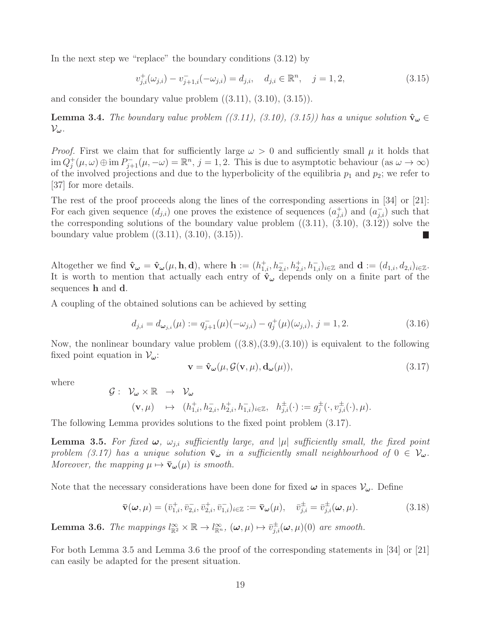In the next step we "replace" the boundary conditions (3.12) by

$$
v_{j,i}^{+}(\omega_{j,i}) - v_{j+1,i}^{-}(-\omega_{j,i}) = d_{j,i}, \quad d_{j,i} \in \mathbb{R}^{n}, \quad j = 1, 2,
$$
\n(3.15)

and consider the boundary value problem  $((3.11), (3.10), (3.15))$ .

**Lemma 3.4.** The boundary value problem ((3.11), (3.10), (3.15)) has a unique solution  $\hat{\mathbf{v}}_{\omega} \in$  $\mathcal{V}_{\omega}$ .

*Proof.* First we claim that for sufficiently large  $\omega > 0$  and sufficiently small  $\mu$  it holds that  $\lim Q_j^+(\mu,\omega) \oplus \lim P_{j+1}^-(\mu,-\omega) = \mathbb{R}^n$ ,  $j = 1,2$ . This is due to asymptotic behaviour  $(\text{as } \omega \to \infty)$ of the involved projections and due to the hyperbolicity of the equilibria  $p_1$  and  $p_2$ ; we refer to [37] for more details.

The rest of the proof proceeds along the lines of the corresponding assertions in [34] or [21]: For each given sequence  $(d_{j,i})$  one proves the existence of sequences  $(a_{j,i}^+)$  and  $(a_{j,i}^-)$  such that the corresponding solutions of the boundary value problem  $((3.11), (3.10), (3.12))$  solve the boundary value problem  $((3.11), (3.10), (3.15)).$ L.

Altogether we find  $\hat{\mathbf{v}}_{\boldsymbol{\omega}} = \hat{\mathbf{v}}_{\boldsymbol{\omega}}(\mu, \mathbf{h}, \mathbf{d}),$  where  $\mathbf{h} := (h_{1,i}^+, h_{2,i}^-, h_{2,i}^+, h_{1,i}^-)_{i \in \mathbb{Z}}$  and  $\mathbf{d} := (d_{1,i}, d_{2,i})_{i \in \mathbb{Z}}$ . It is worth to mention that actually each entry of  $\hat{v}_\omega$  depends only on a finite part of the sequences h and d.

A coupling of the obtained solutions can be achieved by setting

$$
d_{j,i} = d_{\omega_{j,i}}(\mu) := q_{j+1}^-(\mu)(-\omega_{j,i}) - q_j^+(\mu)(\omega_{j,i}), \ j = 1, 2. \tag{3.16}
$$

Now, the nonlinear boundary value problem  $((3.8),(3.9),(3.10))$  is equivalent to the following fixed point equation in  $\mathcal{V}_{\omega}$ :

$$
\mathbf{v} = \hat{\mathbf{v}}_{\omega}(\mu, \mathcal{G}(\mathbf{v}, \mu), \mathbf{d}_{\omega}(\mu)), \tag{3.17}
$$

where

$$
\begin{array}{cccc}\mathcal{G}:& \mathcal{V}_{\omega}\times\mathbb{R}&\rightarrow& \mathcal{V}_{\omega}\\ & (\mathbf{v},\mu)&\mapsto&(h_{1,i}^+,h_{2,i}^-,h_{2,i}^+,h_{1,i}^-)_{i\in\mathbb{Z}},& h_{j,i}^{\pm}(\cdot):=g_j^{\pm}(\cdot,v_{j,i}^{\pm}(\cdot),\mu).\end{array}
$$

The following Lemma provides solutions to the fixed point problem (3.17).

**Lemma 3.5.** For fixed  $\omega$ ,  $\omega_{j,i}$  sufficiently large, and |µ| sufficiently small, the fixed point problem (3.17) has a unique solution  $\bar{v}_{\omega}$  in a sufficiently small neighbourhood of  $0 \in V_{\omega}$ . Moreover, the mapping  $\mu \mapsto \bar{\mathbf{v}}_{\boldsymbol{\omega}}(\mu)$  is smooth.

Note that the necessary considerations have been done for fixed  $\omega$  in spaces  $V_{\omega}$ . Define

$$
\overline{\mathbf{v}}(\boldsymbol{\omega},\mu) = (\overline{v}_{1,i}^+, \overline{v}_{2,i}^-, \overline{v}_{2,i}^+, \overline{v}_{1,i}^-)_{i \in \mathbb{Z}} := \overline{\mathbf{v}}_{\boldsymbol{\omega}}(\mu), \quad \overline{v}_{j,i}^\pm = \overline{v}_{j,i}^\pm(\boldsymbol{\omega},\mu). \tag{3.18}
$$

**Lemma 3.6.** The mappings  $l_{\mathbb{R}^2}^{\infty} \times \mathbb{R} \to l_{\mathbb{R}^n}^{\infty}$ ,  $(\omega, \mu) \mapsto \bar{v}_{j,i}^{\pm}(\omega, \mu)(0)$  are smooth.

For both Lemma 3.5 and Lemma 3.6 the proof of the corresponding statements in [34] or [21] can easily be adapted for the present situation.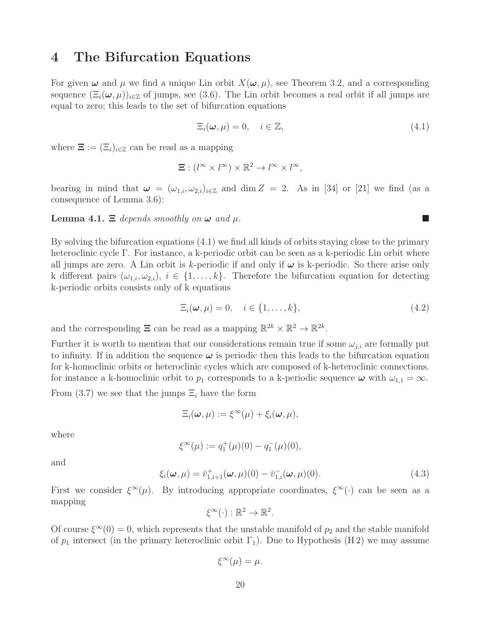## 4 The Bifurcation Equations

For given  $\omega$  and  $\mu$  we find a unique Lin orbit  $X(\omega, \mu)$ , see Theorem 3.2, and a corresponding sequence  $(\Xi_i(\omega,\mu))_{i\in\mathbb{Z}}$  of jumps, see (3.6). The Lin orbit becomes a real orbit if all jumps are equal to zero; this leads to the set of bifurcation equations

$$
\Xi_i(\boldsymbol{\omega}, \mu) = 0, \quad i \in \mathbb{Z}, \tag{4.1}
$$

where  $\Xi := (\Xi_i)_{i \in \mathbb{Z}}$  can be read as a mapping

$$
\Xi: (l^{\infty} \times l^{\infty}) \times \mathbb{R}^2 \to l^{\infty} \times l^{\infty},
$$

bearing in mind that  $\omega = (\omega_{1,i}, \omega_{2,i})_{i \in \mathbb{Z}}$  and dim  $Z = 2$ . As in [34] or [21] we find (as a consequence of Lemma 3.6):

**Lemma 4.1.**  $\Xi$  depends smoothly on  $\omega$  and  $\mu$ .

By solving the bifurcation equations (4.1) we find all kinds of orbits staying close to the primary heteroclinic cycle Γ. For instance, a k-periodic orbit can be seen as a k-periodic Lin orbit where all jumps are zero. A Lin orbit is k-periodic if and only if  $\omega$  is k-periodic. So there arise only k different pairs  $(\omega_{1,i}, \omega_{2,i}), i \in \{1, \ldots, k\}$ . Therefore the bifurcation equation for detecting k-periodic orbits consists only of k equations

$$
\Xi_i(\boldsymbol{\omega}, \mu) = 0, \quad i \in \{1, \dots, k\},\tag{4.2}
$$

and the corresponding  $\Xi$  can be read as a mapping  $\mathbb{R}^{2k} \times \mathbb{R}^2 \to \mathbb{R}^{2k}$ .

Further it is worth to mention that our considerations remain true if some  $\omega_{j,i}$  are formally put to infinity. If in addition the sequence  $\omega$  is periodic then this leads to the bifurcation equation for k-homoclinic orbits or heteroclinic cycles which are composed of k-heteroclinic connections. for instance a k-homoclinic orbit to  $p_1$  corresponds to a k-periodic sequence  $\omega$  with  $\omega_{1,1} = \infty$ . From (3.7) we see that the jumps  $\Xi_i$  have the form

$$
\Xi_i(\boldsymbol{\omega},\mu) := \xi^\infty(\mu) + \xi_i(\boldsymbol{\omega},\mu),
$$

where

$$
\xi^{\infty}(\mu) := q_1^+(\mu)(0) - q_1^-(\mu)(0),
$$

and

$$
\xi_i(\boldsymbol{\omega}, \mu) = \bar{v}_{1,i+1}^+(\boldsymbol{\omega}, \mu)(0) - \bar{v}_{1,i}^-(\boldsymbol{\omega}, \mu)(0). \tag{4.3}
$$

First we consider  $\xi^{\infty}(\mu)$ . By introducing appropriate coordinates,  $\xi^{\infty}(\cdot)$  can be seen as a mapping

$$
\xi^{\infty}(\cdot): \mathbb{R}^2 \to \mathbb{R}^2.
$$

Of course  $\xi^{\infty}(0) = 0$ , which represents that the unstable manifold of  $p_2$  and the stable manifold of  $p_1$  intersect (in the primary heteroclinic orbit  $\Gamma_1$ ). Due to Hypothesis (H2) we may assume

$$
\xi^{\infty}(\mu) = \mu.
$$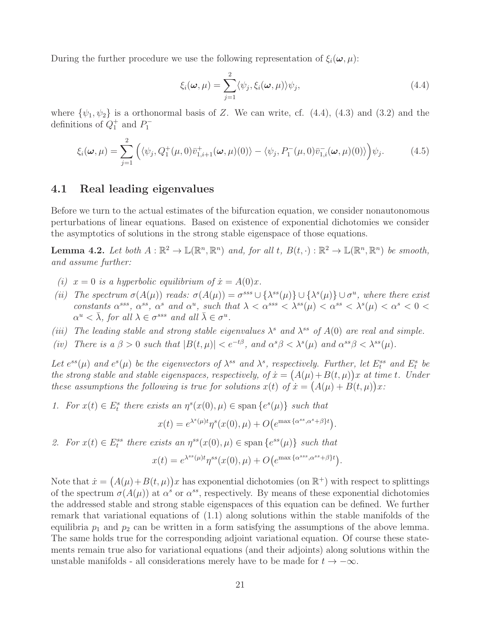During the further procedure we use the following representation of  $\xi_i(\omega, \mu)$ :

$$
\xi_i(\boldsymbol{\omega}, \mu) = \sum_{j=1}^2 \langle \psi_j, \xi_i(\boldsymbol{\omega}, \mu) \rangle \psi_j,
$$
\n(4.4)

where  $\{\psi_1, \psi_2\}$  is a orthonormal basis of Z. We can write, cf. (4.4), (4.3) and (3.2) and the definitions of  $Q_1^+$  and  $P_1^-$ 

$$
\xi_i(\boldsymbol{\omega}, \mu) = \sum_{j=1}^2 \left( \langle \psi_j, Q_1^+(\mu, 0) \bar{v}_{1,i+1}^+(\boldsymbol{\omega}, \mu)(0) \rangle - \langle \psi_j, P_1^-(\mu, 0) \bar{v}_{1,i}^-(\boldsymbol{\omega}, \mu)(0) \rangle \right) \psi_j.
$$
 (4.5)

### 4.1 Real leading eigenvalues

Before we turn to the actual estimates of the bifurcation equation, we consider nonautonomous perturbations of linear equations. Based on existence of exponential dichotomies we consider the asymptotics of solutions in the strong stable eigenspace of those equations.

**Lemma 4.2.** Let both  $A : \mathbb{R}^2 \to \mathbb{L}(\mathbb{R}^n, \mathbb{R}^n)$  and, for all t,  $B(t, \cdot) : \mathbb{R}^2 \to \mathbb{L}(\mathbb{R}^n, \mathbb{R}^n)$  be smooth, and assume further:

- (i)  $x = 0$  is a hyperbolic equilibrium of  $\dot{x} = A(0)x$ .
- (ii) The spectrum  $\sigma(A(\mu))$  reads:  $\sigma(A(\mu)) = \sigma^{sss} \cup {\lambda^{ss}(\mu)} \cup {\lambda^{s}(\mu)} \cup \sigma^{u}$ , where there exist constants  $\alpha^{sss}$ ,  $\alpha^{ss}$ ,  $\alpha^s$  and  $\alpha^u$ , such that  $\lambda < \alpha^{sss} < \lambda^{ss}(\mu) < \alpha^{ss} < \lambda^{s}(\mu) < \alpha^s < 0$  $\alpha^u < \bar{\lambda}$ , for all  $\lambda \in \sigma^{sss}$  and all  $\bar{\lambda} \in \sigma^u$ .
- (iii) The leading stable and strong stable eigenvalues  $\lambda^s$  and  $\lambda^{ss}$  of  $A(0)$  are real and simple.
- (iv) There is  $a \beta > 0$  such that  $|B(t,\mu)| < e^{-t\beta}$ , and  $\alpha^{s}\beta < \lambda^{s}(\mu)$  and  $\alpha^{ss}\beta < \lambda^{ss}(\mu)$ .

Let  $e^{ss}(\mu)$  and  $e^s(\mu)$  be the eigenvectors of  $\lambda^{ss}$  and  $\lambda^s$ , respectively. Further, let  $E_t^{ss}$  and  $E_t^s$  be the strong stable and stable eigenspaces, respectively, of  $\dot{x} = (A(\mu) + B(t, \mu))x$  at time t. Under these assumptions the following is true for solutions  $x(t)$  of  $\dot{x} = (A(\mu) + B(t, \mu))x$ :

1. For  $x(t) \in E_t^s$  there exists an  $\eta^s(x(0), \mu) \in \text{span}\{e^s(\mu)\}\$  such that

$$
x(t) = e^{\lambda^s(\mu)t} \eta^s(x(0), \mu) + O(e^{\max\{\alpha^{ss}, \alpha^s + \beta\}t}).
$$

2. For  $x(t) \in E_t^{ss}$  there exists an  $\eta^{ss}(x(0), \mu) \in \text{span}\{e^{ss}(\mu)\}\$  such that

$$
x(t) = e^{\lambda^{ss}(\mu)t} \eta^{ss}(x(0), \mu) + O(e^{\max\{\alpha^{sss}, \alpha^{ss} + \beta\}t}).
$$

Note that  $\dot{x} = (A(\mu) + B(t, \mu))x$  has exponential dichotomies (on  $\mathbb{R}^+$ ) with respect to splittings of the spectrum  $\sigma(A(\mu))$  at  $\alpha^s$  or  $\alpha^{ss}$ , respectively. By means of these exponential dichotomies the addressed stable and strong stable eigenspaces of this equation can be defined. We further remark that variational equations of (1.1) along solutions within the stable manifolds of the equilibria  $p_1$  and  $p_2$  can be written in a form satisfying the assumptions of the above lemma. The same holds true for the corresponding adjoint variational equation. Of course these statements remain true also for variational equations (and their adjoints) along solutions within the unstable manifolds - all considerations merely have to be made for  $t \to -\infty$ .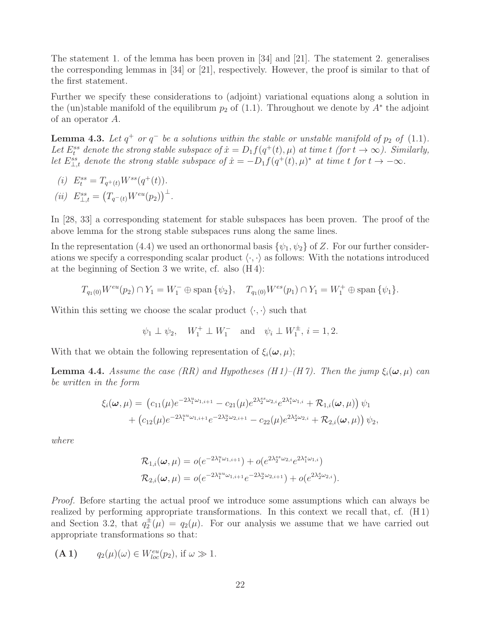The statement 1. of the lemma has been proven in [34] and [21]. The statement 2. generalises the corresponding lemmas in [34] or [21], respectively. However, the proof is similar to that of the first statement.

Further we specify these considerations to (adjoint) variational equations along a solution in the (un)stable manifold of the equilibrum  $p_2$  of (1.1). Throughout we denote by  $A^*$  the adjoint of an operator A.

**Lemma 4.3.** Let  $q^+$  or  $q^-$  be a solutions within the stable or unstable manifold of  $p_2$  of  $(1.1)$ . Let  $E_t^{ss}$  denote the strong stable subspace of  $\dot{x} = D_1 f(q^+(t), \mu)$  at time t (for  $t \to \infty$ ). Similarly, let  $E_{\perp,t}^{ss}$  denote the strong stable subspace of  $\dot{x} = -D_1 f(q^+(t), \mu)^*$  at time t for  $t \to -\infty$ .

(i) 
$$
E_t^{ss} = T_{q^+(t)} W^{ss}(q^+(t)).
$$

(ii) 
$$
E_{\perp,t}^{ss} = (T_{q^-(t)}W^{eu}(p_2))^{\perp}
$$
.

In [28, 33] a corresponding statement for stable subspaces has been proven. The proof of the above lemma for the strong stable subspaces runs along the same lines.

In the representation (4.4) we used an orthonormal basis  $\{\psi_1, \psi_2\}$  of Z. For our further considerations we specify a corresponding scalar product  $\langle \cdot, \cdot \rangle$  as follows: With the notations introduced at the beginning of Section 3 we write, cf. also (H 4):

$$
T_{q_1(0)}W^{eu}(p_2) \cap Y_1 = W_1^- \oplus \text{span}\{\psi_2\}, \quad T_{q_1(0)}W^{es}(p_1) \cap Y_1 = W_1^+ \oplus \text{span}\{\psi_1\}.
$$

Within this setting we choose the scalar product  $\langle \cdot, \cdot \rangle$  such that

$$
\psi_1 \perp \psi_2
$$
,  $W_1^+ \perp W_1^-$  and  $\psi_i \perp W_1^{\pm}$ ,  $i = 1, 2$ .

With that we obtain the following representation of  $\xi_i(\boldsymbol{\omega}, \mu)$ ;

**Lemma 4.4.** Assume the case (RR) and Hypotheses (H 1)–(H 7). Then the jump  $\xi_i(\omega,\mu)$  can be written in the form

$$
\xi_i(\boldsymbol{\omega}, \mu) = (c_{11}(\mu)e^{-2\lambda_1^u\omega_{1,i+1}} - c_{21}(\mu)e^{2\lambda_2^{s\omega_{2,i}}}e^{2\lambda_1^s\omega_{1,i}} + \mathcal{R}_{1,i}(\boldsymbol{\omega}, \mu)) \psi_1 + (c_{12}(\mu)e^{-2\lambda_1^u\omega_{1,i+1}}e^{-2\lambda_2^u\omega_{2,i+1}} - c_{22}(\mu)e^{2\lambda_2^s\omega_{2,i}} + \mathcal{R}_{2,i}(\boldsymbol{\omega}, \mu)) \psi_2,
$$

where

$$
\mathcal{R}_{1,i}(\omega,\mu) = o(e^{-2\lambda_1^u\omega_{1,i+1}}) + o(e^{2\lambda_2^{ss}\omega_{2,i}}e^{2\lambda_1^s\omega_{1,i}})
$$
  

$$
\mathcal{R}_{2,i}(\omega,\mu) = o(e^{-2\lambda_1^u\omega_{1,i+1}}e^{-2\lambda_2^u\omega_{2,i+1}}) + o(e^{2\lambda_2^s\omega_{2,i}}).
$$

Proof. Before starting the actual proof we introduce some assumptions which can always be realized by performing appropriate transformations. In this context we recall that, cf. (H 1) and Section 3.2, that  $q_2^{\pm}(\mu) = q_2(\mu)$ . For our analysis we assume that we have carried out appropriate transformations so that:

$$
(\mathbf{A} \mathbf{1}) \qquad q_2(\mu)(\omega) \in W^{eu}_{loc}(p_2), \text{ if } \omega \gg 1.
$$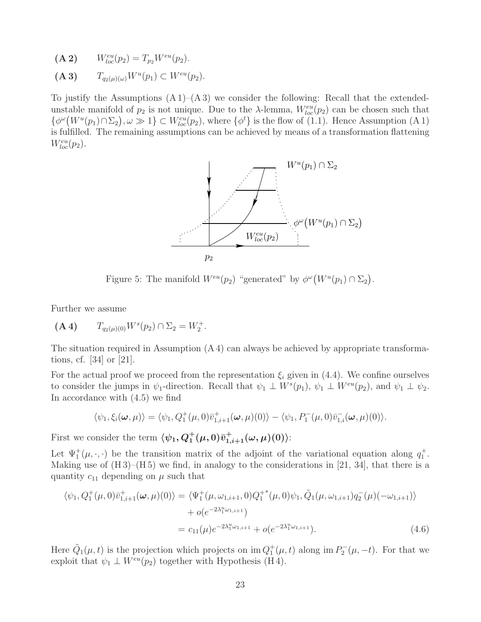- (A 2)  $W_{loc}^{eu}(p_2) = T_{p_2}W^{eu}(p_2).$
- (A 3)  $T_{q_2(\mu)(\omega)} W^u(p_1) \subset W^{eu}(p_2).$

To justify the Assumptions  $(A 1)$ – $(A 3)$  we consider the following: Recall that the extendedunstable manifold of  $p_2$  is not unique. Due to the  $\lambda$ -lemma,  $W_{loc}^{eu}(p_2)$  can be chosen such that  $\{\phi^{\omega}(W^u(p_1) \cap \Sigma_2), \omega \gg 1\} \subset W^{eu}_{loc}(p_2)$ , where  $\{\phi^t\}$  is the flow of (1.1). Hence Assumption (A 1) is fulfilled. The remaining assumptions can be achieved by means of a transformation flattening  $W^{eu}_{loc}(p_2)$ .



Figure 5: The manifold  $W^{eu}(p_2)$  "generated" by  $\phi^{\omega}(W^u(p_1) \cap \Sigma_2)$ .

Further we assume

$$
(\mathbf{A} \mathbf{4}) \qquad T_{q_2(\mu)(0)} W^s(p_2) \cap \Sigma_2 = W_2^+.
$$

The situation required in Assumption  $(A 4)$  can always be achieved by appropriate transformations, cf. [34] or [21].

For the actual proof we proceed from the representation  $\xi_i$  given in (4.4). We confine ourselves to consider the jumps in  $\psi_1$ -direction. Recall that  $\psi_1 \perp W^s(p_1)$ ,  $\psi_1 \perp W^{eu}(p_2)$ , and  $\psi_1 \perp \psi_2$ . In accordance with (4.5) we find

$$
\langle \psi_1, \xi_i(\boldsymbol{\omega}, \mu) \rangle = \langle \psi_1, Q_1^+(\mu, 0) \overline{v}_{1,i+1}^+(\boldsymbol{\omega}, \mu)(0) \rangle - \langle \psi_1, P_1^-(\mu, 0) \overline{v}_{1,i}^-(\boldsymbol{\omega}, \mu)(0) \rangle.
$$

First we consider the term  $\langle \psi_1, Q_1^+(\mu, 0)\bar{v}_{1,i+1}^+(\omega, \mu)(0) \rangle$ :

Let  $\Psi_1^+(\mu,\cdot,\cdot)$  be the transition matrix of the adjoint of the variational equation along  $q_1^+$ . Making use of  $(H3)$ – $(H5)$  we find, in analogy to the considerations in [21, 34], that there is a quantity  $c_{11}$  depending on  $\mu$  such that

$$
\langle \psi_1, Q_1^+(\mu, 0)\bar{v}_{1,i+1}^+(\omega, \mu)(0) \rangle = \langle \Psi_1^+(\mu, \omega_{1,i+1}, 0)Q_1^{+*}(\mu, 0)\psi_1, \tilde{Q}_1(\mu, \omega_{1,i+1})q_2^-(\mu)(-\omega_{1,i+1}) \rangle + o(e^{-2\lambda_1^u\omega_{1,i+1}}) = c_{11}(\mu)e^{-2\lambda_1^u\omega_{1,i+1}} + o(e^{-2\lambda_1^u\omega_{1,i+1}}).
$$
(4.6)

Here  $\tilde{Q}_1(\mu, t)$  is the projection which projects on  $\text{im } Q_1^+(\mu, t)$  along  $\text{im } P_2^-(\mu, -t)$ . For that we exploit that  $\psi_1 \perp W^{eu}(p_2)$  together with Hypothesis (H4).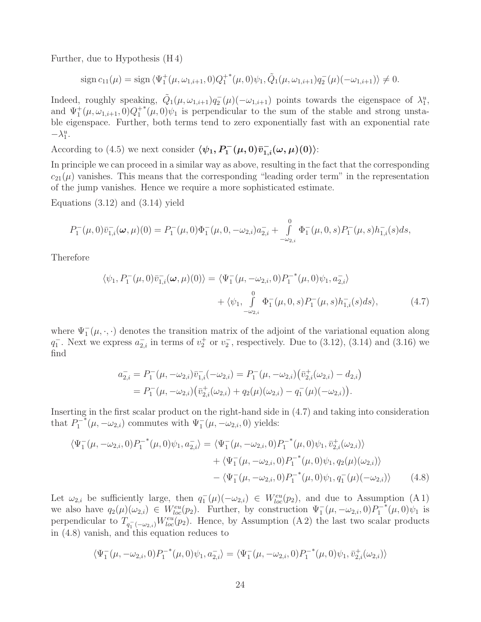Further, due to Hypothesis (H 4)

$$
\operatorname{sign} c_{11}(\mu) = \operatorname{sign} \langle \Psi_1^+(\mu, \omega_{1,i+1}, 0) Q_1^{+*}(\mu, 0) \psi_1, \tilde{Q}_1(\mu, \omega_{1,i+1}) q_2^-(\mu) (-\omega_{1,i+1}) \rangle \neq 0.
$$

Indeed, roughly speaking,  $\tilde{Q}_1(\mu, \omega_{1,i+1})q_2(\mu)(-\omega_{1,i+1})$  points towards the eigenspace of  $\lambda_1^u$ , and  $\Psi_1^+(\mu, \omega_{1,i+1}, 0)Q_1^+$  $*(\mu, 0)\psi_1$  is perpendicular to the sum of the stable and strong unstable eigenspace. Further, both terms tend to zero exponentially fast with an exponential rate  $-\lambda_1^u$ .

According to (4.5) we next consider  $\langle \psi_1, P_1^-(\mu, 0)\bar{v}_{1,i}^-(\omega,\mu)(0)\rangle$ :

In principle we can proceed in a similar way as above, resulting in the fact that the corresponding  $c_{21}(\mu)$  vanishes. This means that the corresponding "leading order term" in the representation of the jump vanishes. Hence we require a more sophisticated estimate.

Equations  $(3.12)$  and  $(3.14)$  yield

$$
P_1^-(\mu,0)\bar{v}_{1,i}^-(\omega,\mu)(0) = P_1^-(\mu,0)\Phi_1^-(\mu,0,-\omega_{2,i})a_{2,i}^- + \int_{-\omega_{2,i}}^0 \Phi_1^-(\mu,0,s)P_1^-(\mu,s)h_{1,i}^-(s)ds,
$$

Therefore

$$
\langle \psi_1, P_1^-(\mu, 0)\bar{v}_{1,i}^-(\omega, \mu)(0) \rangle = \langle \Psi_1^-(\mu, -\omega_{2,i}, 0)P_1^{-*}(\mu, 0)\psi_1, a_{2,i}^- \rangle + \langle \psi_1, \int_{-\omega_{2,i}}^0 \Phi_1^-(\mu, 0, s)P_1^-(\mu, s)h_{1,i}^-(s)ds \rangle, \tag{4.7}
$$

where  $\Psi_1^-(\mu, \cdot, \cdot)$  denotes the transition matrix of the adjoint of the variational equation along  $q_1^-$ . Next we express  $a_{2,i}^-$  in terms of  $v_2^+$  or  $v_2^-$ , respectively. Due to (3.12), (3.14) and (3.16) we find

$$
a_{2,i}^- = P_1^-(\mu, -\omega_{2,i})\overline{v}_{1,i}^-(-\omega_{2,i}) = P_1^-(\mu, -\omega_{2,i})\left(\overline{v}_{2,i}^+(\omega_{2,i}) - d_{2,i}\right)
$$
  
= 
$$
P_1^-(\mu, -\omega_{2,i})\left(\overline{v}_{2,i}^+(\omega_{2,i}) + q_2(\mu)(\omega_{2,i}) - q_1^-(\mu)(-\omega_{2,i})\right).
$$

Inserting in the first scalar product on the right-hand side in (4.7) and taking into consideration that  $P_1^-$ <sup>\*</sup> $(\mu, -\omega_{2,i})$  commutes with  $\Psi$ <sup>-</sup><sub>1</sub></sub> $(\mu, -\omega_{2,i}, 0)$  yields:

$$
\langle \Psi_1^-(\mu, -\omega_{2,i}, 0) P_1^{-*}(\mu, 0) \psi_1, a_{2,i}^- \rangle = \langle \Psi_1^-(\mu, -\omega_{2,i}, 0) P_1^{-*}(\mu, 0) \psi_1, \overline{\psi}_{2,i}^+(\omega_{2,i}) \rangle \n+ \langle \Psi_1^-(\mu, -\omega_{2,i}, 0) P_1^{-*}(\mu, 0) \psi_1, q_2(\mu)(\omega_{2,i}) \rangle \n- \langle \Psi_1^-(\mu, -\omega_{2,i}, 0) P_1^{-*}(\mu, 0) \psi_1, q_1^-(\mu)(-\omega_{2,i}) \rangle
$$
\n(4.8)

Let  $\omega_{2,i}$  be sufficiently large, then  $q_1(\mu)(-\omega_{2,i}) \in W_{loc}^{eu}(p_2)$ , and due to Assumption (A 1) we also have  $q_2(\mu)(\omega_{2,i}) \in W_{loc}^{eu}(p_2)$ . Further, by construction  $\Psi_1^-(\mu, -\omega_{2,i}, 0)P_1^ ^*(\mu,0)\psi_1$  is perpendicular to  $T_{q_1^-(-\omega_{2,i})}W_{loc}^{eu}(p_2)$ . Hence, by Assumption (A 2) the last two scalar products in (4.8) vanish, and this equation reduces to

$$
\langle \Psi_1^-(\mu, -\omega_{2,i}, 0) P_1^{-*}(\mu, 0) \psi_1, a_{2,i}^- \rangle = \langle \Psi_1^-(\mu, -\omega_{2,i}, 0) P_1^{-*}(\mu, 0) \psi_1, \overline{v}_{2,i}^+(\omega_{2,i}) \rangle
$$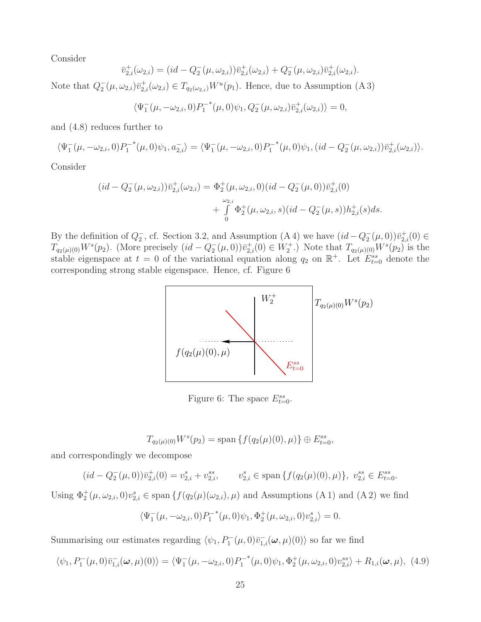Consider

$$
\bar{v}_{2,i}^{+}(\omega_{2,i}) = (id - Q_2^{-}(\mu, \omega_{2,i}))\bar{v}_{2,i}^{+}(\omega_{2,i}) + Q_2^{-}(\mu, \omega_{2,i})\bar{v}_{2,i}^{+}(\omega_{2,i}).
$$

Note that  $Q_2^-(\mu,\omega_{2,i})\bar{v}_{2,i}^+(\omega_{2,i}) \in T_{q_2(\omega_{2,i})}W^u(p_1)$ . Hence, due to Assumption (A 3)

$$
\langle \Psi_1^-(\mu, -\omega_{2,i}, 0) P_1^{-*}(\mu, 0) \psi_1, Q_2^-(\mu, \omega_{2,i}) \overline{v}_{2,i}^+(\omega_{2,i}) \rangle = 0,
$$

and (4.8) reduces further to

$$
\langle \Psi_1^-(\mu, -\omega_{2,i}, 0) P_1^{-*}(\mu, 0) \psi_1, a_{2,i}^- \rangle = \langle \Psi_1^-(\mu, -\omega_{2,i}, 0) P_1^{-*}(\mu, 0) \psi_1, (id - Q_2^-(\mu, \omega_{2,i})) \overline{v}_{2,i}^+(\omega_{2,i}) \rangle.
$$

Consider

$$
(id - Q_2^-(\mu, \omega_{2,i}))\overline{v}_{2,i}^+(\omega_{2,i}) = \Phi_2^+(\mu, \omega_{2,i}, 0)(id - Q_2^-(\mu, 0))\overline{v}_{2,i}^+(0) + \int_0^{\omega_{2,i}} \Phi_2^+(\mu, \omega_{2,i}, s)(id - Q_2^-(\mu, s))h_{2,i}^+(s)ds.
$$

By the definition of  $Q_2^-$ , cf. Section 3.2, and Assumption (A 4) we have  $(id - Q_2^-(\mu, 0))\bar{v}_{2,i}^+(0) \in$  $T_{q_2(\mu)(0)}W^s(p_2)$ . (More precisely  $(id - Q_2^{-}(\mu, 0))\bar{v}_{2,i}^+(0) \in W_2^+$ .) Note that  $T_{q_2(\mu)(0)}W^s(p_2)$  is the stable eigenspace at  $t = 0$  of the variational equation along  $q_2$  on  $\mathbb{R}^+$ . Let  $E_{t=0}^{ss}$  denote the corresponding strong stable eigenspace. Hence, cf. Figure 6



Figure 6: The space  $E_{t=0}^{ss}$ .

$$
T_{q_2(\mu)(0)}W^s(p_2) = \text{span}\left\{f(q_2(\mu)(0), \mu)\right\} \oplus E_{t=0}^{ss},
$$

and correspondingly we decompose

$$
(id - Q_2^-(\mu, 0))\bar{v}_{2,i}^+(0) = v_{2,i}^s + v_{2,i}^{ss}, \qquad v_{2,i}^s \in \text{span}\left\{f(q_2(\mu)(0), \mu)\right\}, \ v_{2,i}^{ss} \in E_{t=0}^{ss}.
$$

Using  $\Phi_2^+(\mu,\omega_{2,i},0)v_{2,i}^s \in \text{span}\{f(q_2(\mu)(\omega_{2,i}),\mu)\}\$ and Assumptions (A 1) and (A 2) we find

$$
\langle \Psi_1^-(\mu, -\omega_{2,i}, 0) P_1^{-*}(\mu, 0) \psi_1, \Phi_2^+(\mu, \omega_{2,i}, 0) v_{2,i}^s \rangle = 0.
$$

Summarising our estimates regarding  $\langle \psi_1, P_1^-(\mu, 0)\overline{v}_{1,i}^-(\omega,\mu)(0)\rangle$  so far we find

$$
\langle \psi_1, P_1^-(\mu, 0) \bar{v}_{1,i}^-(\omega, \mu)(0) \rangle = \langle \Psi_1^-(\mu, -\omega_{2,i}, 0) P_1^{-*}(\mu, 0) \psi_1, \Phi_2^+(\mu, \omega_{2,i}, 0) v_{2,i}^{ss} \rangle + R_{1,i}(\omega, \mu), \tag{4.9}
$$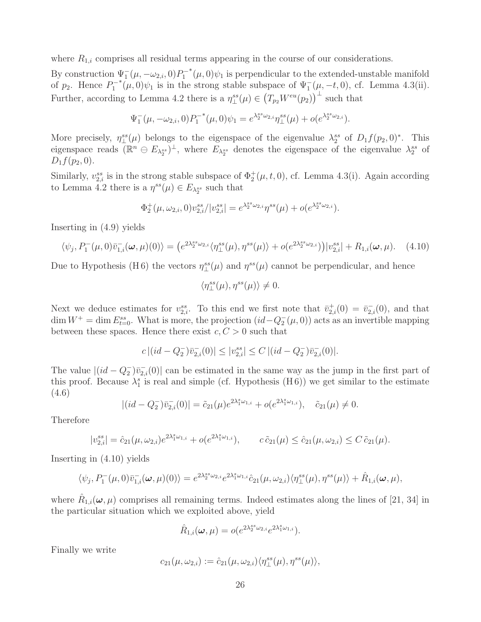where  $R_{1,i}$  comprises all residual terms appearing in the course of our considerations.

By construction  $\Psi_1^-(\mu, -\omega_{2,i}, 0)P_1^ ^*(\mu,0)\psi_1$  is perpendicular to the extended-unstable manifold of  $p_2$ . Hence  $P_1^-$ <sup>\*</sup>( $\mu$ , 0) $\psi_1$  is in the strong stable subspace of  $\Psi_1^-(\mu, -t, 0)$ , cf. Lemma 4.3(ii). Further, according to Lemma 4.2 there is a  $\eta_{\perp}^{ss}(\mu) \in (T_{p_2}W^{eu}(p_2))^{\perp}$  such that

$$
\Psi_1^-(\mu, -\omega_{2,i}, 0)P_1^{-*}(\mu, 0)\psi_1 = e^{\lambda_2^{ss}\omega_{2,i}}\eta_{\perp}^{ss}(\mu) + o(e^{\lambda_2^{ss}\omega_{2,i}}).
$$

More precisely,  $\eta_{\perp}^{ss}(\mu)$  belongs to the eigenspace of the eigenvalue  $\lambda_2^{ss}$  of  $D_1f(p_2,0)^*$ . This eigenspace reads  $\overline{(\mathbb{R}^n \ominus E_{\lambda_2^{ss}})^{\perp}}$ , where  $E_{\lambda_2^{ss}}$  denotes the eigenspace of the eigenvalue  $\lambda_2^{ss}$  of  $D_1 f(p_2, 0)$ .

Similarly,  $v_{2,i}^{ss}$  is in the strong stable subspace of  $\Phi_2^+(\mu, t, 0)$ , cf. Lemma 4.3(i). Again according to Lemma 4.2 there is a  $\eta^{ss}(\mu) \in E_{\lambda_2^{ss}}$  such that

$$
\Phi_2^+(\mu, \omega_{2,i}, 0)v_{2,i}^{ss}/|v_{2,i}^{ss}| = e^{\lambda_2^{ss}\omega_{2,i}}\eta^{ss}(\mu) + o(e^{\lambda_2^{ss}\omega_{2,i}}).
$$

Inserting in (4.9) yields

$$
\langle \psi_j, P_1^-(\mu, 0) \bar{v}_{1,i}^-(\omega, \mu)(0) \rangle = \left( e^{2\lambda_2^{ss}\omega_{2,i}} \langle \eta_{\perp}^{ss}(\mu), \eta^{ss}(\mu) \rangle + o(e^{2\lambda_2^{ss}\omega_{2,i}}) \right) |v_{2,i}^{ss}| + R_{1,i}(\omega, \mu). \tag{4.10}
$$

Due to Hypothesis (H6) the vectors  $\eta_{\perp}^{ss}(\mu)$  and  $\eta^{ss}(\mu)$  cannot be perpendicular, and hence

$$
\langle \eta_{\perp}^{ss}(\mu), \eta^{ss}(\mu)\rangle \neq 0.
$$

Next we deduce estimates for  $v_{2,i}^{ss}$ . To this end we first note that  $\bar{v}_{2,i}^+(0) = \bar{v}_{2,i}^-(0)$ , and that dim  $W^+$  = dim  $E_{t=0}^{ss}$ . What is more, the projection  $(id - Q_2^-(\mu, 0))$  acts as an invertible mapping between these spaces. Hence there exist  $c, C > 0$  such that

$$
c |(id - Q_2^-)\overline{v}_{2,i}^-(0)| \le |v_{2,i}^{ss}| \le C |(id - Q_2^-)\overline{v}_{2,i}^-(0)|.
$$

The value  $|(id - Q_2^-)\bar{v}_{2,i}(0)|$  can be estimated in the same way as the jump in the first part of this proof. Because  $\lambda_1^s$  is real and simple (cf. Hypothesis (H6)) we get similar to the estimate (4.6)

$$
|(id - Q_2^-)\bar{v}_{2,i}(0)| = \tilde{c}_{21}(\mu)e^{2\lambda_1^s\omega_{1,i}} + o(e^{2\lambda_1^s\omega_{1,i}}), \quad \tilde{c}_{21}(\mu) \neq 0.
$$

Therefore

$$
|v_{2,i}^{ss}| = \hat{c}_{21}(\mu, \omega_{2,i})e^{2\lambda_1^s \omega_{1,i}} + o(e^{2\lambda_1^s \omega_{1,i}}), \qquad c\,\tilde{c}_{21}(\mu) \le \hat{c}_{21}(\mu, \omega_{2,i}) \le C\,\tilde{c}_{21}(\mu).
$$

Inserting in (4.10) yields

$$
\langle \psi_j, P_1^-(\mu, 0) \bar{v}_{1,i}^-(\omega, \mu)(0) \rangle = e^{2\lambda_2^{ss}\omega_{2,i}} e^{2\lambda_1^s\omega_{1,i}} \hat{c}_{21}(\mu, \omega_{2,i}) \langle \eta_{\perp}^{ss}(\mu), \eta^{ss}(\mu) \rangle + \hat{R}_{1,i}(\omega, \mu),
$$

where  $\hat{R}_{1,i}(\omega,\mu)$  comprises all remaining terms. Indeed estimates along the lines of [21, 34] in the particular situation which we exploited above, yield

$$
\hat{R}_{1,i}(\boldsymbol{\omega},\mu) = o(e^{2\lambda_2^{ss}\omega_{2,i}}e^{2\lambda_1^s\omega_{1,i}}).
$$

Finally we write

$$
c_{21}(\mu, \omega_{2,i}) := \hat{c}_{21}(\mu, \omega_{2,i}) \langle \eta_{\perp}^{ss}(\mu), \eta^{ss}(\mu) \rangle,
$$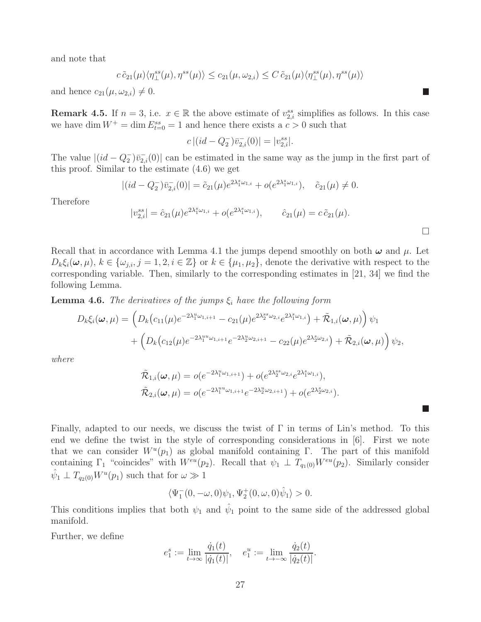and note that

 $c \tilde{c}_{21}(\mu) \langle \eta_{\perp}^{ss}(\mu), \eta^{ss}(\mu) \rangle \leq c_{21}(\mu, \omega_{2,i}) \leq C \tilde{c}_{21}(\mu) \langle \eta_{\perp}^{ss}(\mu), \eta^{ss}(\mu) \rangle$ 

and hence  $c_{21}(\mu, \omega_{2,i}) \neq 0$ .

**Remark 4.5.** If  $n = 3$ , i.e.  $x \in \mathbb{R}$  the above estimate of  $v_{2,i}^{ss}$  simplifies as follows. In this case we have dim  $W^+ = \dim E^{ss}_{t=0} = 1$  and hence there exists a  $c > 0$  such that

$$
c|(id - Q_2^-)\bar{v}_{2,i}^-(0)| = |v_{2,i}^{ss}|.
$$

The value  $|(id - Q_2^-)\bar{v}_{2,i}(0)|$  can be estimated in the same way as the jump in the first part of this proof. Similar to the estimate (4.6) we get

$$
|(id - Q_2^-)\overline{v}_{2,i}(0)| = \tilde{c}_{21}(\mu)e^{2\lambda_1^s \omega_{1,i}} + o(e^{2\lambda_1^s \omega_{1,i}}), \quad \tilde{c}_{21}(\mu) \neq 0.
$$

Therefore

$$
|v_{2,i}^{ss}| = \hat{c}_{21}(\mu)e^{2\lambda_1^s\omega_{1,i}} + o(e^{2\lambda_1^s\omega_{1,i}}), \qquad \hat{c}_{21}(\mu) = c\,\tilde{c}_{21}(\mu).
$$

 $\Box$ 

 $\Box$ 

Recall that in accordance with Lemma 4.1 the jumps depend smoothly on both  $\omega$  and  $\mu$ . Let  $D_k \xi_i(\omega, \mu)$ ,  $k \in {\{\omega_{j,i}, j = 1, 2, i \in \mathbb{Z}\}}$  or  $k \in {\{\mu_1, \mu_2\}}$ , denote the derivative with respect to the corresponding variable. Then, similarly to the corresponding estimates in [21, 34] we find the following Lemma.

**Lemma 4.6.** The derivatives of the jumps  $\xi_i$  have the following form

$$
D_{k}\xi_{i}(\boldsymbol{\omega},\mu) = \left(D_{k}(c_{11}(\mu)e^{-2\lambda_{1}^{u}\omega_{1,i+1}} - c_{21}(\mu)e^{2\lambda_{2}^{s}s\omega_{2,i}}e^{2\lambda_{1}^{s}\omega_{1,i}}\right) + \tilde{\mathcal{R}}_{1,i}(\boldsymbol{\omega},\mu)\right)\psi_{1} + \left(D_{k}(c_{12}(\mu)e^{-2\lambda_{1}^{u}\omega_{1,i+1}}e^{-2\lambda_{2}^{u}\omega_{2,i+1}} - c_{22}(\mu)e^{2\lambda_{2}^{s}\omega_{2,i}}\right) + \tilde{\mathcal{R}}_{2,i}(\boldsymbol{\omega},\mu)\right)\psi_{2},
$$

where

$$
\tilde{\mathcal{R}}_{1,i}(\boldsymbol{\omega},\mu) = o(e^{-2\lambda_1^u\omega_{1,i+1}}) + o(e^{2\lambda_2^{ss}\omega_{2,i}}e^{2\lambda_1^s\omega_{1,i}}), \n\tilde{\mathcal{R}}_{2,i}(\boldsymbol{\omega},\mu) = o(e^{-2\lambda_1^{uu}\omega_{1,i+1}}e^{-2\lambda_2^u\omega_{2,i+1}}) + o(e^{2\lambda_2^s\omega_{2,i}}).
$$

Finally, adapted to our needs, we discuss the twist of Γ in terms of Lin's method. To this end we define the twist in the style of corresponding considerations in [6]. First we note that we can consider  $W^u(p_1)$  as global manifold containing Γ. The part of this manifold containing  $\Gamma_1$  "coincides" with  $W^{eu}(p_2)$ . Recall that  $\psi_1 \perp T_{q_1(0)}W^{eu}(p_2)$ . Similarly consider  $\hat{\psi}_1 \perp T_{q_2(0)} W^u(p_1)$  such that for  $\omega \gg 1$ 

$$
\langle \Psi_1^-(0,-\omega,0)\psi_1,\Psi_2^+(0,\omega,0)\hat{\psi}_1\rangle>0.
$$

This conditions implies that both  $\psi_1$  and  $\hat{\psi}_1$  point to the same side of the addressed global manifold.

Further, we define

$$
e_1^s := \lim_{t \to \infty} \frac{\dot{q}_1(t)}{|\dot{q}_1(t)|}, \quad e_1^u := \lim_{t \to -\infty} \frac{\dot{q}_2(t)}{|\dot{q}_2(t)|}.
$$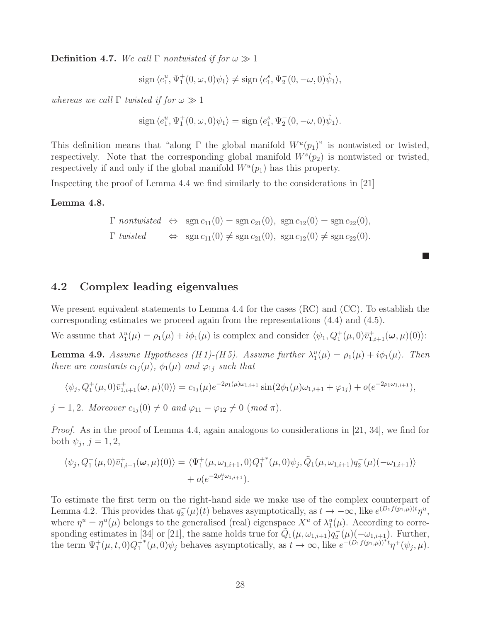**Definition 4.7.** We call  $\Gamma$  nontwisted if for  $\omega \gg 1$ 

 $sign \langle e_1^u, \Psi_1^+(0, \omega, 0)\psi_1 \rangle \neq sign \langle e_1^s, \Psi_2^-(0, -\omega, 0)\hat{\psi}_1 \rangle,$ 

whereas we call  $\Gamma$  twisted if for  $\omega \gg 1$ 

$$
\operatorname{sign}\,\langle e_1^u,\Psi_1^+(0,\omega,0)\psi_1\rangle=\operatorname{sign}\,\langle e_1^s,\Psi_2^-(0,-\omega,0)\hat{\psi}_1\rangle.
$$

This definition means that "along  $\Gamma$  the global manifold  $W^u(p_1)$ " is nontwisted or twisted, respectively. Note that the corresponding global manifold  $W^s(p_2)$  is nontwisted or twisted, respectively if and only if the global manifold  $W^u(p_1)$  has this property.

Inspecting the proof of Lemma 4.4 we find similarly to the considerations in [21]

#### Lemma 4.8.

$$
\Gamma \text{ nontwisted } \Leftrightarrow \text{ sgn } c_{11}(0) = \text{sgn } c_{21}(0), \text{ sgn } c_{12}(0) = \text{sgn } c_{22}(0),
$$
  

$$
\Gamma \text{ twisted } \Leftrightarrow \text{ sgn } c_{11}(0) \neq \text{sgn } c_{21}(0), \text{ sgn } c_{12}(0) \neq \text{sgn } c_{22}(0).
$$

 $\blacksquare$ 

### 4.2 Complex leading eigenvalues

We present equivalent statements to Lemma 4.4 for the cases (RC) and (CC). To establish the corresponding estimates we proceed again from the representations (4.4) and (4.5).

We assume that  $\lambda_1^u(\mu) = \rho_1(\mu) + i\phi_1(\mu)$  is complex and consider  $\langle \psi_1, Q_1^+(\mu, 0)\bar{v}_{1,i+1}^+(\omega, \mu)(0) \rangle$ :

**Lemma 4.9.** Assume Hypotheses (H 1)-(H 5). Assume further  $\lambda_1^u(\mu) = \rho_1(\mu) + i\phi_1(\mu)$ . Then there are constants  $c_{1j}(\mu)$ ,  $\phi_1(\mu)$  and  $\varphi_{1j}$  such that

$$
\langle \psi_j, Q_1^+(\mu, 0)\bar{v}_{1,i+1}^+(\omega, \mu)(0) \rangle = c_{1j}(\mu) e^{-2\rho_1(\mu)\omega_{1,i+1}} \sin(2\phi_1(\mu)\omega_{1,i+1} + \varphi_{1j}) + o(e^{-2\rho_1\omega_{1,i+1}}),
$$

 $j = 1, 2$ . Moreover  $c_{1j}(0) \neq 0$  and  $\varphi_{11} - \varphi_{12} \neq 0$  (mod  $\pi$ ).

*Proof.* As in the proof of Lemma 4.4, again analogous to considerations in [21, 34], we find for both  $\psi_j$ ,  $j = 1, 2$ ,

$$
\langle \psi_j, Q_1^+(\mu, 0)\bar{v}_{1,i+1}^+(\omega, \mu)(0) \rangle = \langle \Psi_1^+(\mu, \omega_{1,i+1}, 0)Q_1^{+*}(\mu, 0)\psi_j, \tilde{Q}_1(\mu, \omega_{1,i+1})q_2^-(\mu)(-\omega_{1,i+1}) \rangle + o(e^{-2\rho_1^u\omega_{1,i+1}}).
$$

To estimate the first term on the right-hand side we make use of the complex counterpart of Lemma 4.2. This provides that  $q_2(\mu)(t)$  behaves asymptotically, as  $t \to -\infty$ , like  $e^{(D_1 f(p_1,\mu))t} \eta^u$ , where  $\eta^u = \eta^u(\mu)$  belongs to the generalised (real) eigenspace  $X^u$  of  $\lambda_1^u(\mu)$ . According to corresponding estimates in [34] or [21], the same holds true for  $\tilde{Q}_1(\mu, \omega_{1,i+1})q_2(\mu)(-\omega_{1,i+1})$ . Further, the term  $\Psi_1^+(\mu, t, 0)Q_1^+$ \* $(\mu,0)\psi_j$  behaves asymptotically, as  $t \to \infty$ , like  $e^{-(D_1f(p_1,\mu))^*t}\eta^+(\psi_j,\mu)$ .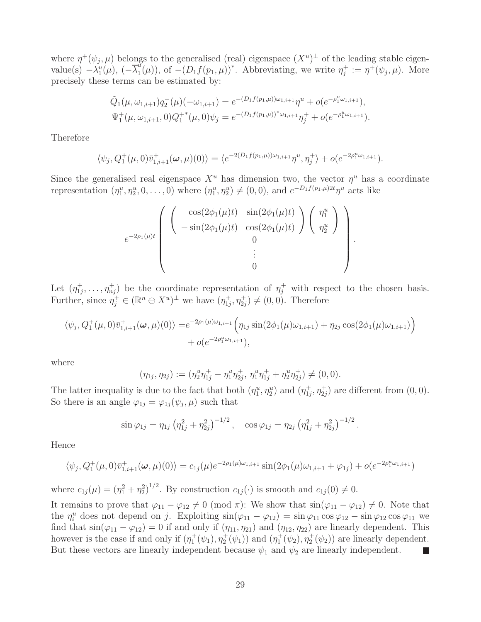where  $\eta^+(\psi_j,\mu)$  belongs to the generalised (real) eigenspace  $(X^u)^\perp$  of the leading stable eigenvalue(s)  $-\lambda_1^u(\mu)$ ,  $(-\overline{\lambda}_1^u)$  $\eta_1^{\mu}(\mu)$ , of  $-(D_1 f(p_1, \mu))^*$ . Abbreviating, we write  $\eta_j^+ := \eta^+(\psi_j, \mu)$ . More precisely these terms can be estimated by:

$$
\tilde{Q}_1(\mu, \omega_{1,i+1})q_2^-(\mu)(-\omega_{1,i+1}) = e^{-(D_1f(p_1,\mu))\omega_{1,i+1}}\eta^u + o(e^{-\rho_1^u\omega_{1,i+1}}),
$$
  
\n
$$
\Psi_1^+(\mu, \omega_{1,i+1}, 0)Q_1^{+*}(\mu, 0)\psi_j = e^{-(D_1f(p_1,\mu))^*\omega_{1,i+1}}\eta_j^+ + o(e^{-\rho_1^u\omega_{1,i+1}}).
$$

Therefore

$$
\langle \psi_j, Q_1^+(\mu, 0)\bar{v}_{1,i+1}^+(\omega, \mu)(0) \rangle = \langle e^{-2(D_1f(p_1,\mu))\omega_{1,i+1}}\eta^u, \eta_j^+ \rangle + o(e^{-2\rho_1^u\omega_{1,i+1}}).
$$

Since the generalised real eigenspace  $X^u$  has dimension two, the vector  $\eta^u$  has a coordinate representation  $(\eta_1^u, \eta_2^u, 0, \ldots, 0)$  where  $(\eta_1^u, \eta_2^u) \neq (0, 0)$ , and  $e^{-D_1 f(p_1, \mu) 2t} \eta^u$  acts like

$$
e^{-2\rho_1(\mu)t}\begin{pmatrix} \begin{pmatrix} \cos(2\phi_1(\mu)t) & \sin(2\phi_1(\mu)t) \\ -\sin(2\phi_1(\mu)t) & \cos(2\phi_1(\mu)t) \end{pmatrix} \begin{pmatrix} \eta_1^u \\ \eta_2^u \end{pmatrix} \\ i \\ i \\ 0 \end{pmatrix}.
$$

Let  $(\eta_{1i}^+$  $\eta_1^+$ , ...,  $\eta_{nj}^+$  be the coordinate representation of  $\eta_j^+$  with respect to the chosen basis. Further, since  $\eta_j^+ \in (\mathbb{R}^n \ominus X^u)^{\perp}$  we have  $(\eta_{1j}^+, \eta_{2j}^+) \neq (0, 0)$ . Therefore

$$
\langle \psi_j, Q_1^+(\mu, 0)\bar{v}_{1,i+1}^+(\omega, \mu)(0) \rangle = e^{-2\rho_1(\mu)\omega_{1,i+1}} \Big( \eta_{1j} \sin(2\phi_1(\mu)\omega_{1,i+1}) + \eta_{2j} \cos(2\phi_1(\mu)\omega_{1,i+1}) \Big) + o(e^{-2\rho_1^u\omega_{1,i+1}}),
$$

where

$$
(\eta_{1j}, \eta_{2j}) := (\eta_2^u \eta_{1j}^+ - \eta_1^u \eta_{2j}^+, \eta_1^u \eta_{1j}^+ + \eta_2^u \eta_{2j}^+) \neq (0, 0).
$$

The latter inequality is due to the fact that both  $(\eta_1^u, \eta_2^u)$  and  $(\eta_{1j}^+$  $t_{1j}^{\dagger}, \eta_{2j}^{\dagger}$  are different from  $(0,0)$ . So there is an angle  $\varphi_{1j} = \varphi_{1j}(\psi_j, \mu)$  such that

$$
\sin \varphi_{1j} = \eta_{1j} \left( \eta_{1j}^2 + \eta_{2j}^2 \right)^{-1/2}, \quad \cos \varphi_{1j} = \eta_{2j} \left( \eta_{1j}^2 + \eta_{2j}^2 \right)^{-1/2}
$$

.

Hence

$$
\langle \psi_j, Q_1^+(\mu, 0)\bar{v}_{1,i+1}^+(\omega, \mu)(0) \rangle = c_{1j}(\mu) e^{-2\rho_1(\mu)\omega_{1,i+1}} \sin(2\phi_1(\mu)\omega_{1,i+1} + \varphi_{1j}) + o(e^{-2\rho_1^u\omega_{1,i+1}})
$$

where  $c_{1j}(\mu) = (\eta_1^2 + \eta_2^2)^{1/2}$ . By construction  $c_{1j}(\cdot)$  is smooth and  $c_{1j}(0) \neq 0$ .

It remains to prove that  $\varphi_{11} - \varphi_{12} \neq 0 \pmod{\pi}$ : We show that  $\sin(\varphi_{11} - \varphi_{12}) \neq 0$ . Note that the  $\eta_i^u$  does not depend on j. Exploiting  $\sin(\varphi_{11} - \varphi_{12}) = \sin \varphi_{11} \cos \varphi_{12} - \sin \varphi_{12} \cos \varphi_{11}$  we find that  $sin(\varphi_{11} - \varphi_{12}) = 0$  if and only if  $(\eta_{11}, \eta_{21})$  and  $(\eta_{12}, \eta_{22})$  are linearly dependent. This however is the case if and only if  $(\eta_1^+(\psi_1), \eta_2^+(\psi_1))$  and  $(\eta_1^+(\psi_2), \eta_2^+(\psi_2))$  are linearly dependent. But these vectors are linearly independent because  $\psi_1$  and  $\psi_2$  are linearly independent. L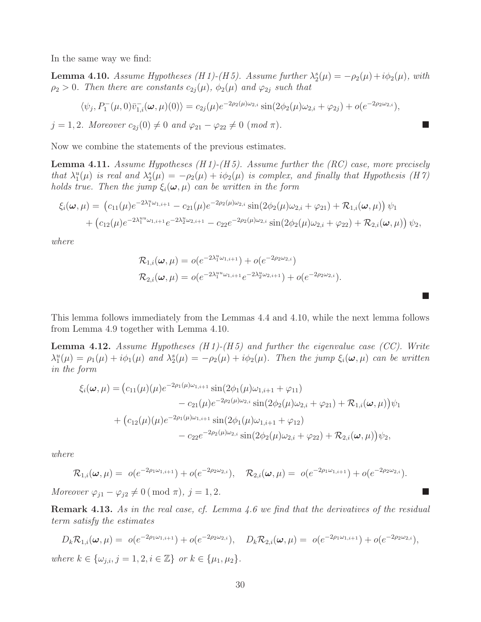In the same way we find:

**Lemma 4.10.** Assume Hypotheses (H 1)-(H 5). Assume further  $\lambda_2^s(\mu) = -\rho_2(\mu) + i\phi_2(\mu)$ , with  $\rho_2 > 0$ . Then there are constants  $c_{2j}(\mu)$ ,  $\phi_2(\mu)$  and  $\varphi_{2j}$  such that

$$
\langle \psi_j, P_1^-(\mu, 0) \bar{v}_{1,i}^-(\omega, \mu)(0) \rangle = c_{2j}(\mu) e^{-2\rho_2(\mu)\omega_{2,i}} \sin(2\phi_2(\mu)\omega_{2,i} + \varphi_{2j}) + o(e^{-2\rho_2\omega_{2,i}}),
$$

 $j = 1, 2$ . Moreover  $c_{2j}(0) \neq 0$  and  $\varphi_{21} - \varphi_{22} \neq 0$  (mod  $\pi$ ).

Now we combine the statements of the previous estimates.

**Lemma 4.11.** Assume Hypotheses  $(H1)-(H5)$ . Assume further the  $(RC)$  case, more precisely that  $\lambda_1^u(\mu)$  is real and  $\lambda_2^s(\mu) = -\rho_2(\mu) + i\phi_2(\mu)$  is complex, and finally that Hypothesis (H 7) holds true. Then the jump  $\xi_i(\omega,\mu)$  can be written in the form

$$
\xi_i(\boldsymbol{\omega}, \mu) = (c_{11}(\mu)e^{-2\lambda_1^u\omega_{1,i+1}} - c_{21}(\mu)e^{-2\rho_2(\mu)\omega_{2,i}}\sin(2\phi_2(\mu)\omega_{2,i} + \varphi_{21}) + \mathcal{R}_{1,i}(\boldsymbol{\omega}, \mu))\psi_1 + (c_{12}(\mu)e^{-2\lambda_1^u\omega_{1,i+1}}e^{-2\lambda_2^u\omega_{2,i+1}} - c_{22}e^{-2\rho_2(\mu)\omega_{2,i}}\sin(2\phi_2(\mu)\omega_{2,i} + \varphi_{22}) + \mathcal{R}_{2,i}(\boldsymbol{\omega}, \mu))\psi_2,
$$

where

$$
\mathcal{R}_{1,i}(\omega,\mu) = o(e^{-2\lambda_1^u\omega_{1,i+1}}) + o(e^{-2\rho_2\omega_{2,i}})
$$
  

$$
\mathcal{R}_{2,i}(\omega,\mu) = o(e^{-2\lambda_1^{uu}\omega_{1,i+1}}e^{-2\lambda_2^u\omega_{2,i+1}}) + o(e^{-2\rho_2\omega_{2,i}}).
$$

 $\mathbb{R}^n$ 

This lemma follows immediately from the Lemmas 4.4 and 4.10, while the next lemma follows from Lemma 4.9 together with Lemma 4.10.

**Lemma 4.12.** Assume Hypotheses  $(H1)-(H5)$  and further the eigenvalue case  $(CC)$ . Write  $\lambda_1^u(\mu) = \rho_1(\mu) + i\phi_1(\mu)$  and  $\lambda_2^s(\mu) = -\rho_2(\mu) + i\phi_2(\mu)$ . Then the jump  $\xi_i(\omega, \mu)$  can be written in the form

$$
\xi_i(\boldsymbol{\omega}, \mu) = (c_{11}(\mu)(\mu)e^{-2\rho_1(\mu)\omega_{1,i+1}}\sin(2\phi_1(\mu)\omega_{1,i+1} + \varphi_{11})
$$
  
\n
$$
- c_{21}(\mu)e^{-2\rho_2(\mu)\omega_{2,i}}\sin(2\phi_2(\mu)\omega_{2,i} + \varphi_{21}) + \mathcal{R}_{1,i}(\boldsymbol{\omega}, \mu))\psi_1
$$
  
\n
$$
+ (c_{12}(\mu)(\mu)e^{-2\rho_1(\mu)\omega_{1,i+1}}\sin(2\phi_1(\mu)\omega_{1,i+1} + \varphi_{12})
$$
  
\n
$$
- c_{22}e^{-2\rho_2(\mu)\omega_{2,i}}\sin(2\phi_2(\mu)\omega_{2,i} + \varphi_{22}) + \mathcal{R}_{2,i}(\boldsymbol{\omega}, \mu))\psi_2,
$$

where

$$
\mathcal{R}_{1,i}(\boldsymbol{\omega},\mu) = o(e^{-2\rho_1\omega_{1,i+1}}) + o(e^{-2\rho_2\omega_{2,i}}), \quad \mathcal{R}_{2,i}(\boldsymbol{\omega},\mu) = o(e^{-2\rho_1\omega_{1,i+1}}) + o(e^{-2\rho_2\omega_{2,i}}).
$$

Moreover  $\varphi_{j1} - \varphi_{j2} \neq 0 \pmod{\pi}, j = 1, 2.$ 

Remark 4.13. As in the real case, cf. Lemma 4.6 we find that the derivatives of the residual term satisfy the estimates

$$
D_k \mathcal{R}_{1,i}(\omega,\mu) = o(e^{-2\rho_1 \omega_{1,i+1}}) + o(e^{-2\rho_2 \omega_{2,i}}), \quad D_k \mathcal{R}_{2,i}(\omega,\mu) = o(e^{-2\rho_1 \omega_{1,i+1}}) + o(e^{-2\rho_2 \omega_{2,i}}),
$$
  
where  $k \in {\omega_{j,i}, j = 1, 2, i \in \mathbb{Z}}$  or  $k \in {\mu_1, \mu_2}$ .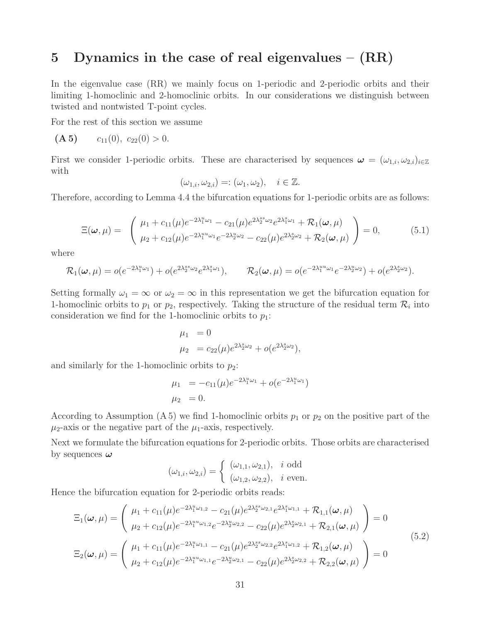## 5 Dynamics in the case of real eigenvalues  $(RR)$

In the eigenvalue case (RR) we mainly focus on 1-periodic and 2-periodic orbits and their limiting 1-homoclinic and 2-homoclinic orbits. In our considerations we distinguish between twisted and nontwisted T-point cycles.

For the rest of this section we assume

$$
(\mathbf{A 5}) \qquad c_{11}(0), \ c_{22}(0) > 0.
$$

First we consider 1-periodic orbits. These are characterised by sequences  $\boldsymbol{\omega} = (\omega_{1,i}, \omega_{2,i})_{i \in \mathbb{Z}}$ with

$$
(\omega_{1,i}, \omega_{2,i}) =: (\omega_1, \omega_2), \quad i \in \mathbb{Z}.
$$

Therefore, according to Lemma 4.4 the bifurcation equations for 1-periodic orbits are as follows:

$$
\Xi(\boldsymbol{\omega},\mu) = \begin{pmatrix} \mu_1 + c_{11}(\mu)e^{-2\lambda_1^u\omega_1} - c_{21}(\mu)e^{2\lambda_2^{ss}\omega_2}e^{2\lambda_1^s\omega_1} + \mathcal{R}_1(\boldsymbol{\omega},\mu) \\ \mu_2 + c_{12}(\mu)e^{-2\lambda_1^u\omega_1}e^{-2\lambda_2^u\omega_2} - c_{22}(\mu)e^{2\lambda_2^s\omega_2} + \mathcal{R}_2(\boldsymbol{\omega},\mu) \end{pmatrix} = 0, \quad (5.1)
$$

where

$$
\mathcal{R}_1(\boldsymbol{\omega}, \mu) = o(e^{-2\lambda_1^u \omega_1}) + o(e^{2\lambda_2^{ss}\omega_2} e^{2\lambda_1^s \omega_1}), \qquad \mathcal{R}_2(\boldsymbol{\omega}, \mu) = o(e^{-2\lambda_1^{uu}\omega_1} e^{-2\lambda_2^u \omega_2}) + o(e^{2\lambda_2^s \omega_2}).
$$

Setting formally  $\omega_1 = \infty$  or  $\omega_2 = \infty$  in this representation we get the bifurcation equation for 1-homoclinic orbits to  $p_1$  or  $p_2$ , respectively. Taking the structure of the residual term  $\mathcal{R}_i$  into consideration we find for the 1-homoclinic orbits to  $p_1$ :

$$
\mu_1 = 0
$$
  

$$
\mu_2 = c_{22}(\mu)e^{2\lambda_2^s \omega_2} + o(e^{2\lambda_2^s \omega_2}),
$$

and similarly for the 1-homoclinic orbits to  $p_2$ :

$$
\mu_1 = -c_{11}(\mu)e^{-2\lambda_1^u \omega_1} + o(e^{-2\lambda_1^u \omega_1})
$$
  

$$
\mu_2 = 0.
$$

According to Assumption (A 5) we find 1-homoclinic orbits  $p_1$  or  $p_2$  on the positive part of the  $\mu_2$ -axis or the negative part of the  $\mu_1$ -axis, respectively.

Next we formulate the bifurcation equations for 2-periodic orbits. Those orbits are characterised by sequences  $\omega$ 

$$
(\omega_{1,i}, \omega_{2,i}) = \begin{cases} (\omega_{1,1}, \omega_{2,1}), & i \text{ odd} \\ (\omega_{1,2}, \omega_{2,2}), & i \text{ even.} \end{cases}
$$

Hence the bifurcation equation for 2-periodic orbits reads:

$$
\Xi_{1}(\omega,\mu) = \begin{pmatrix} \mu_{1} + c_{11}(\mu)e^{-2\lambda_{1}^{u}\omega_{1,2}} - c_{21}(\mu)e^{2\lambda_{2}^{s}s_{\omega_{2,1}}}e^{2\lambda_{1}^{s}\omega_{1,1}} + \mathcal{R}_{1,1}(\omega,\mu) \\ \mu_{2} + c_{12}(\mu)e^{-2\lambda_{1}^{u}\omega_{1,2}}e^{-2\lambda_{2}^{u}\omega_{2,2}} - c_{22}(\mu)e^{2\lambda_{2}^{s}\omega_{2,1}} + \mathcal{R}_{2,1}(\omega,\mu) \end{pmatrix} = 0
$$
\n
$$
\Xi_{2}(\omega,\mu) = \begin{pmatrix} \mu_{1} + c_{11}(\mu)e^{-2\lambda_{1}^{u}\omega_{1,1}} - c_{21}(\mu)e^{2\lambda_{2}^{s}s_{\omega_{2,2}}}e^{2\lambda_{1}^{s}\omega_{1,2}} + \mathcal{R}_{1,2}(\omega,\mu) \\ \mu_{2} + c_{12}(\mu)e^{-2\lambda_{1}^{u}\omega_{1,1}}e^{-2\lambda_{2}^{u}\omega_{2,1}} - c_{22}(\mu)e^{2\lambda_{2}^{s}\omega_{2,2}} + \mathcal{R}_{2,2}(\omega,\mu) \end{pmatrix} = 0
$$
\n(5.2)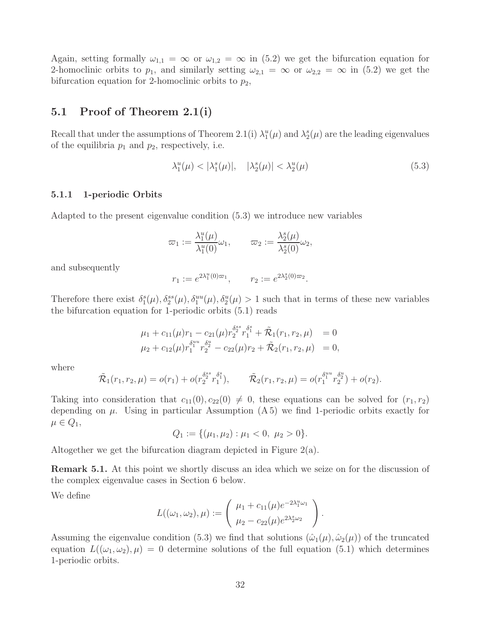Again, setting formally  $\omega_{1,1} = \infty$  or  $\omega_{1,2} = \infty$  in (5.2) we get the bifurcation equation for 2-homoclinic orbits to  $p_1$ , and similarly setting  $\omega_{2,1} = \infty$  or  $\omega_{2,2} = \infty$  in (5.2) we get the bifurcation equation for 2-homoclinic orbits to  $p_2$ ,

## 5.1 Proof of Theorem 2.1(i)

Recall that under the assumptions of Theorem 2.1(i)  $\lambda_1^u(\mu)$  and  $\lambda_2^s(\mu)$  are the leading eigenvalues of the equilibria  $p_1$  and  $p_2$ , respectively, i.e.

$$
\lambda_1^u(\mu) < |\lambda_1^s(\mu)|, \quad |\lambda_2^s(\mu)| < \lambda_2^u(\mu) \tag{5.3}
$$

#### 5.1.1 1-periodic Orbits

Adapted to the present eigenvalue condition (5.3) we introduce new variables

$$
\varpi_1 := \frac{\lambda_1^u(\mu)}{\lambda_1^u(0)} \omega_1, \qquad \varpi_2 := \frac{\lambda_2^s(\mu)}{\lambda_2^s(0)} \omega_2,
$$

and subsequently

$$
r_1 := e^{2\lambda_1^u(0)\varpi_1}, \qquad r_2 := e^{2\lambda_2^s(0)\varpi_2}.
$$

Therefore there exist  $\delta_1^s(\mu), \delta_2^{ss}(\mu), \delta_1^{uu}(\mu), \delta_2^{u}(\mu) > 1$  such that in terms of these new variables the bifurcation equation for 1-periodic orbits (5.1) reads

$$
\mu_1 + c_{11}(\mu) r_1 - c_{21}(\mu) r_2^{\delta_2^{ss}} r_1^{\delta_1^{s}} + \tilde{\mathcal{R}}_1(r_1, r_2, \mu) = 0
$$
  

$$
\mu_2 + c_{12}(\mu) r_1^{\delta_1^{uu}} r_2^{\delta_2^{u}} - c_{22}(\mu) r_2 + \tilde{\mathcal{R}}_2(r_1, r_2, \mu) = 0,
$$

where

$$
\tilde{\mathcal{R}}_1(r_1, r_2, \mu) = o(r_1) + o(r_2^{\delta_2^{ss}} r_1^{\delta_1^{s}}), \qquad \tilde{\mathcal{R}}_2(r_1, r_2, \mu) = o(r_1^{\delta_1^{su}} r_2^{\delta_2^{u}}) + o(r_2).
$$

Taking into consideration that  $c_{11}(0), c_{22}(0) \neq 0$ , these equations can be solved for  $(r_1, r_2)$ depending on  $\mu$ . Using in particular Assumption (A.5) we find 1-periodic orbits exactly for  $\mu \in Q_1$ ,

$$
Q_1 := \{ (\mu_1, \mu_2) : \mu_1 < 0, \ \mu_2 > 0 \}.
$$

Altogether we get the bifurcation diagram depicted in Figure 2(a).

Remark 5.1. At this point we shortly discuss an idea which we seize on for the discussion of the complex eigenvalue cases in Section 6 below.

We define

$$
L((\omega_1, \omega_2), \mu) := \begin{pmatrix} \mu_1 + c_{11}(\mu)e^{-2\lambda_1^u \omega_1} \\ \mu_2 - c_{22}(\mu)e^{2\lambda_2^s \omega_2} \end{pmatrix}.
$$

Assuming the eigenvalue condition (5.3) we find that solutions  $(\hat{\omega}_1(\mu), \hat{\omega}_2(\mu))$  of the truncated equation  $L((\omega_1,\omega_2),\mu) = 0$  determine solutions of the full equation (5.1) which determines 1-periodic orbits.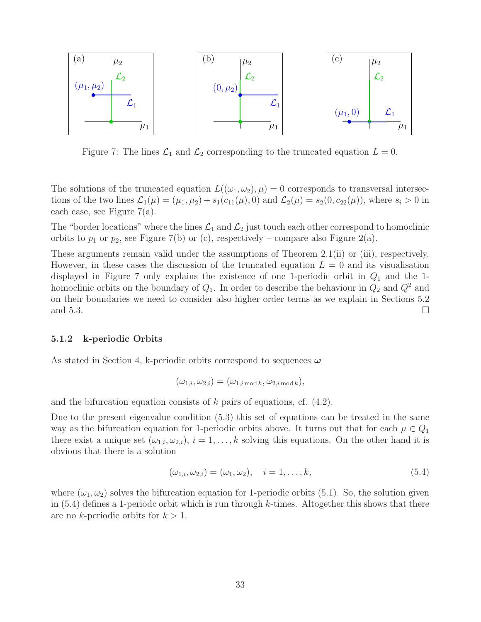

Figure 7: The lines  $\mathcal{L}_1$  and  $\mathcal{L}_2$  corresponding to the truncated equation  $L = 0$ .

The solutions of the truncated equation  $L((\omega_1, \omega_2), \mu) = 0$  corresponds to transversal intersections of the two lines  $\mathcal{L}_1(\mu) = (\mu_1, \mu_2) + s_1(c_{11}(\mu), 0)$  and  $\mathcal{L}_2(\mu) = s_2(0, c_{22}(\mu))$ , where  $s_i > 0$  in each case, see Figure 7(a).

The "border locations" where the lines  $\mathcal{L}_1$  and  $\mathcal{L}_2$  just touch each other correspond to homoclinic orbits to  $p_1$  or  $p_2$ , see Figure 7(b) or (c), respectively – compare also Figure 2(a).

These arguments remain valid under the assumptions of Theorem 2.1(ii) or (iii), respectively. However, in these cases the discussion of the truncated equation  $L = 0$  and its visualisation displayed in Figure 7 only explains the existence of one 1-periodic orbit in  $Q_1$  and the 1homoclinic orbits on the boundary of  $Q_1$ . In order to describe the behaviour in  $Q_2$  and  $Q^2$  and on their boundaries we need to consider also higher order terms as we explain in Sections 5.2 and 5.3.  $\Box$ 

#### 5.1.2 k-periodic Orbits

As stated in Section 4, k-periodic orbits correspond to sequences  $\omega$ 

$$
(\omega_{1,i}, \omega_{2,i}) = (\omega_{1,i \bmod k}, \omega_{2,i \bmod k}),
$$

and the bifurcation equation consists of k pairs of equations, cf.  $(4.2)$ .

Due to the present eigenvalue condition (5.3) this set of equations can be treated in the same way as the bifurcation equation for 1-periodic orbits above. It turns out that for each  $\mu \in Q_1$ there exist a unique set  $(\omega_{1,i}, \omega_{2,i}), i = 1, \ldots, k$  solving this equations. On the other hand it is obvious that there is a solution

$$
(\omega_{1,i}, \omega_{2,i}) = (\omega_1, \omega_2), \quad i = 1, \dots, k,
$$
\n(5.4)

where  $(\omega_1, \omega_2)$  solves the bifurcation equation for 1-periodic orbits (5.1). So, the solution given in  $(5.4)$  defines a 1-periodc orbit which is run through k-times. Altogether this shows that there are no k-periodic orbits for  $k > 1$ .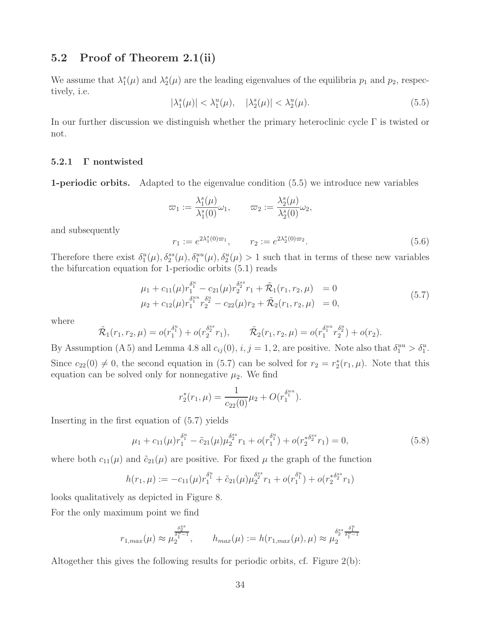## 5.2 Proof of Theorem 2.1(ii)

We assume that  $\lambda_1^s(\mu)$  and  $\lambda_2^s(\mu)$  are the leading eigenvalues of the equilibria  $p_1$  and  $p_2$ , respectively, i.e.

$$
|\lambda_1^s(\mu)| < \lambda_1^u(\mu), \quad |\lambda_2^s(\mu)| < \lambda_2^u(\mu). \tag{5.5}
$$

In our further discussion we distinguish whether the primary heteroclinic cycle  $\Gamma$  is twisted or not.

#### 5.2.1 Γ nontwisted

1-periodic orbits. Adapted to the eigenvalue condition (5.5) we introduce new variables

$$
\varpi_1 := \frac{\lambda_1^s(\mu)}{\lambda_1^s(0)} \omega_1, \qquad \varpi_2 := \frac{\lambda_2^s(\mu)}{\lambda_2^s(0)} \omega_2,
$$

and subsequently

$$
r_1 := e^{2\lambda_1^s(0)\varpi_1}, \qquad r_2 := e^{2\lambda_2^s(0)\varpi_2}.\tag{5.6}
$$

Therefore there exist  $\delta_1^u(\mu), \delta_2^{ss}(\mu), \delta_1^{uu}(\mu), \delta_2^{u}(\mu) > 1$  such that in terms of these new variables the bifurcation equation for 1-periodic orbits (5.1) reads

$$
\mu_1 + c_{11}(\mu) r_1^{\delta_1^u} - c_{21}(\mu) r_2^{\delta_2^s} r_1 + \tilde{\mathcal{R}}_1(r_1, r_2, \mu) = 0
$$
  
\n
$$
\mu_2 + c_{12}(\mu) r_1^{\delta_1^{uu}} r_2^{\delta_2^u} - c_{22}(\mu) r_2 + \tilde{\mathcal{R}}_2(r_1, r_2, \mu) = 0,
$$
\n(5.7)

where

$$
\tilde{\mathcal{R}}_1(r_1, r_2, \mu) = o(r_1^{\delta_1^u}) + o(r_2^{\delta_2^{ss}} r_1), \qquad \tilde{\mathcal{R}}_2(r_1, r_2, \mu) = o(r_1^{\delta_1^u} r_2^{\delta_2^u}) + o(r_2).
$$

By Assumption (A 5) and Lemma 4.8 all  $c_{ij}(0)$ ,  $i, j = 1, 2$ , are positive. Note also that  $\delta_1^{uu} > \delta_1^u$ . Since  $c_{22}(0) \neq 0$ , the second equation in (5.7) can be solved for  $r_2 = r_2^*(r_1, \mu)$ . Note that this equation can be solved only for nonnegative  $\mu_2$ . We find

$$
r_2^*(r_1,\mu) = \frac{1}{c_{22}(0)}\mu_2 + O(r_1^{\delta_1^{uu}}).
$$

Inserting in the first equation of (5.7) yields

$$
\mu_1 + c_{11}(\mu) r_1^{\delta_1^u} - \tilde{c}_{21}(\mu) \mu_2^{\delta_2^s} r_1 + o(r_1^{\delta_1^u}) + o(r_2^{\delta_2^s} r_1) = 0,
$$
\n(5.8)

where both  $c_{11}(\mu)$  and  $\tilde{c}_{21}(\mu)$  are positive. For fixed  $\mu$  the graph of the function

$$
h(r_1,\mu) := -c_{11}(\mu)r_1^{\delta_1^u} + \tilde{c}_{21}(\mu)\mu_2^{\delta_2^{ss}}r_1 + o(r_1^{\delta_1^u}) + o(r_2^{*\delta_2^{ss}}r_1)
$$

looks qualitatively as depicted in Figure 8.

For the only maximum point we find

$$
r_{1,max}(\mu) \approx \mu_2^{\frac{\delta_2^{ss}}{\delta_1^{u}-1}}, \qquad h_{max}(\mu) := h(r_{1,max}(\mu), \mu) \approx \mu_2^{\frac{\delta_2^{ss}}{\delta_1^{u}-1}}
$$

Altogether this gives the following results for periodic orbits, cf. Figure 2(b):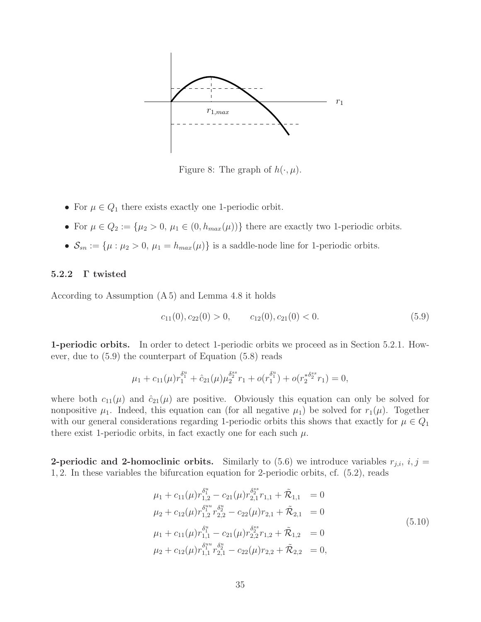

Figure 8: The graph of  $h(\cdot, \mu)$ .

- For  $\mu \in Q_1$  there exists exactly one 1-periodic orbit.
- For  $\mu \in Q_2 := {\mu_2 > 0, \mu_1 \in (0, h_{max}(\mu))}$  there are exactly two 1-periodic orbits.
- $S_{sn} := \{\mu : \mu_2 > 0, \mu_1 = h_{max}(\mu)\}\$ is a saddle-node line for 1-periodic orbits.

#### 5.2.2 Γ twisted

According to Assumption (A 5) and Lemma 4.8 it holds

$$
c_{11}(0), c_{22}(0) > 0, \qquad c_{12}(0), c_{21}(0) < 0. \tag{5.9}
$$

1-periodic orbits. In order to detect 1-periodic orbits we proceed as in Section 5.2.1. However, due to (5.9) the counterpart of Equation (5.8) reads

$$
\mu_1 + c_{11}(\mu) r_1^{\delta_1^u} + \hat{c}_{21}(\mu) \mu_2^{\delta_2^{ss}} r_1 + o(r_1^{\delta_1^u}) + o(r_2^{*\delta_2^{ss}} r_1) = 0,
$$

where both  $c_{11}(\mu)$  and  $\hat{c}_{21}(\mu)$  are positive. Obviously this equation can only be solved for nonpositive  $\mu_1$ . Indeed, this equation can (for all negative  $\mu_1$ ) be solved for  $r_1(\mu)$ . Together with our general considerations regarding 1-periodic orbits this shows that exactly for  $\mu \in Q_1$ there exist 1-periodic orbits, in fact exactly one for each such  $\mu$ .

**2-periodic and 2-homoclinic orbits.** Similarly to (5.6) we introduce variables  $r_{i,i}$ ,  $i, j =$ 1, 2. In these variables the bifurcation equation for 2-periodic orbits, cf. (5.2), reads

$$
\mu_1 + c_{11}(\mu) r_{1,2}^{\delta_1^u} - c_{21}(\mu) r_{2,1}^{\delta_2^{ss}} r_{1,1} + \tilde{\mathcal{R}}_{1,1} = 0
$$
  
\n
$$
\mu_2 + c_{12}(\mu) r_{1,2}^{\delta_1^{uu}} r_{2,2}^{\delta_2^u} - c_{22}(\mu) r_{2,1} + \tilde{\mathcal{R}}_{2,1} = 0
$$
  
\n
$$
\mu_1 + c_{11}(\mu) r_{1,1}^{\delta_1^u} - c_{21}(\mu) r_{2,2}^{\delta_2^{ss}} r_{1,2} + \tilde{\mathcal{R}}_{1,2} = 0
$$
  
\n
$$
\mu_2 + c_{12}(\mu) r_{1,1}^{\delta_1^{uu}} r_{2,1}^{\delta_2^u} - c_{22}(\mu) r_{2,2} + \tilde{\mathcal{R}}_{2,2} = 0,
$$
\n(5.10)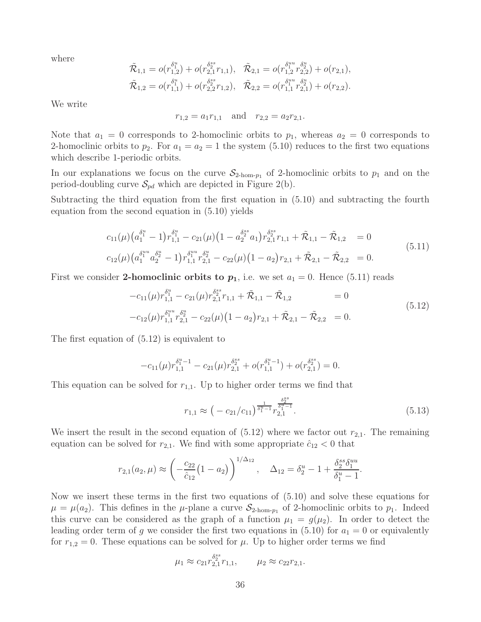where

$$
\tilde{\mathcal{R}}_{1,1} = o(r_{1,2}^{\delta_1^u}) + o(r_{2,1}^{\delta_2^{ss}} r_{1,1}), \quad \tilde{\mathcal{R}}_{2,1} = o(r_{1,2}^{\delta_1^{uu}} r_{2,2}^{\delta_2^u}) + o(r_{2,1}), \n\tilde{\mathcal{R}}_{1,2} = o(r_{1,1}^{\delta_1^u}) + o(r_{2,2}^{\delta_2^{ss}} r_{1,2}), \quad \tilde{\mathcal{R}}_{2,2} = o(r_{1,1}^{\delta_1^{uu}} r_{2,1}^{\delta_2^u}) + o(r_{2,2}).
$$

We write

$$
r_{1,2} = a_1 r_{1,1}
$$
 and  $r_{2,2} = a_2 r_{2,1}$ .

Note that  $a_1 = 0$  corresponds to 2-homoclinic orbits to  $p_1$ , whereas  $a_2 = 0$  corresponds to 2-homoclinic orbits to  $p_2$ . For  $a_1 = a_2 = 1$  the system (5.10) reduces to the first two equations which describe 1-periodic orbits.

In our explanations we focus on the curve  $S_{2\text{-hom-p}_1}$  of 2-homoclinic orbits to  $p_1$  and on the period-doubling curve  $\mathcal{S}_{pd}$  which are depicted in Figure 2(b).

Subtracting the third equation from the first equation in (5.10) and subtracting the fourth equation from the second equation in (5.10) yields

$$
c_{11}(\mu) \left(a_1^{\delta_1^u} - 1\right) r_{1,1}^{\delta_1^u} - c_{21}(\mu) \left(1 - a_2^{\delta_2^s} a_1\right) r_{2,1}^{\delta_2^s} r_{1,1} + \tilde{\mathcal{R}}_{1,1} - \tilde{\mathcal{R}}_{1,2} = 0
$$
  
\n
$$
c_{12}(\mu) \left(a_1^{\delta_1^{uu}} a_2^{\delta_2^u} - 1\right) r_{1,1}^{\delta_1^{uu}} r_{2,1}^{\delta_2^u} - c_{22}(\mu) \left(1 - a_2\right) r_{2,1} + \tilde{\mathcal{R}}_{2,1} - \tilde{\mathcal{R}}_{2,2} = 0.
$$
\n
$$
(5.11)
$$

First we consider 2-homoclinic orbits to  $p_1$ , i.e. we set  $a_1 = 0$ . Hence (5.11) reads

$$
-c_{11}(\mu)r_{1,1}^{\delta_1^u} - c_{21}(\mu)r_{2,1}^{\delta_2^{ss}}r_{1,1} + \tilde{\mathcal{R}}_{1,1} - \tilde{\mathcal{R}}_{1,2} = 0
$$
  
\n
$$
-c_{12}(\mu)r_{1,1}^{\delta_1^{uu}}r_{2,1}^{\delta_2^{u}} - c_{22}(\mu)(1 - a_2)r_{2,1} + \tilde{\mathcal{R}}_{2,1} - \tilde{\mathcal{R}}_{2,2} = 0.
$$
\n(5.12)

The first equation of (5.12) is equivalent to

$$
-c_{11}(\mu)r_{1,1}^{\delta_1^{u}-1} - c_{21}(\mu)r_{2,1}^{\delta_2^{ss}} + o(r_{1,1}^{\delta_1^{u}-1}) + o(r_{2,1}^{\delta_2^{ss}}) = 0.
$$

This equation can be solved for  $r_{1,1}$ . Up to higher order terms we find that

$$
r_{1,1} \approx \left(-\frac{c_{21}}{c_{11}}\right)^{\frac{1}{\delta_1^u - 1}} r_{2,1}^{\frac{\delta_2^{ss}}{\delta_1^u - 1}}.
$$
\n
$$
(5.13)
$$

We insert the result in the second equation of  $(5.12)$  where we factor out  $r_{2,1}$ . The remaining equation can be solved for  $r_{2,1}$ . We find with some appropriate  $\hat{c}_{12} < 0$  that

$$
r_{2,1}(a_2,\mu) \approx \left(-\frac{c_{22}}{\hat{c}_{12}}(1-a_2)\right)^{1/\Delta_{12}}, \quad \Delta_{12} = \delta_2^u - 1 + \frac{\delta_2^{ss}\delta_1^{uu}}{\delta_1^u - 1}.
$$

Now we insert these terms in the first two equations of (5.10) and solve these equations for  $\mu = \mu(a_2)$ . This defines in the  $\mu$ -plane a curve  $S_{2\text{-hom-p}_1}$  of 2-homoclinic orbits to  $p_1$ . Indeed this curve can be considered as the graph of a function  $\mu_1 = g(\mu_2)$ . In order to detect the leading order term of g we consider the first two equations in (5.10) for  $a_1 = 0$  or equivalently for  $r_{1,2} = 0$ . These equations can be solved for  $\mu$ . Up to higher order terms we find

$$
\mu_1 \approx c_{21} r_{2,1}^{\delta_2^{ss}} r_{1,1}, \qquad \mu_2 \approx c_{22} r_{2,1}.
$$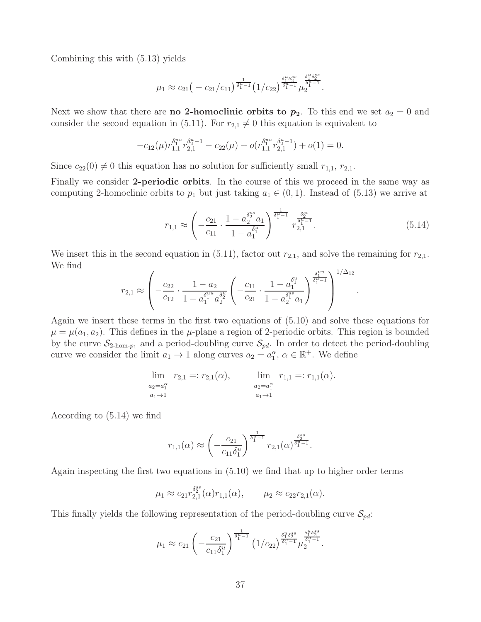Combining this with (5.13) yields

$$
\mu_1 \approx c_{21} \left(-\frac{c_{21}}{c_{11}}\right)^{\frac{1}{\delta_1^u-1}} \left(1/c_{22}\right)^{\frac{\delta_1^u \delta_2^{ss}}{\delta_1^u-1}} \mu_2^{\frac{\delta_1^u \delta_2^{ss}}{\delta_1^u-1}}.
$$

Next we show that there are **no** 2-homoclinic orbits to  $p_2$ . To this end we set  $a_2 = 0$  and consider the second equation in (5.11). For  $r_{2,1} \neq 0$  this equation is equivalent to

$$
-c_{12}(\mu) r_{1,1}^{\delta_1^{uu}} r_{2,1}^{\delta_2^{u}-1} - c_{22}(\mu) + o(r_{1,1}^{\delta_1^{uu}} r_{2,1}^{\delta_2^{u}-1}) + o(1) = 0.
$$

Since  $c_{22}(0) \neq 0$  this equation has no solution for sufficiently small  $r_{1,1}$ ,  $r_{2,1}$ .

Finally we consider 2-periodic orbits. In the course of this we proceed in the same way as computing 2-homoclinic orbits to  $p_1$  but just taking  $a_1 \in (0,1)$ . Instead of (5.13) we arrive at

$$
r_{1,1} \approx \left(-\frac{c_{21}}{c_{11}} \cdot \frac{1 - a_2^{\delta_2^{ss}} a_1}{1 - a_1^{\delta_1^{u}}}\right)^{\frac{1}{\delta_1^{u}-1}} r_{2,1}^{\frac{\delta_2^{ss}}{\delta_1^{u}-1}}.
$$
\n
$$
(5.14)
$$

.

We insert this in the second equation in (5.11), factor out  $r_{2,1}$ , and solve the remaining for  $r_{2,1}$ . We find

$$
r_{2,1} \approx \left( -\frac{c_{22}}{c_{12}} \cdot \frac{1 - a_2}{1 - a_1^{\delta_1^{uu}} a_2^{\delta_2^{u}}} \left( -\frac{c_{11}}{c_{21}} \cdot \frac{1 - a_1^{\delta_1^{u}}}{1 - a_2^{\delta_1^{ss}} a_1} \right)^{\frac{\delta_1^{uu}}{\delta_1^{u}-1}} \right)^{1/\Delta_{12}}
$$

Again we insert these terms in the first two equations of (5.10) and solve these equations for  $\mu = \mu(a_1, a_2)$ . This defines in the  $\mu$ -plane a region of 2-periodic orbits. This region is bounded by the curve  $S_{2\text{-hom-p1}}$  and a period-doubling curve  $S_{pd}$ . In order to detect the period-doubling curve we consider the limit  $a_1 \to 1$  along curves  $a_2 = a_1^{\alpha}, \alpha \in \mathbb{R}^+$ . We define

$$
\lim_{\substack{a_2=a_1^{\alpha} \\ a_1 \to 1}} r_{2,1} =: r_{2,1}(\alpha), \qquad \lim_{\substack{a_2=a_1^{\alpha} \\ a_1 \to 1}} r_{1,1} =: r_{1,1}(\alpha).
$$

According to (5.14) we find

$$
r_{1,1}(\alpha) \approx \left(-\frac{c_{21}}{c_{11}\delta_1^u}\right)^{\frac{1}{\delta_1^u-1}} r_{2,1}(\alpha)^{\frac{\delta_2^{ss}}{\delta_1^u-1}}.
$$

Again inspecting the first two equations in (5.10) we find that up to higher order terms

$$
\mu_1 \approx c_{21} r_{2,1}^{\delta_2^{ss}}(\alpha) r_{1,1}(\alpha), \qquad \mu_2 \approx c_{22} r_{2,1}(\alpha).
$$

This finally yields the following representation of the period-doubling curve  $\mathcal{S}_{pd}$ :

$$
\mu_1 \approx c_{21} \left( -\frac{c_{21}}{c_{11} \delta_1^u} \right)^{\frac{1}{\delta_1^u - 1}} \left( 1/c_{22} \right)^{\frac{\delta_1^u \delta_2^{ss}}{\delta_1^u - 1}} \mu_2^{\frac{\delta_1^u \delta_2^{ss}}{\delta_1^u - 1}}.
$$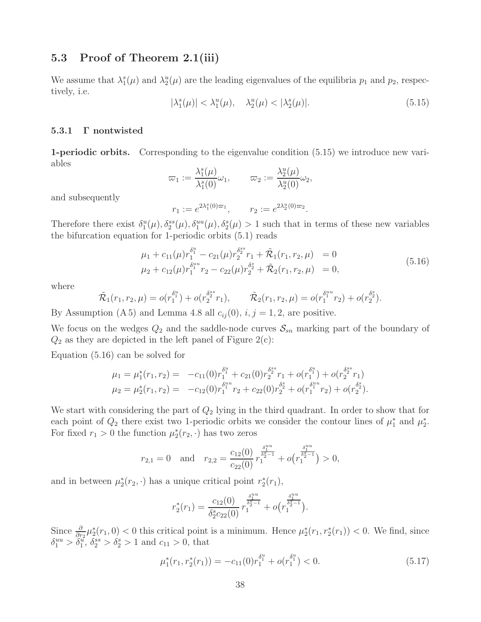## 5.3 Proof of Theorem 2.1(iii)

We assume that  $\lambda_1^s(\mu)$  and  $\lambda_2^u(\mu)$  are the leading eigenvalues of the equilibria  $p_1$  and  $p_2$ , respectively, i.e.

$$
|\lambda_1^s(\mu)| < \lambda_1^u(\mu), \quad \lambda_2^u(\mu) < |\lambda_2^s(\mu)|. \tag{5.15}
$$

#### 5.3.1 Γ nontwisted

1-periodic orbits. Corresponding to the eigenvalue condition (5.15) we introduce new variables

$$
\varpi_1 := \frac{\lambda_1^s(\mu)}{\lambda_1^s(0)} \omega_1, \qquad \varpi_2 := \frac{\lambda_2^u(\mu)}{\lambda_2^u(0)} \omega_2,
$$

and subsequently

$$
r_1 := e^{2\lambda_1^s(0)\varpi_1}, \qquad r_2 := e^{2\lambda_2^u(0)\varpi_2}.
$$

Therefore there exist  $\delta_1^u(\mu), \delta_2^{ss}(\mu), \delta_1^{uu}(\mu), \delta_2^{s}(\mu) > 1$  such that in terms of these new variables the bifurcation equation for 1-periodic orbits (5.1) reads

$$
\mu_1 + c_{11}(\mu) r_1^{\delta_1^u} - c_{21}(\mu) r_2^{\delta_2^{ss}} r_1 + \tilde{\mathcal{R}}_1(r_1, r_2, \mu) = 0
$$
  
\n
$$
\mu_2 + c_{12}(\mu) r_1^{\delta_1^{uu}} r_2 - c_{22}(\mu) r_2^{\delta_2^s} + \tilde{\mathcal{R}}_2(r_1, r_2, \mu) = 0,
$$
\n(5.16)

where

$$
\tilde{\mathcal{R}}_1(r_1, r_2, \mu) = o(r_1^{\delta_1^u}) + o(r_2^{\delta_2^{ss}} r_1), \qquad \tilde{\mathcal{R}}_2(r_1, r_2, \mu) = o(r_1^{\delta_1^{uu}} r_2) + o(r_2^{\delta_2^{s}}).
$$

By Assumption (A 5) and Lemma 4.8 all  $c_{ij}(0)$ ,  $i, j = 1, 2$ , are positive.

We focus on the wedges  $Q_2$  and the saddle-node curves  $\mathcal{S}_{sn}$  marking part of the boundary of  $Q_2$  as they are depicted in the left panel of Figure 2(c):

Equation (5.16) can be solved for

$$
\mu_1 = \mu_1^*(r_1, r_2) = -c_{11}(0)r_1^{\delta_1^u} + c_{21}(0)r_2^{\delta_2^s}r_1 + o(r_1^{\delta_1^u}) + o(r_2^{\delta_2^s}r_1)
$$
  

$$
\mu_2 = \mu_2^*(r_1, r_2) = -c_{12}(0)r_1^{\delta_1^u}r_2 + c_{22}(0)r_2^{\delta_2^s} + o(r_1^{\delta_1^u}r_2) + o(r_2^{\delta_2^s}).
$$

We start with considering the part of  $Q_2$  lying in the third quadrant. In order to show that for each point of  $Q_2$  there exist two 1-periodic orbits we consider the contour lines of  $\mu_1^*$  and  $\mu_2^*$ . For fixed  $r_1 > 0$  the function  $\mu_2^*(r_2, \cdot)$  has two zeros

$$
r_{2,1} = 0 \text{ and } r_{2,2} = \frac{c_{12}(0)}{c_{22}(0)} r_1^{\frac{\delta_1^{uu}}{\delta_2^{s-1}}} + o(r_1^{\frac{\delta_1^{uu}}{\delta_2^{s-1}}}) > 0,
$$

and in between  $\mu_2^*(r_2, \cdot)$  has a unique critical point  $r_2^*(r_1)$ ,

$$
r_2^*(r_1)=\frac{c_{12}(0)}{\delta_2^s c_{22}(0)}r_1^{\frac{\delta_1^{uu}}{\delta_2^s-1}}+o\big(r_1^{\frac{\delta_1^{uu}}{\delta_2^s-1}}\big).
$$

Since  $\frac{\partial}{\partial r_2}\mu_2^*(r_1,0) < 0$  this critical point is a minimum. Hence  $\mu_2^*(r_1,r_2^*(r_1)) < 0$ . We find, since  $\delta_1^{uu} > \delta_1^{\tilde{u}}, \delta_2^{ss} > \delta_2^s > 1$  and  $c_{11} > 0$ , that

$$
\mu_1^*(r_1, r_2^*(r_1)) = -c_{11}(0)r_1^{\delta_1^u} + o(r_1^{\delta_1^u}) < 0. \tag{5.17}
$$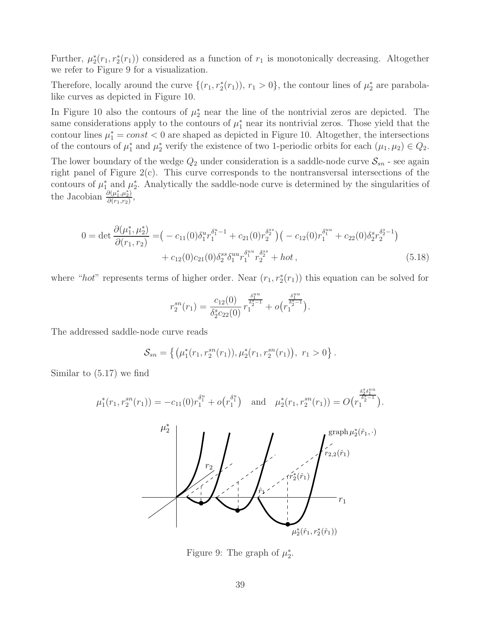Further,  $\mu_2^*(r_1, r_2^*(r_1))$  considered as a function of  $r_1$  is monotonically decreasing. Altogether we refer to Figure 9 for a visualization.

Therefore, locally around the curve  $\{(r_1, r_2^*(r_1)), r_1 > 0\}$ , the contour lines of  $\mu_2^*$  are parabolalike curves as depicted in Figure 10.

In Figure 10 also the contours of  $\mu_2^*$  near the line of the nontrivial zeros are depicted. The same considerations apply to the contours of  $\mu_1^*$  near its nontrivial zeros. Those yield that the contour lines  $\mu_1^* = const < 0$  are shaped as depicted in Figure 10. Altogether, the intersections of the contours of  $\mu_1^*$  and  $\mu_2^*$  verify the existence of two 1-periodic orbits for each  $(\mu_1, \mu_2) \in Q_2$ .

The lower boundary of the wedge  $Q_2$  under consideration is a saddle-node curve  $\mathcal{S}_{sn}$  - see again right panel of Figure 2(c). This curve corresponds to the nontransversal intersections of the contours of  $\mu_1^*$  and  $\mu_2^*$ . Analytically the saddle-node curve is determined by the singularities of the Jacobian  $\frac{\partial(\mu_1^*, \mu_2^*)}{\partial(r_1, r_2)}$  $\frac{\partial(\mu_1,\mu_2)}{\partial(r_1,r_2)},$ 

$$
0 = \det \frac{\partial(\mu_1^*, \mu_2^*)}{\partial(r_1, r_2)} = (-c_{11}(0)\delta_1^u r_1^{\delta_1^u - 1} + c_{21}(0)r_2^{\delta_2^s})(-c_{12}(0)r_1^{\delta_1^u + c_{22}(0)\delta_2^s r_2^{\delta_2^s - 1})
$$
  
+  $c_{12}(0)c_{21}(0)\delta_2^s \delta_1^{uu} r_1^{\delta_1^u} r_2^{\delta_2^s} + \text{hot},$  (5.18)

where "hot" represents terms of higher order. Near  $(r_1, r_2^*(r_1))$  this equation can be solved for

$$
r_2^{sn}(r_1) = \frac{c_{12}(0)}{\delta_2^s c_{22}(0)} r_1^{\frac{\delta_1^{uu}}{\delta_2^s - 1}} + o(r_1^{\frac{\delta_1^{uu}}{\delta_2^s - 1}}).
$$

The addressed saddle-node curve reads

$$
S_{sn} = \{ (\mu_1^*(r_1, r_2^{sn}(r_1)), \mu_2^*(r_1, r_2^{sn}(r_1)), r_1 > 0 \}.
$$

Similar to (5.17) we find



Figure 9: The graph of  $\mu_2^*$ .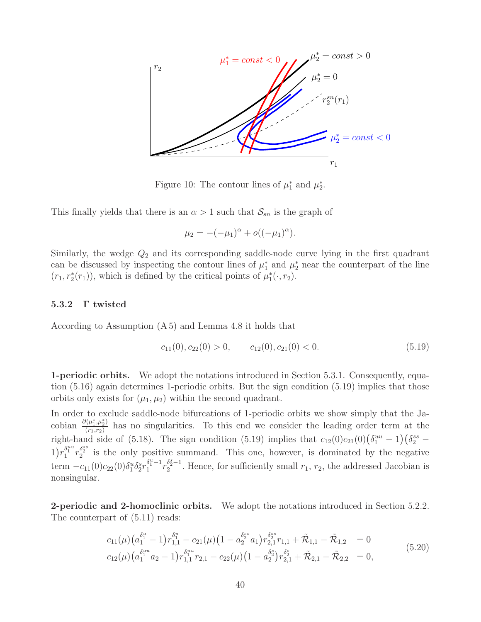

Figure 10: The contour lines of  $\mu_1^*$  and  $\mu_2^*$ .

This finally yields that there is an  $\alpha > 1$  such that  $S_{sn}$  is the graph of

$$
\mu_2 = -(-\mu_1)^{\alpha} + o((-\mu_1)^{\alpha}).
$$

Similarly, the wedge  $Q_2$  and its corresponding saddle-node curve lying in the first quadrant can be discussed by inspecting the contour lines of  $\mu_1^*$  and  $\mu_2^*$  near the counterpart of the line  $(r_1, r_2^*(r_1))$ , which is defined by the critical points of  $\mu_1^*(\cdot, r_2)$ .

#### 5.3.2 Γ twisted

According to Assumption (A 5) and Lemma 4.8 it holds that

$$
c_{11}(0), c_{22}(0) > 0, \qquad c_{12}(0), c_{21}(0) < 0. \tag{5.19}
$$

1-periodic orbits. We adopt the notations introduced in Section 5.3.1. Consequently, equation (5.16) again determines 1-periodic orbits. But the sign condition (5.19) implies that those orbits only exists for  $(\mu_1, \mu_2)$  within the second quadrant.

In order to exclude saddle-node bifurcations of 1-periodic orbits we show simply that the Jacobian  $\frac{\partial(\mu_1^*, \mu_2^*)}{\partial(r_1, r_2)}$  $\frac{(n_1, n_2)}{(r_1, r_2)}$  has no singularities. To this end we consider the leading order term at the right-hand side of (5.18). The sign condition (5.19) implies that  $c_{12}(0)c_{21}(0)(\delta_1^{uu}-1)(\delta_2^{ss}-1)$  $1)r_1^{\delta_1^{uu}}r_2^{\delta_2^{ss}}$  is the only positive summand. This one, however, is dominated by the negative term  $-c_{11}(0)c_{22}(0)\delta_1^u \delta_2^s r_1^{\delta_1^u-1}$  $\frac{\delta^{u}_{1}-1}{1}r_{2}^{\delta^{s}_{2}-1}$  $\frac{a_2-1}{2}$ . Hence, for sufficiently small  $r_1, r_2$ , the addressed Jacobian is nonsingular.

2-periodic and 2-homoclinic orbits. We adopt the notations introduced in Section 5.2.2. The counterpart of (5.11) reads:

$$
c_{11}(\mu) \left(a_1^{\delta_1^u} - 1\right) r_{1,1}^{\delta_1^u} - c_{21}(\mu) \left(1 - a_2^{\delta_2^s} a_1\right) r_{2,1}^{\delta_2^s} r_{1,1} + \tilde{\mathcal{R}}_{1,1} - \tilde{\mathcal{R}}_{1,2} = 0
$$
  
\n
$$
c_{12}(\mu) \left(a_1^{\delta_1^{uu}} a_2 - 1\right) r_{1,1}^{\delta_1^{uu}} r_{2,1} - c_{22}(\mu) \left(1 - a_2^{\delta_2}\right) r_{2,1}^{\delta_2^s} + \tilde{\mathcal{R}}_{2,1} - \tilde{\mathcal{R}}_{2,2} = 0,
$$
\n
$$
(5.20)
$$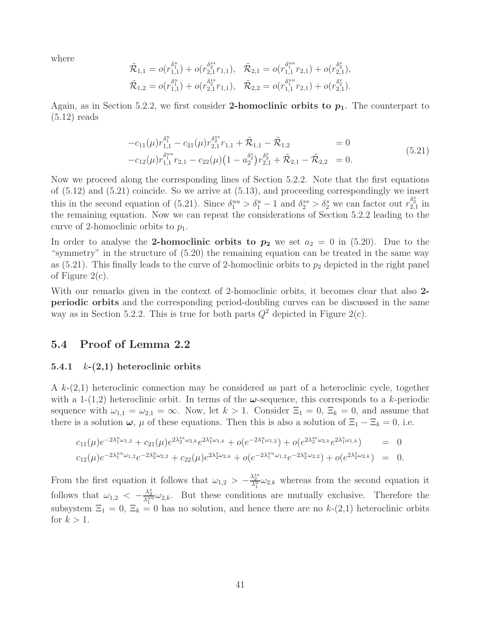where

$$
\begin{aligned} \tilde{\mathcal{R}}_{1,1} &= o(r_{1,1}^{\delta_1^u}) + o(r_{2,1}^{\delta_2^s s} r_{1,1}), & \tilde{\mathcal{R}}_{2,1} &= o(r_{1,1}^{\delta_1^u} r_{2,1}) + o(r_{2,1}^{\delta_2^s}),\\ \tilde{\mathcal{R}}_{1,2} &= o(r_{1,1}^{\delta_1^u}) + o(r_{2,1}^{\delta_2^s s} r_{1,1}), & \tilde{\mathcal{R}}_{2,2} &= o(r_{1,1}^{\delta_1^u} r_{2,1}) + o(r_{2,1}^{\delta_2^s}). \end{aligned}
$$

Again, as in Section 5.2.2, we first consider 2-homoclinic orbits to  $p_1$ . The counterpart to (5.12) reads

$$
-c_{11}(\mu)r_{1,1}^{\delta_1^u} - c_{21}(\mu)r_{2,1}^{\delta_2^s}r_{1,1} + \tilde{\mathcal{R}}_{1,1} - \tilde{\mathcal{R}}_{1,2} = 0
$$
  
\n
$$
-c_{12}(\mu)r_{1,1}^{\delta_1^u}r_{2,1} - c_{22}(\mu)(1 - a_2^{\delta_2})r_{2,1}^{\delta_2^s} + \tilde{\mathcal{R}}_{2,1} - \tilde{\mathcal{R}}_{2,2} = 0.
$$
\n(5.21)

Now we proceed along the corresponding lines of Section 5.2.2. Note that the first equations of (5.12) and (5.21) coincide. So we arrive at (5.13), and proceeding correspondingly we insert this in the second equation of (5.21). Since  $\delta_1^{uu} > \delta_1^u - 1$  and  $\delta_2^{ss} > \delta_2^s$  we can factor out  $r_{2,1}^{\delta_2^s}$  in the remaining equation. Now we can repeat the considerations of Section 5.2.2 leading to the curve of 2-homoclinic orbits to  $p_1$ .

In order to analyse the 2-homoclinic orbits to  $p_2$  we set  $a_2 = 0$  in (5.20). Due to the "symmetry" in the structure of (5.20) the remaining equation can be treated in the same way as  $(5.21)$ . This finally leads to the curve of 2-homoclinic orbits to  $p_2$  depicted in the right panel of Figure 2(c).

With our remarks given in the context of 2-homoclinic orbits, it becomes clear that also 2periodic orbits and the corresponding period-doubling curves can be discussed in the same way as in Section 5.2.2. This is true for both parts  $Q^2$  depicted in Figure 2(c).

### 5.4 Proof of Lemma 2.2

#### 5.4.1  $k-(2,1)$  heteroclinic orbits

A  $k-(2,1)$  heteroclinic connection may be considered as part of a heteroclinic cycle, together with a 1-(1,2) heteroclinic orbit. In terms of the  $\omega$ -sequence, this corresponds to a k-periodic sequence with  $\omega_{1,1} = \omega_{2,1} = \infty$ . Now, let  $k > 1$ . Consider  $\Xi_1 = 0$ ,  $\Xi_k = 0$ , and assume that there is a solution  $\omega$ ,  $\mu$  of these equations. Then this is also a solution of  $\Xi_1 - \Xi_k = 0$ , i.e.

$$
c_{11}(\mu)e^{-2\lambda_1^u\omega_{1,2}} + c_{21}(\mu)e^{2\lambda_2^{ss}\omega_{2,k}}e^{2\lambda_1^s\omega_{1,k}} + o(e^{-2\lambda_1^u\omega_{1,2}}) + o(e^{2\lambda_2^{ss}\omega_{2,k}}e^{2\lambda_1^s\omega_{1,k}}) = 0
$$
  

$$
c_{12}(\mu)e^{-2\lambda_1^u\omega_{1,2}}e^{-2\lambda_2^u\omega_{2,2}} + c_{22}(\mu)e^{2\lambda_2^s\omega_{2,k}} + o(e^{-2\lambda_1^u\omega_{1,2}}e^{-2\lambda_2^u\omega_{2,2}}) + o(e^{2\lambda_2^s\omega_{2,k}}) = 0.
$$

From the first equation it follows that  $\omega_{1,2} > -\frac{\lambda_2^{ss}}{\lambda_1^u}\omega_{2,k}$  whereas from the second equation it follows that  $\omega_{1,2} < -\frac{\lambda_2^s}{\lambda_1^{uu}}\omega_{2,k}$ . But these conditions are mutually exclusive. Therefore the subsystem  $\Xi_1 = 0$ ,  $\Xi_k = 0$  has no solution, and hence there are no  $k-(2,1)$  heteroclinic orbits for  $k > 1$ .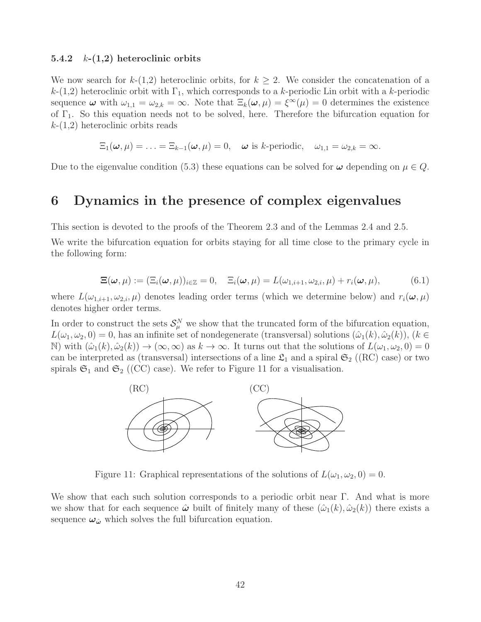#### 5.4.2  $k-(1,2)$  heteroclinic orbits

We now search for  $k-(1,2)$  heteroclinic orbits, for  $k \geq 2$ . We consider the concatenation of a  $k-(1,2)$  heteroclinic orbit with  $\Gamma_1$ , which corresponds to a k-periodic Lin orbit with a k-periodic sequence  $\omega$  with  $\omega_{1,1} = \omega_{2,k} = \infty$ . Note that  $\Xi_k(\omega,\mu) = \xi^{\infty}(\mu) = 0$  determines the existence of  $\Gamma_1$ . So this equation needs not to be solved, here. Therefore the bifurcation equation for  $k-(1,2)$  heteroclinic orbits reads

$$
\Xi_1(\boldsymbol{\omega},\mu)=\ldots=\Xi_{k-1}(\boldsymbol{\omega},\mu)=0,\quad \boldsymbol{\omega} \text{ is } k\text{-periodic},\quad \omega_{1,1}=\omega_{2,k}=\infty.
$$

Due to the eigenvalue condition (5.3) these equations can be solved for  $\omega$  depending on  $\mu \in Q$ .

## 6 Dynamics in the presence of complex eigenvalues

This section is devoted to the proofs of the Theorem 2.3 and of the Lemmas 2.4 and 2.5.

We write the bifurcation equation for orbits staying for all time close to the primary cycle in the following form:

$$
\Xi(\boldsymbol{\omega},\mu) := (\Xi_i(\boldsymbol{\omega},\mu))_{i \in \mathbb{Z}} = 0, \quad \Xi_i(\boldsymbol{\omega},\mu) = L(\omega_{1,i+1},\omega_{2,i},\mu) + r_i(\boldsymbol{\omega},\mu), \tag{6.1}
$$

where  $L(\omega_{1,i+1}, \omega_{2,i}, \mu)$  denotes leading order terms (which we determine below) and  $r_i(\omega, \mu)$ denotes higher order terms.

In order to construct the sets  $\mathcal{S}_{\mu}^{N}$  we show that the truncated form of the bifurcation equation,  $L(\omega_1, \omega_2, 0) = 0$ , has an infinite set of nondegenerate (transversal) solutions  $(\hat{\omega}_1(k), \hat{\omega}_2(k))$ ,  $(k \in$ N) with  $(\hat{\omega}_1(k), \hat{\omega}_2(k)) \to (\infty, \infty)$  as  $k \to \infty$ . It turns out that the solutions of  $L(\omega_1, \omega_2, 0) = 0$ can be interpreted as (transversal) intersections of a line  $\mathfrak{L}_1$  and a spiral  $\mathfrak{S}_2$  ((RC) case) or two spirals  $\mathfrak{S}_1$  and  $\mathfrak{S}_2$  ((CC) case). We refer to Figure 11 for a visualisation.



Figure 11: Graphical representations of the solutions of  $L(\omega_1, \omega_2, 0) = 0$ .

We show that each such solution corresponds to a periodic orbit near  $\Gamma$ . And what is more we show that for each sequence  $\hat{\omega}$  built of finitely many of these  $(\hat{\omega}_1(k), \hat{\omega}_2(k))$  there exists a sequence  $\omega_{\hat{\omega}}$  which solves the full bifurcation equation.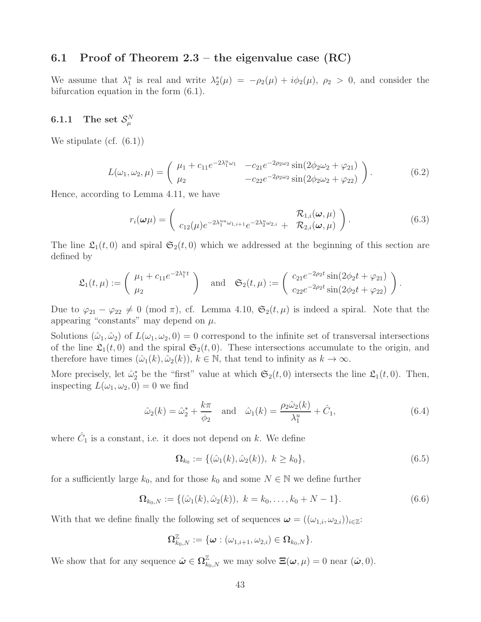## 6.1 Proof of Theorem  $2.3$  – the eigenvalue case (RC)

We assume that  $\lambda_1^u$  is real and write  $\lambda_2^s(\mu) = -\rho_2(\mu) + i\phi_2(\mu)$ ,  $\rho_2 > 0$ , and consider the bifurcation equation in the form (6.1).

## $6.1.1$  The set  $\mathcal{S}_{\mu }^{N}$

We stipulate (cf. (6.1))

$$
L(\omega_1, \omega_2, \mu) = \begin{pmatrix} \mu_1 + c_{11}e^{-2\lambda_1^2 \omega_1} & -c_{21}e^{-2\rho_2\omega_2}\sin(2\phi_2\omega_2 + \varphi_{21}) \\ \mu_2 & -c_{22}e^{-2\rho_2\omega_2}\sin(2\phi_2\omega_2 + \varphi_{22}) \end{pmatrix}.
$$
 (6.2)

Hence, according to Lemma 4.11, we have

$$
r_i(\boldsymbol{\omega}\mu) = \begin{pmatrix} R_{1,i}(\boldsymbol{\omega}, \mu) & R_{2,i}(\boldsymbol{\omega}, \mu) \\ c_{12}(\mu)e^{-2\lambda_1^{uu}\omega_{1,i+1}}e^{-2\lambda_2^{u}\omega_{2,i}} & R_{2,i}(\boldsymbol{\omega}, \mu) \end{pmatrix}.
$$
 (6.3)

The line  $\mathfrak{L}_1(t,0)$  and spiral  $\mathfrak{S}_2(t,0)$  which we addressed at the beginning of this section are defined by

$$
\mathfrak{L}_1(t,\mu) := \begin{pmatrix} \mu_1 + c_{11}e^{-2\lambda_1^u t} \\ \mu_2 \end{pmatrix} \text{ and } \mathfrak{S}_2(t,\mu) := \begin{pmatrix} c_{21}e^{-2\rho_2 t} \sin(2\phi_2 t + \varphi_{21}) \\ c_{22}e^{-2\rho_2 t} \sin(2\phi_2 t + \varphi_{22}) \end{pmatrix}.
$$

Due to  $\varphi_{21} - \varphi_{22} \neq 0 \pmod{\pi}$ , cf. Lemma 4.10,  $\mathfrak{S}_2(t,\mu)$  is indeed a spiral. Note that the appearing "constants" may depend on  $\mu$ .

Solutions  $(\hat{\omega}_1, \hat{\omega}_2)$  of  $L(\omega_1, \omega_2, 0) = 0$  correspond to the infinite set of transversal intersections of the line  $\mathfrak{L}_1(t,0)$  and the spiral  $\mathfrak{S}_2(t,0)$ . These intersections accumulate to the origin, and therefore have times  $(\hat{\omega}_1(k), \hat{\omega}_2(k))$ ,  $k \in \mathbb{N}$ , that tend to infinity as  $k \to \infty$ .

More precisely, let  $\hat{\omega}_2^*$  be the "first" value at which  $\mathfrak{S}_2(t,0)$  intersects the line  $\mathfrak{L}_1(t,0)$ . Then, inspecting  $L(\omega_1, \omega_2, 0) = 0$  we find

$$
\hat{\omega}_2(k) = \hat{\omega}_2^* + \frac{k\pi}{\phi_2} \quad \text{and} \quad \hat{\omega}_1(k) = \frac{\rho_2 \hat{\omega}_2(k)}{\lambda_1^u} + \hat{C}_1,\tag{6.4}
$$

where  $\hat{C}_1$  is a constant, i.e. it does not depend on k. We define

$$
\Omega_{k_0} := \{ (\hat{\omega}_1(k), \hat{\omega}_2(k)), \ k \ge k_0 \},\tag{6.5}
$$

for a sufficiently large  $k_0$ , and for those  $k_0$  and some  $N \in \mathbb{N}$  we define further

$$
\Omega_{k_0,N} := \{ (\hat{\omega}_1(k), \hat{\omega}_2(k)), \ k = k_0, \dots, k_0 + N - 1 \}.
$$
 (6.6)

With that we define finally the following set of sequences  $\boldsymbol{\omega} = ((\omega_{1,i}, \omega_{2,i}))_{i \in \mathbb{Z}}$ :

$$
\pmb{\Omega}_{k_0,N}^{\mathbb{Z}}:=\big\{\pmb{\omega}: \left(\omega_{1,i+1},\omega_{2,i}\right)\in\pmb{\Omega}_{k_0,N}\big\}.
$$

We show that for any sequence  $\hat{\omega} \in \Omega_{k_0,N}^{\mathbb{Z}}$  we may solve  $\Xi(\omega,\mu) = 0$  near  $(\hat{\omega},0)$ .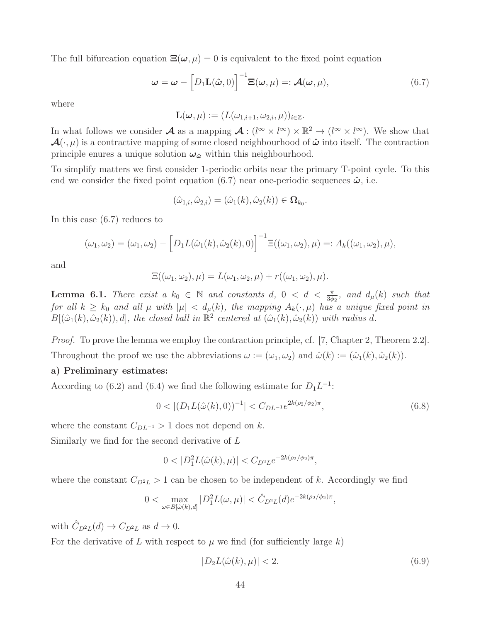The full bifurcation equation  $\Xi(\omega, \mu) = 0$  is equivalent to the fixed point equation

$$
\boldsymbol{\omega} = \boldsymbol{\omega} - \left[D_1 \mathbf{L}(\hat{\boldsymbol{\omega}}, 0)\right]^{-1} \mathbf{\Xi}(\boldsymbol{\omega}, \mu) =: \boldsymbol{\mathcal{A}}(\boldsymbol{\omega}, \mu), \tag{6.7}
$$

where

$$
\mathbf{L}(\boldsymbol{\omega},\mu) := (L(\omega_{1,i+1},\omega_{2,i},\mu))_{i\in\mathbb{Z}}.
$$

In what follows we consider  $\mathcal A$  as a mapping  $\mathcal A: (l^{\infty} \times l^{\infty}) \times \mathbb{R}^2 \to (l^{\infty} \times l^{\infty})$ . We show that  $\mathcal{A}(\cdot,\mu)$  is a contractive mapping of some closed neighbourhood of  $\hat{\omega}$  into itself. The contraction principle enures a unique solution  $\omega_{\hat{\omega}}$  within this neighbourhood.

To simplify matters we first consider 1-periodic orbits near the primary T-point cycle. To this end we consider the fixed point equation (6.7) near one-periodic sequences  $\hat{\omega}$ , i.e.

$$
(\hat{\omega}_{1,i}, \hat{\omega}_{2,i}) = (\hat{\omega}_1(k), \hat{\omega}_2(k)) \in \Omega_{k_0}.
$$

In this case (6.7) reduces to

$$
(\omega_1, \omega_2) = (\omega_1, \omega_2) - [D_1 L(\hat{\omega}_1(k), \hat{\omega}_2(k), 0)]^{-1} \Xi((\omega_1, \omega_2), \mu) =: A_k((\omega_1, \omega_2), \mu),
$$

and

$$
\Xi((\omega_1,\omega_2),\mu)=L(\omega_1,\omega_2,\mu)+r((\omega_1,\omega_2),\mu).
$$

**Lemma 6.1.** There exist a  $k_0 \in \mathbb{N}$  and constants d,  $0 < d < \frac{\pi}{3\phi_2}$ , and  $d_{\mu}(k)$  such that for all  $k \geq k_0$  and all  $\mu$  with  $|\mu| < d_{\mu}(k)$ , the mapping  $A_k(\cdot, \mu)$  has a unique fixed point in  $B[(\hat{\omega}_1(k), \hat{\omega}_2(k)), d]$ , the closed ball in  $\mathbb{R}^2$  centered at  $(\hat{\omega}_1(k), \hat{\omega}_2(k))$  with radius d.

Proof. To prove the lemma we employ the contraction principle, cf. [7, Chapter 2, Theorem 2.2]. Throughout the proof we use the abbreviations  $\omega := (\omega_1, \omega_2)$  and  $\hat{\omega}(k) := (\hat{\omega}_1(k), \hat{\omega}_2(k)).$ 

#### a) Preliminary estimates:

According to (6.2) and (6.4) we find the following estimate for  $D_1L^{-1}$ :

$$
0 < |(D_1 L(\hat{\omega}(k), 0))^{-1}| < C_{DL^{-1}} e^{2k(\rho_2/\phi_2)\pi},\tag{6.8}
$$

where the constant  $C_{DL^{-1}} > 1$  does not depend on k.

Similarly we find for the second derivative of L

$$
0 < |D_1^2 L(\hat{\omega}(k), \mu)| < C_{D^2 L} e^{-2k(\rho_2/\phi_2)\pi},
$$

where the constant  $C_{D^2L} > 1$  can be chosen to be independent of k. Accordingly we find

$$
0 < \max_{\omega \in B[\hat{\omega}(k),d]} |D_1^2 L(\omega,\mu)| < \hat{C}_{D^2 L}(d) e^{-2k(\rho_2/\phi_2)\pi},
$$

with  $\hat{C}_{D^2L}(d) \to C_{D^2L}$  as  $d \to 0$ .

For the derivative of L with respect to  $\mu$  we find (for sufficiently large k)

$$
|D_2L(\hat{\omega}(k), \mu)| < 2. \tag{6.9}
$$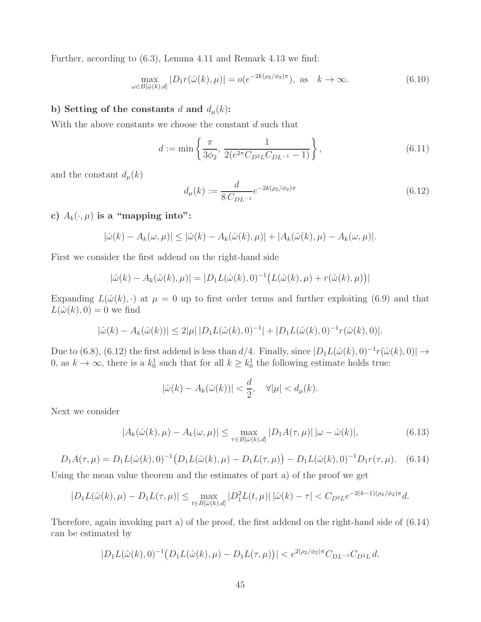Further, according to (6.3), Lemma 4.11 and Remark 4.13 we find:

$$
\max_{\omega \in B[\hat{\omega}(k),d]} |D_1 r(\hat{\omega}(k),\mu)| = o(e^{-2k(\rho_2/\phi_2)\pi}), \text{ as } k \to \infty.
$$
 (6.10)

### b) Setting of the constants d and  $d_{\mu}(k)$ :

With the above constants we choose the constant  $d$  such that

$$
d := \min\left\{\frac{\pi}{3\phi_2}, \frac{1}{2(e^{2\pi}C_{D^2L}C_{DL^{-1}} - 1)}\right\},\tag{6.11}
$$

and the constant  $d_{\mu}(k)$ 

$$
d_{\mu}(k) := \frac{d}{8C_{DL^{-1}}}e^{-2k(\rho_2/\phi_2)\pi}
$$
\n(6.12)

c)  $A_k(\cdot, \mu)$  is a "mapping into":

$$
|\hat{\omega}(k) - A_k(\omega, \mu)| \leq |\hat{\omega}(k) - A_k(\hat{\omega}(k), \mu)| + |A_k(\hat{\omega}(k), \mu) - A_k(\omega, \mu)|.
$$

First we consider the first addend on the right-hand side

$$
|\hat{\omega}(k) - A_k(\hat{\omega}(k), \mu)| = |D_1 L(\hat{\omega}(k), 0)^{-1} (L(\hat{\omega}(k), \mu) + r(\hat{\omega}(k), \mu))|
$$

Expanding  $L(\hat{\omega}(k), \cdot)$  at  $\mu = 0$  up to first order terms and further exploiting (6.9) and that  $L(\hat{\omega}(k), 0) = 0$  we find

$$
|\hat{\omega}(k) - A_k(\hat{\omega}(k))| \le 2|\mu| |D_1 L(\hat{\omega}(k), 0)^{-1}| + |D_1 L(\hat{\omega}(k), 0)^{-1} r(\hat{\omega}(k), 0)|.
$$

Due to (6.8), (6.12) the first addend is less than  $d/4$ . Finally, since  $|D_1L(\hat{\omega}(k),0)^{-1}r(\hat{\omega}(k),0)| \to$ 0, as  $k \to \infty$ , there is a  $k_0^1$  such that for all  $k \geq k_0^1$  the following estimate holds true:

$$
|\hat{\omega}(k) - A_k(\hat{\omega}(k))| < \frac{d}{2}, \quad \forall |\mu| < d_\mu(k).
$$

Next we consider

$$
|A_k(\hat{\omega}(k), \mu) - A_k(\omega, \mu)| \le \max_{\tau \in B[\hat{\omega}(k), d]} |D_1 A(\tau, \mu)| |\omega - \hat{\omega}(k)|,
$$
\n(6.13)

$$
D_1 A(\tau, \mu) = D_1 L(\hat{\omega}(k), 0)^{-1} (D_1 L(\hat{\omega}(k), \mu) - D_1 L(\tau, \mu)) - D_1 L(\hat{\omega}(k), 0)^{-1} D_1 r(\tau, \mu).
$$
 (6.14)

Using the mean value theorem and the estimates of part a) of the proof we get

$$
|D_1L(\hat{\omega}(k),\mu) - D_1L(\tau,\mu)| \leq \max_{t \in B[\hat{\omega}(k),d]} |D_1^2L(t,\mu)| |\hat{\omega}(k) - \tau| < C_{D^2L}e^{-2(k-1)(\rho_2/\phi_2)\pi}d.
$$

Therefore, again invoking part a) of the proof, the first addend on the right-hand side of (6.14) can be estimated by

$$
|D_1L(\hat{\omega}(k),0)^{-1}(D_1L(\hat{\omega}(k),\mu)-D_1L(\tau,\mu))|
$$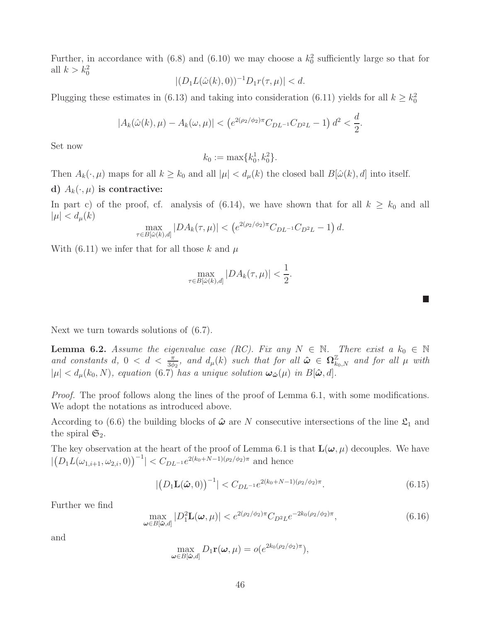Further, in accordance with (6.8) and (6.10) we may choose a  $k_0^2$  sufficiently large so that for all  $k > k_0^2$ 

$$
|(D_1L(\hat{\omega}(k),0))^{-1}D_1r(\tau,\mu)| < d.
$$

Plugging these estimates in (6.13) and taking into consideration (6.11) yields for all  $k \geq k_0^2$ 

$$
|A_k(\hat{\omega}(k), \mu) - A_k(\omega, \mu)| < \left(e^{2(\rho_2/\phi_2)\pi} C_{DL^{-1}} C_{D^2L} - 1\right) d^2 < \frac{d}{2}.
$$

Set now

$$
k_0 := \max\{k_0^1, k_0^2\}.
$$

Then  $A_k(\cdot, \mu)$  maps for all  $k \geq k_0$  and all  $|\mu| < d_\mu(k)$  the closed ball  $B[\hat{\omega}(k), d]$  into itself.

#### d)  $A_k(\cdot, \mu)$  is contractive:

In part c) of the proof, cf. analysis of (6.14), we have shown that for all  $k \geq k_0$  and all  $|\mu| < d_{\mu}(k)$ 

$$
\max_{\tau \in B[\hat{\omega}(k),d]} |DA_k(\tau,\mu)| < \left(e^{2(\rho_2/\phi_2)\pi} C_{DL^{-1}} C_{D^2L} - 1\right) d.
$$

With (6.11) we infer that for all those k and  $\mu$ 

$$
\max_{\tau \in B[\hat{\omega}(k),d]} |DA_k(\tau,\mu)| < \frac{1}{2}.
$$

| Next we turn towards solutions of $(6.7)$ . |  |
|---------------------------------------------|--|
|---------------------------------------------|--|

**Lemma 6.2.** Assume the eigenvalue case (RC). Fix any  $N \in \mathbb{N}$ . There exist a  $k_0 \in \mathbb{N}$ and constants d,  $0 < d < \frac{\pi}{3\phi_2}$ , and  $d_{\mu}(k)$  such that for all  $\hat{\omega} \in \Omega_{k_0,N}^{\mathbb{Z}}$  and for all  $\mu$  with  $|\mu| < d_{\mu}(k_0, N)$ , equation  $(6.7)^{\dagger}$  has a unique solution  $\omega_{\hat{\omega}}(\mu)$  in  $B[\hat{\omega}, d]$ .

Proof. The proof follows along the lines of the proof of Lemma 6.1, with some modifications. We adopt the notations as introduced above.

According to (6.6) the building blocks of  $\hat{\omega}$  are N consecutive intersections of the line  $\mathfrak{L}_1$  and the spiral  $\mathfrak{S}_2$ .

The key observation at the heart of the proof of Lemma 6.1 is that  $\mathbf{L}(\boldsymbol{\omega}, \mu)$  decouples. We have  $|(D_1L(\omega_{1,i+1}, \omega_{2,i}, 0))^{-1}| < C_{DL^{-1}}e^{2(k_0+N-1)(\rho_2/\phi_2)\pi}$  and hence

$$
|\big(D_1\mathbf{L}(\hat{\boldsymbol{\omega}},0)\big)^{-1}| < C_{DL^{-1}}e^{2(k_0+N-1)(\rho_2/\phi_2)\pi}.
$$
\n(6.15)

 $\mathcal{L}_{\mathcal{A}}$ 

Further we find

$$
\max_{\boldsymbol{\omega} \in B[\hat{\boldsymbol{\omega}}, d]} |D_1^2 \mathbf{L}(\boldsymbol{\omega}, \mu)| < e^{2(\rho_2/\phi_2)\pi} C_{D^2 L} e^{-2k_0(\rho_2/\phi_2)\pi}, \tag{6.16}
$$

and

$$
\max_{\boldsymbol{\omega}\in B[\hat{\boldsymbol{\omega}},d]} D_1 \mathbf{r}(\boldsymbol{\omega},\mu) = o(e^{2k_0(\rho_2/\phi_2)\pi}),
$$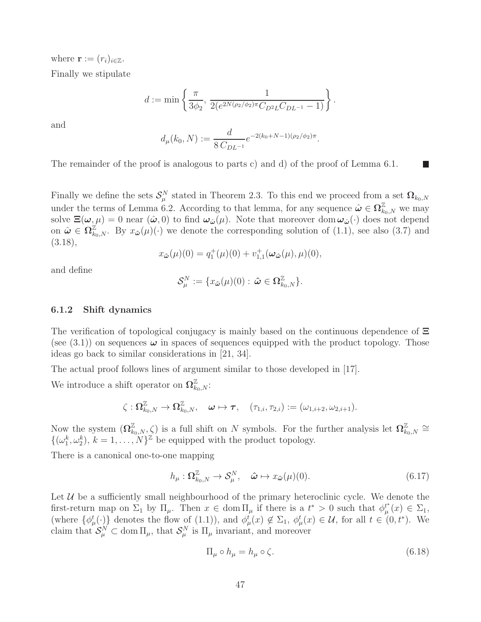where  $\mathbf{r} := (r_i)_{i \in \mathbb{Z}}$ .

Finally we stipulate

$$
d := \min \left\{ \frac{\pi}{3\phi_2}, \frac{1}{2(e^{2N(\rho_2/\phi_2)\pi}C_{D^2L}C_{DL^{-1}} - 1)} \right\}.
$$

and

$$
d_{\mu}(k_0, N) := \frac{d}{8 C_{DL^{-1}}} e^{-2(k_0 + N - 1)(\rho_2/\phi_2)\pi}.
$$

The remainder of the proof is analogous to parts c) and d) of the proof of Lemma 6.1.

Finally we define the sets  $\mathcal{S}_{\mu}^N$  stated in Theorem 2.3. To this end we proceed from a set  $\mathbf{\Omega}_{k_0,N}$ under the terms of Lemma 6.2. According to that lemma, for any sequence  $\hat{\omega} \in \Omega_{k_0,N}^{\mathbb{Z}}$  we may solve  $\Xi(\omega,\mu) = 0$  near  $(\hat{\omega},0)$  to find  $\omega_{\hat{\omega}}(\mu)$ . Note that moreover dom  $\omega_{\hat{\omega}}(\cdot)$  does not depend on  $\hat{\boldsymbol{\omega}} \in \Omega_{k_0,N}^{\mathbb{Z}}$ . By  $x_{\hat{\boldsymbol{\omega}}}(\mu)(\cdot)$  we denote the corresponding solution of  $(1.1)$ , see also  $(3.7)$  and (3.18),

$$
x_{\hat{\boldsymbol{\omega}}}(\mu)(0) = q_1^+(\mu)(0) + v_{1,1}^+(\boldsymbol{\omega}_{\hat{\boldsymbol{\omega}}}(\mu), \mu)(0),
$$

and define

$$
\mathcal{S}_{\mu}^N:=\{x_{\hat{\boldsymbol{\omega}}}(\mu)(0):\,\hat{\boldsymbol{\omega}}\in\Omega_{k_0,N}^{\mathbb{Z}}\}.
$$

#### 6.1.2 Shift dynamics

The verification of topological conjugacy is mainly based on the continuous dependence of Ξ (see  $(3.1)$ ) on sequences  $\omega$  in spaces of sequences equipped with the product topology. Those ideas go back to similar considerations in [21, 34].

The actual proof follows lines of argument similar to those developed in [17].

We introduce a shift operator on  $\Omega^{\mathbb{Z}}_{k_0,N}$ :

$$
\zeta: \Omega^{\mathbb{Z}}_{k_0,N} \rightarrow \Omega^{\mathbb{Z}}_{k_0,N}, \quad \omega \mapsto \tau, \quad (\tau_{1,i},\tau_{2,i}):=(\omega_{1,i+2},\omega_{2,i+1}).
$$

Now the system  $(\Omega_{k_0,N}^{\mathbb{Z}}, \zeta)$  is a full shift on N symbols. For the further analysis let  $\Omega_{k_0}^{\mathbb{Z}}$  $^{\mathbb{Z}}_{k_0,N}\cong$  $\{(\omega_1^k, \omega_2^k), k = 1, \ldots, N\}^{\mathbb{Z}}\}$  be equipped with the product topology.

There is a canonical one-to-one mapping

$$
h_{\mu}: \Omega_{k_0,N}^{\mathbb{Z}} \to \mathcal{S}_{\mu}^N, \quad \hat{\boldsymbol{\omega}} \mapsto x_{\hat{\boldsymbol{\omega}}}(\mu)(0). \tag{6.17}
$$

Let  $U$  be a sufficiently small neighbourhood of the primary heteroclinic cycle. We denote the first-return map on  $\Sigma_1$  by  $\Pi_\mu$ . Then  $x \in \text{dom }\Pi_\mu$  if there is a  $t^* > 0$  such that  $\phi_\mu^{t^*}$  $_{\mu}^{t^*}(x) \in \Sigma_1$ , (where  $\{\phi^t_\mu(\cdot)\}\$  denotes the flow of (1.1)), and  $\phi^t_\mu(x) \notin \Sigma_1$ ,  $\phi^t_\mu(x) \in \mathcal{U}$ , for all  $t \in (0, t^*)$ . We claim that  $S_{\mu}^{N} \subset \text{dom} \Pi_{\mu}$ , that  $S_{\mu}^{N}$  is  $\Pi_{\mu}$  invariant, and moreover

$$
\Pi_{\mu} \circ h_{\mu} = h_{\mu} \circ \zeta. \tag{6.18}
$$

П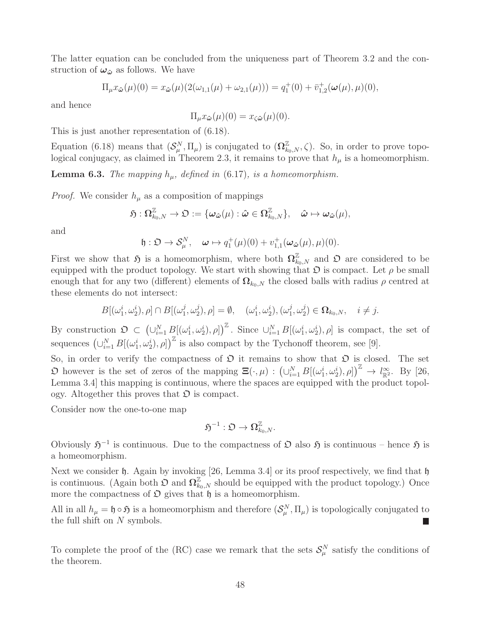The latter equation can be concluded from the uniqueness part of Theorem 3.2 and the construction of  $\omega_{\hat{\omega}}$  as follows. We have

$$
\Pi_{\mu} x_{\hat{\boldsymbol{\omega}}}(\mu)(0) = x_{\hat{\boldsymbol{\omega}}}(\mu)(2(\omega_{1,1}(\mu) + \omega_{2,1}(\mu))) = q_1^+(0) + \bar{v}_{1,2}^+(\boldsymbol{\omega}(\mu), \mu)(0),
$$

and hence

 $\Pi_{\mu} x_{\hat{\boldsymbol{\omega}}}(\mu)(0) = x_{\hat{\boldsymbol{\zeta}} \hat{\boldsymbol{\omega}}}(\mu)(0).$ 

This is just another representation of (6.18).

Equation (6.18) means that  $(S_\mu^N, \Pi_\mu)$  is conjugated to  $(\Omega_{k_0,N}^{\mathbb{Z}}, \zeta)$ . So, in order to prove topological conjugacy, as claimed in Theorem 2.3, it remains to prove that  $h_{\mu}$  is a homeomorphism.

**Lemma 6.3.** The mapping  $h_{\mu}$ , defined in (6.17), is a homeomorphism.

*Proof.* We consider  $h_{\mu}$  as a composition of mappings

$$
\mathfrak{H}:\Omega^{\mathbb{Z}}_{k_{0},N}\to \mathfrak{O}:=\{\omega_{\hat{\omega}}(\mu):\hat{\omega}\in \Omega^{\mathbb{Z}}_{k_{0},N}\},\quad \hat{\omega}\mapsto \omega_{\hat{\omega}}(\mu),
$$

and

$$
\mathfrak{h}:\mathfrak{O}\to\mathcal{S}_{\mu}^N,\quad\boldsymbol{\omega}\mapsto q_1^+(\mu)(0)+v_{1,1}^+(\boldsymbol{\omega}_{\hat{\boldsymbol{\omega}}}(\mu),\mu)(0).
$$

First we show that  $\mathfrak{H}$  is a homeomorphism, where both  $\Omega_{k_0,N}^{\mathbb{Z}}$  and  $\mathfrak{O}$  are considered to be equipped with the product topology. We start with showing that  $\mathfrak D$  is compact. Let  $\rho$  be small enough that for any two (different) elements of  $\Omega_{k_0,N}$  the closed balls with radius  $\rho$  centred at these elements do not intersect:

$$
B[(\omega_1^i, \omega_2^i), \rho] \cap B[(\omega_1^j, \omega_2^j), \rho] = \emptyset, \quad (\omega_1^i, \omega_2^i), (\omega_1^j, \omega_2^j) \in \Omega_{k_0, N}, \quad i \neq j.
$$

By construction  $\mathfrak{O} \subset \left(\bigcup_{i=1}^N B[(\omega_1^i, \omega_2^i), \rho]\right)^{\mathbb{Z}}$ . Since  $\bigcup_{i=1}^N B[(\omega_1^i, \omega_2^i), \rho]$  is compact, the set of sequences  $(\cup_{i=1}^N B[(\omega_1^i, \omega_2^i), \rho])^{\mathbb{Z}}$  is also compact by the Tychonoff theorem, see [9].

So, in order to verify the compactness of  $\mathfrak D$  it remains to show that  $\mathfrak D$  is closed. The set  $\mathfrak{O}$  however is the set of zeros of the mapping  $\Xi(\cdot,\mu) : (\cup_{i=1}^N B[(\omega_1^i,\omega_2^i),\rho])^{\mathbb{Z}} \to l_{\mathbb{R}^2}^{\infty}$ . By [26, Lemma 3.4] this mapping is continuous, where the spaces are equipped with the product topology. Altogether this proves that  $\mathfrak D$  is compact.

Consider now the one-to-one map

$$
\mathfrak{H}^{-1}:\mathfrak{O}\to\Omega_{k_0,N}^{\mathbb{Z}}.
$$

Obviously  $\mathfrak{H}^{-1}$  is continuous. Due to the compactness of  $\mathfrak O$  also  $\mathfrak H$  is continuous – hence  $\mathfrak H$  is a homeomorphism.

Next we consider  $\mathfrak h$ . Again by invoking [26, Lemma 3.4] or its proof respectively, we find that  $\mathfrak h$ is continuous. (Again both  $\mathcal{D}$  and  $\Omega_{k_0,N}^{\mathbb{Z}}$  should be equipped with the product topology.) Once more the compactness of  $\mathfrak O$  gives that  $\mathfrak h$  is a homeomorphism.

All in all  $h_\mu = \mathfrak{h} \circ \mathfrak{H}$  is a homeomorphism and therefore  $(S_\mu^N, \Pi_\mu)$  is topologically conjugated to the full shift on  $N$  symbols.

To complete the proof of the (RC) case we remark that the sets  $\mathcal{S}_{\mu}^{N}$  satisfy the conditions of the theorem.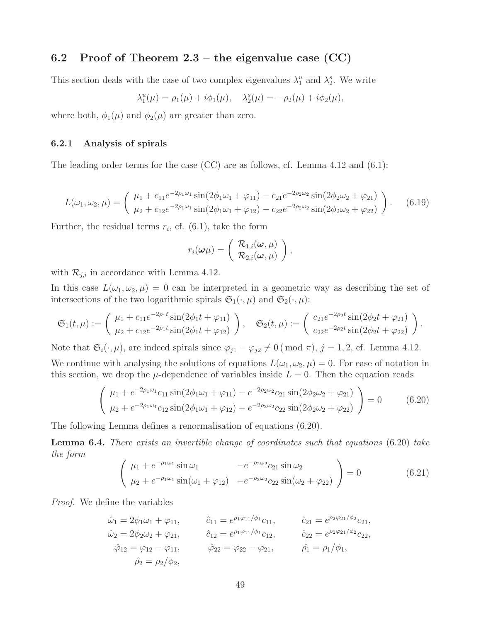## 6.2 Proof of Theorem  $2.3$  – the eigenvalue case  $(CC)$

This section deals with the case of two complex eigenvalues  $\lambda_1^u$  and  $\lambda_2^s$ . We write

$$
\lambda_1^u(\mu) = \rho_1(\mu) + i\phi_1(\mu), \quad \lambda_2^s(\mu) = -\rho_2(\mu) + i\phi_2(\mu),
$$

where both,  $\phi_1(\mu)$  and  $\phi_2(\mu)$  are greater than zero.

#### 6.2.1 Analysis of spirals

The leading order terms for the case (CC) are as follows, cf. Lemma 4.12 and (6.1):

$$
L(\omega_1, \omega_2, \mu) = \begin{pmatrix} \mu_1 + c_{11}e^{-2\rho_1\omega_1}\sin(2\phi_1\omega_1 + \varphi_{11}) - c_{21}e^{-2\rho_2\omega_2}\sin(2\phi_2\omega_2 + \varphi_{21}) \\ \mu_2 + c_{12}e^{-2\rho_1\omega_1}\sin(2\phi_1\omega_1 + \varphi_{12}) - c_{22}e^{-2\rho_2\omega_2}\sin(2\phi_2\omega_2 + \varphi_{22}) \end{pmatrix}.
$$
 (6.19)

Further, the residual terms  $r_i$ , cf. (6.1), take the form

$$
r_i({\boldsymbol{\omega}}{\mu}) = \left( \begin{array}{c} \mathcal{R}_{1,i}({\boldsymbol{\omega}},{\mu}) \\ \mathcal{R}_{2,i}({\boldsymbol{\omega}},{\mu}) \end{array} \right),
$$

with  $\mathcal{R}_{j,i}$  in accordance with Lemma 4.12.

In this case  $L(\omega_1, \omega_2, \mu) = 0$  can be interpreted in a geometric way as describing the set of intersections of the two logarithmic spirals  $\mathfrak{S}_1(\cdot,\mu)$  and  $\mathfrak{S}_2(\cdot,\mu)$ :

$$
\mathfrak{S}_1(t,\mu) := \begin{pmatrix} \mu_1 + c_{11}e^{-2\rho_1 t} \sin(2\phi_1 t + \varphi_{11}) \\ \mu_2 + c_{12}e^{-2\rho_1 t} \sin(2\phi_1 t + \varphi_{12}) \end{pmatrix}, \quad \mathfrak{S}_2(t,\mu) := \begin{pmatrix} c_{21}e^{-2\rho_2 t} \sin(2\phi_2 t + \varphi_{21}) \\ c_{22}e^{-2\rho_2 t} \sin(2\phi_2 t + \varphi_{22}) \end{pmatrix}.
$$

Note that  $\mathfrak{S}_i(\cdot,\mu)$ , are indeed spirals since  $\varphi_{j1} - \varphi_{j2} \neq 0 \pmod{\pi}$ ,  $j = 1, 2$ , cf. Lemma 4.12. We continue with analysing the solutions of equations  $L(\omega_1, \omega_2, \mu) = 0$ . For ease of notation in

this section, we drop the 
$$
\mu
$$
-dependence of variables inside  $L = 0$ . Then the equation reads

$$
\begin{pmatrix}\n\mu_1 + e^{-2\rho_1 \omega_1} c_{11} \sin(2\phi_1 \omega_1 + \varphi_{11}) - e^{-2\rho_2 \omega_2} c_{21} \sin(2\phi_2 \omega_2 + \varphi_{21}) \\
\mu_2 + e^{-2\rho_1 \omega_1} c_{12} \sin(2\phi_1 \omega_1 + \varphi_{12}) - e^{-2\rho_2 \omega_2} c_{22} \sin(2\phi_2 \omega_2 + \varphi_{22})\n\end{pmatrix} = 0
$$
\n(6.20)

The following Lemma defines a renormalisation of equations (6.20).

Lemma 6.4. There exists an invertible change of coordinates such that equations (6.20) take the form

$$
\begin{pmatrix}\n\mu_1 + e^{-\rho_1 \omega_1} \sin \omega_1 & -e^{-\rho_2 \omega_2} c_{21} \sin \omega_2 \\
\mu_2 + e^{-\rho_1 \omega_1} \sin(\omega_1 + \varphi_{12}) & -e^{-\rho_2 \omega_2} c_{22} \sin(\omega_2 + \varphi_{22})\n\end{pmatrix} = 0
$$
\n(6.21)

Proof. We define the variables

$$
\hat{\omega}_1 = 2\phi_1\omega_1 + \varphi_{11}, \qquad \hat{c}_{11} = e^{\rho_1\varphi_{11}/\phi_1}c_{11}, \qquad \hat{c}_{21} = e^{\rho_2\varphi_{21}/\phi_2}c_{21}, \n\hat{\omega}_2 = 2\phi_2\omega_2 + \varphi_{21}, \qquad \hat{c}_{12} = e^{\rho_1\varphi_{11}/\phi_1}c_{12}, \qquad \hat{c}_{22} = e^{\rho_2\varphi_{21}/\phi_2}c_{22}, \n\hat{\varphi}_{12} = \varphi_{12} - \varphi_{11}, \qquad \hat{\varphi}_{22} = \varphi_{22} - \varphi_{21}, \qquad \hat{\rho}_1 = \rho_1/\phi_1, \n\hat{\rho}_2 = \rho_2/\phi_2,
$$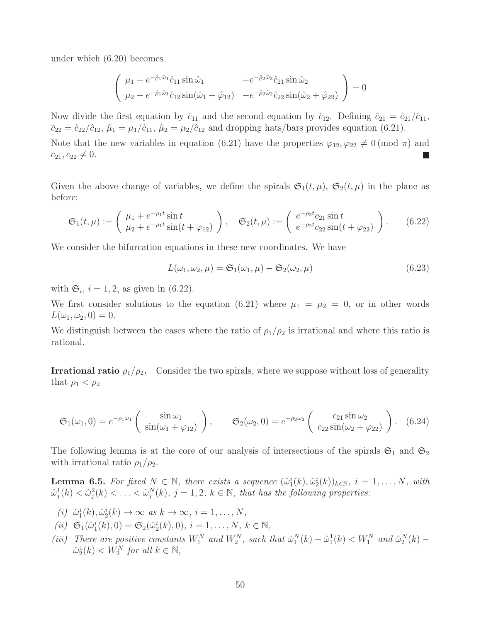under which (6.20) becomes

$$
\begin{pmatrix}\n\mu_1 + e^{-\hat{\rho}_1 \hat{\omega}_1} \hat{c}_{11} \sin \hat{\omega}_1 & -e^{-\hat{\rho}_2 \hat{\omega}_2} \hat{c}_{21} \sin \hat{\omega}_2 \\
\mu_2 + e^{-\hat{\rho}_1 \hat{\omega}_1} \hat{c}_{12} \sin(\hat{\omega}_1 + \hat{\varphi}_{12}) & -e^{-\hat{\rho}_2 \hat{\omega}_2} \hat{c}_{22} \sin(\hat{\omega}_2 + \hat{\varphi}_{22})\n\end{pmatrix} = 0
$$

Now divide the first equation by  $\hat{c}_{11}$  and the second equation by  $\hat{c}_{12}$ . Defining  $\bar{c}_{21} = \hat{c}_{21}/\hat{c}_{11}$ ,  $\bar{c}_{22} = \hat{c}_{22}/\hat{c}_{12}, \hat{\mu}_1 = \mu_1/\hat{c}_{11}, \hat{\mu}_2 = \mu_2/\hat{c}_{12}$  and dropping hats/bars provides equation (6.21).

Note that the new variables in equation (6.21) have the properties  $\varphi_{12}, \varphi_{22} \neq 0 \pmod{\pi}$  and  $c_{21}, c_{22} \neq 0.$ 

Given the above change of variables, we define the spirals  $\mathfrak{S}_1(t,\mu)$ ,  $\mathfrak{S}_2(t,\mu)$  in the plane as before:

$$
\mathfrak{S}_1(t,\mu) := \begin{pmatrix} \mu_1 + e^{-\rho_1 t} \sin t \\ \mu_2 + e^{-\rho_1 t} \sin(t + \varphi_{12}) \end{pmatrix}, \quad \mathfrak{S}_2(t,\mu) := \begin{pmatrix} e^{-\rho_2 t} c_{21} \sin t \\ e^{-\rho_2 t} c_{22} \sin(t + \varphi_{22}) \end{pmatrix}.
$$
 (6.22)

We consider the bifurcation equations in these new coordinates. We have

$$
L(\omega_1, \omega_2, \mu) = \mathfrak{S}_1(\omega_1, \mu) - \mathfrak{S}_2(\omega_2, \mu)
$$
\n(6.23)

with  $\mathfrak{S}_i$ ,  $i = 1, 2$ , as given in (6.22).

We first consider solutions to the equation (6.21) where  $\mu_1 = \mu_2 = 0$ , or in other words  $L(\omega_1, \omega_2, 0) = 0.$ 

We distinguish between the cases where the ratio of  $\rho_1/\rho_2$  is irrational and where this ratio is rational.

**Irrational ratio**  $\rho_1/\rho_2$ . Consider the two spirals, where we suppose without loss of generality that  $\rho_1 < \rho_2$ 

$$
\mathfrak{S}_1(\omega_1,0) = e^{-\rho_1 \omega_1} \begin{pmatrix} \sin \omega_1 \\ \sin(\omega_1 + \varphi_{12}) \end{pmatrix}, \qquad \mathfrak{S}_2(\omega_2,0) = e^{-\rho_2 \omega_2} \begin{pmatrix} c_{21} \sin \omega_2 \\ c_{22} \sin(\omega_2 + \varphi_{22}) \end{pmatrix}.
$$
 (6.24)

The following lemma is at the core of our analysis of intersections of the spirals  $\mathfrak{S}_1$  and  $\mathfrak{S}_2$ with irrational ratio  $\rho_1/\rho_2$ .

**Lemma 6.5.** For fixed  $N \in \mathbb{N}$ , there exists a sequence  $(\hat{\omega}_1^i(k), \hat{\omega}_2^i(k))_{k \in \mathbb{N}}$ ,  $i = 1, ..., N$ , with  $\hat{\omega}_j^1(k) < \hat{\omega}_j^2(k) < \ldots < \hat{\omega}_j^N(k)$ ,  $j = 1, 2, k \in \mathbb{N}$ , that has the following properties:

- (i)  $\hat{\omega}_1^i(k), \hat{\omega}_2^i(k) \to \infty$  as  $k \to \infty$ ,  $i = 1, ..., N$ ,
- (*ii*)  $\mathfrak{S}_1(\hat{\omega}_1^i(k), 0) = \mathfrak{S}_2(\hat{\omega}_2^i(k), 0), i = 1, ..., N, k \in \mathbb{N},$
- (iii) There are positive constants  $W_1^N$  and  $W_2^N$ , such that  $\hat{\omega}_1^N(k) \hat{\omega}_1^1(k) < W_1^N$  and  $\hat{\omega}_2^N(k)$   $\hat{\omega}_2^1(k) < W_2^N$  for all  $k \in \mathbb{N}$ ,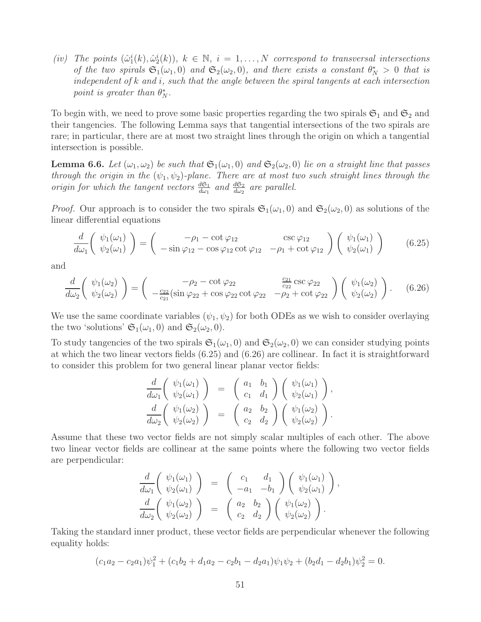(iv) The points  $(\hat{\omega}_1^i(k), \hat{\omega}_2^i(k))$ ,  $k \in \mathbb{N}$ ,  $i = 1, ..., N$  correspond to transversal intersections of the two spirals  $\mathfrak{S}_1(\omega_1,0)$  and  $\mathfrak{S}_2(\omega_2,0)$ , and there exists a constant  $\theta_N^* > 0$  that is independent of k and i, such that the angle between the spiral tangents at each intersection point is greater than  $\theta_N^*$ .

To begin with, we need to prove some basic properties regarding the two spirals  $\mathfrak{S}_1$  and  $\mathfrak{S}_2$  and their tangencies. The following Lemma says that tangential intersections of the two spirals are rare; in particular, there are at most two straight lines through the origin on which a tangential intersection is possible.

**Lemma 6.6.** Let  $(\omega_1, \omega_2)$  be such that  $\mathfrak{S}_1(\omega_1, 0)$  and  $\mathfrak{S}_2(\omega_2, 0)$  lie on a straight line that passes through the origin in the  $(\psi_1, \psi_2)$ -plane. There are at most two such straight lines through the origin for which the tangent vectors  $\frac{d\mathfrak{S}_1}{d\omega_1}$  and  $\frac{d\mathfrak{S}_2}{d\omega_2}$  are parallel.

*Proof.* Our approach is to consider the two spirals  $\mathfrak{S}_1(\omega_1, 0)$  and  $\mathfrak{S}_2(\omega_2, 0)$  as solutions of the linear differential equations

$$
\frac{d}{d\omega_1} \left( \begin{array}{c} \psi_1(\omega_1) \\ \psi_2(\omega_1) \end{array} \right) = \left( \begin{array}{cc} -\rho_1 - \cot \varphi_{12} & \csc \varphi_{12} \\ -\sin \varphi_{12} - \cos \varphi_{12} \cot \varphi_{12} & -\rho_1 + \cot \varphi_{12} \end{array} \right) \left( \begin{array}{c} \psi_1(\omega_1) \\ \psi_2(\omega_1) \end{array} \right) \tag{6.25}
$$

and

$$
\frac{d}{d\omega_2} \left( \psi_1(\omega_2) \atop \psi_2(\omega_2) \right) = \left( \begin{array}{cc} -\rho_2 - \cot\varphi_{22} & \frac{c_{21}}{c_{22}} \csc\varphi_{22} \\ -\frac{c_{22}}{c_{21}} (\sin\varphi_{22} + \cos\varphi_{22} \cot\varphi_{22} & -\rho_2 + \cot\varphi_{22} \end{array} \right) \left( \psi_1(\omega_2) \atop \psi_2(\omega_2) \right). \tag{6.26}
$$

We use the same coordinate variables  $(\psi_1, \psi_2)$  for both ODEs as we wish to consider overlaying the two 'solutions'  $\mathfrak{S}_1(\omega_1, 0)$  and  $\mathfrak{S}_2(\omega_2, 0)$ .

To study tangencies of the two spirals  $\mathfrak{S}_1(\omega_1, 0)$  and  $\mathfrak{S}_2(\omega_2, 0)$  we can consider studying points at which the two linear vectors fields (6.25) and (6.26) are collinear. In fact it is straightforward to consider this problem for two general linear planar vector fields:

$$
\frac{d}{d\omega_1} \left( \begin{array}{c} \psi_1(\omega_1) \\ \psi_2(\omega_1) \end{array} \right) = \left( \begin{array}{cc} a_1 & b_1 \\ c_1 & d_1 \end{array} \right) \left( \begin{array}{c} \psi_1(\omega_1) \\ \psi_2(\omega_1) \end{array} \right),
$$

$$
\frac{d}{d\omega_2} \left( \begin{array}{c} \psi_1(\omega_2) \\ \psi_2(\omega_2) \end{array} \right) = \left( \begin{array}{cc} a_2 & b_2 \\ c_2 & d_2 \end{array} \right) \left( \begin{array}{c} \psi_1(\omega_2) \\ \psi_2(\omega_2) \end{array} \right).
$$

Assume that these two vector fields are not simply scalar multiples of each other. The above two linear vector fields are collinear at the same points where the following two vector fields are perpendicular:

$$
\frac{d}{d\omega_1} \left( \begin{array}{c} \psi_1(\omega_1) \\ \psi_2(\omega_1) \end{array} \right) = \left( \begin{array}{cc} c_1 & d_1 \\ -a_1 & -b_1 \end{array} \right) \left( \begin{array}{c} \psi_1(\omega_1) \\ \psi_2(\omega_1) \end{array} \right),
$$

$$
\frac{d}{d\omega_2} \left( \begin{array}{c} \psi_1(\omega_2) \\ \psi_2(\omega_2) \end{array} \right) = \left( \begin{array}{cc} a_2 & b_2 \\ c_2 & d_2 \end{array} \right) \left( \begin{array}{c} \psi_1(\omega_2) \\ \psi_2(\omega_2) \end{array} \right).
$$

Taking the standard inner product, these vector fields are perpendicular whenever the following equality holds:

$$
(c_1a_2-c_2a_1)\psi_1^2+(c_1b_2+d_1a_2-c_2b_1-d_2a_1)\psi_1\psi_2+(b_2d_1-d_2b_1)\psi_2^2=0.
$$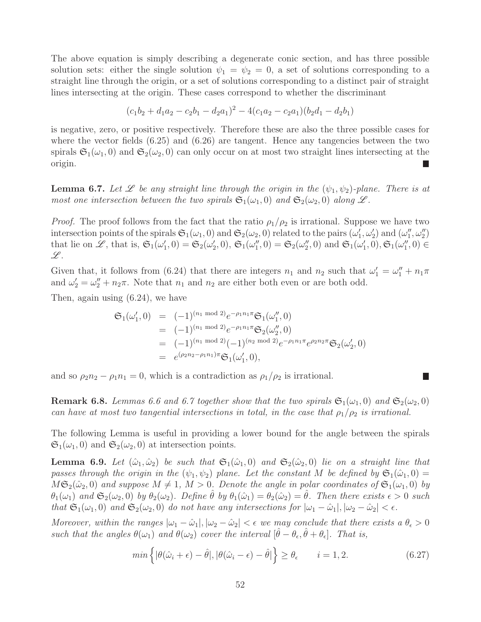The above equation is simply describing a degenerate conic section, and has three possible solution sets: either the single solution  $\psi_1 = \psi_2 = 0$ , a set of solutions corresponding to a straight line through the origin, or a set of solutions corresponding to a distinct pair of straight lines intersecting at the origin. These cases correspond to whether the discriminant

$$
(c_1b_2 + d_1a_2 - c_2b_1 - d_2a_1)^2 - 4(c_1a_2 - c_2a_1)(b_2d_1 - d_2b_1)
$$

is negative, zero, or positive respectively. Therefore these are also the three possible cases for where the vector fields  $(6.25)$  and  $(6.26)$  are tangent. Hence any tangencies between the two spirals  $\mathfrak{S}_1(\omega_1, 0)$  and  $\mathfrak{S}_2(\omega_2, 0)$  can only occur on at most two straight lines intersecting at the origin. П

**Lemma 6.7.** Let  $\mathscr L$  be any straight line through the origin in the  $(\psi_1, \psi_2)$ -plane. There is at most one intersection between the two spirals  $\mathfrak{S}_1(\omega_1,0)$  and  $\mathfrak{S}_2(\omega_2,0)$  along  $L$ .

*Proof.* The proof follows from the fact that the ratio  $\rho_1/\rho_2$  is irrational. Suppose we have two intersection points of the spirals  $\mathfrak{S}_1(\omega_1, 0)$  and  $\mathfrak{S}_2(\omega_2, 0)$  related to the pairs  $(\omega'_1, \omega'_2)$  and  $(\omega''_1, \omega''_2)$ that lie on L, that is,  $\mathfrak{S}_1(\omega'_1,0) = \mathfrak{S}_2(\omega'_2,0)$ ,  $\mathfrak{S}_1(\omega''_1,0) = \mathfrak{S}_2(\omega''_2,0)$  and  $\mathfrak{S}_1(\omega'_1,0)$ ,  $\mathfrak{S}_1(\omega''_1,0) \in$  $\mathscr L.$ 

Given that, it follows from (6.24) that there are integers  $n_1$  and  $n_2$  such that  $\omega'_1 = \omega''_1 + n_1 \pi$ and  $\omega'_2 = \omega''_2 + n_2\pi$ . Note that  $n_1$  and  $n_2$  are either both even or are both odd.

Then, again using (6.24), we have

$$
\mathfrak{S}_1(\omega'_1,0) = (-1)^{(n_1 \mod 2)} e^{-\rho_1 n_1 \pi} \mathfrak{S}_1(\omega''_1,0)
$$
  
\n
$$
= (-1)^{(n_1 \mod 2)} e^{-\rho_1 n_1 \pi} \mathfrak{S}_2(\omega''_2,0)
$$
  
\n
$$
= (-1)^{(n_1 \mod 2)} (-1)^{(n_2 \mod 2)} e^{-\rho_1 n_1 \pi} e^{\rho_2 n_2 \pi} \mathfrak{S}_2(\omega'_2,0)
$$
  
\n
$$
= e^{(\rho_2 n_2 - \rho_1 n_1) \pi} \mathfrak{S}_1(\omega'_1,0),
$$

and so  $\rho_2 n_2 - \rho_1 n_1 = 0$ , which is a contradiction as  $\rho_1/\rho_2$  is irrational.

**Remark 6.8.** Lemmas 6.6 and 6.7 together show that the two spirals  $\mathfrak{S}_1(\omega_1, 0)$  and  $\mathfrak{S}_2(\omega_2, 0)$ can have at most two tangential intersections in total, in the case that  $\rho_1/\rho_2$  is irrational.

The following Lemma is useful in providing a lower bound for the angle between the spirals  $\mathfrak{S}_1(\omega_1, 0)$  and  $\mathfrak{S}_2(\omega_2, 0)$  at intersection points.

**Lemma 6.9.** Let  $(\hat{\omega}_1, \hat{\omega}_2)$  be such that  $\mathfrak{S}_1(\hat{\omega}_1, 0)$  and  $\mathfrak{S}_2(\hat{\omega}_2, 0)$  lie on a straight line that passes through the origin in the  $(\psi_1, \psi_2)$  plane. Let the constant M be defined by  $\mathfrak{S}_1(\hat{\omega}_1, 0)$  $M\mathfrak{S}_2(\hat{\omega}_2, 0)$  and suppose  $M \neq 1, M > 0$ . Denote the angle in polar coordinates of  $\mathfrak{S}_1(\omega_1, 0)$  by  $\theta_1(\omega_1)$  and  $\mathfrak{S}_2(\omega_2,0)$  by  $\theta_2(\omega_2)$ . Define  $\theta$  by  $\theta_1(\hat{\omega}_1) = \theta_2(\hat{\omega}_2) = \theta$ . Then there exists  $\epsilon > 0$  such that  $\mathfrak{S}_1(\omega_1, 0)$  and  $\mathfrak{S}_2(\omega_2, 0)$  do not have any intersections for  $|\omega_1 - \hat{\omega}_1|, |\omega_2 - \hat{\omega}_2| < \epsilon$ .

Moreover, within the ranges  $|\omega_1 - \hat{\omega}_1|, |\omega_2 - \hat{\omega}_2| < \epsilon$  we may conclude that there exists a  $\theta_{\epsilon} > 0$ such that the angles  $\theta(\omega_1)$  and  $\theta(\omega_2)$  cover the interval  $[\hat{\theta} - \theta_{\epsilon}, \hat{\theta} + \theta_{\epsilon}]$ . That is,

$$
\min\left\{|\theta(\hat{\omega}_i+\epsilon)-\hat{\theta}|,|\theta(\hat{\omega}_i-\epsilon)-\hat{\theta}|\right\} \geq \theta_{\epsilon} \qquad i=1,2. \tag{6.27}
$$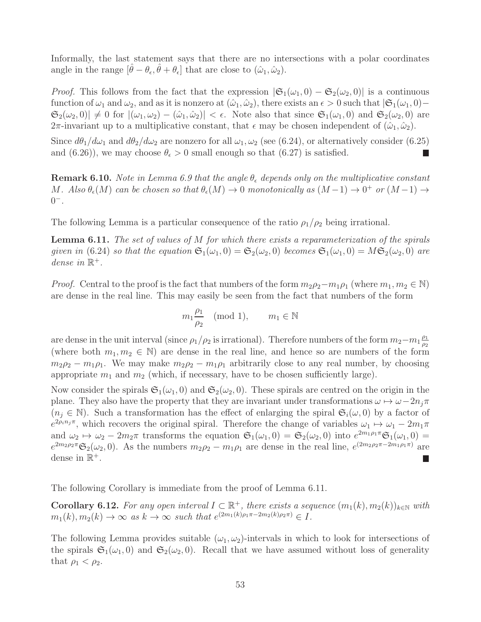Informally, the last statement says that there are no intersections with a polar coordinates angle in the range  $[\hat{\theta} - \theta_{\epsilon}, \hat{\theta} + \theta_{\epsilon}]$  that are close to  $(\hat{\omega}_1, \hat{\omega}_2)$ .

*Proof.* This follows from the fact that the expression  $|\mathfrak{S}_1(\omega_1, 0) - \mathfrak{S}_2(\omega_2, 0)|$  is a continuous function of  $\omega_1$  and  $\omega_2$ , and as it is nonzero at  $(\hat{\omega}_1, \hat{\omega}_2)$ , there exists an  $\epsilon > 0$  such that  $|\mathfrak{S}_1(\omega_1, 0)$  –  $\mathfrak{S}_2(\omega_2,0) \neq 0$  for  $|(\omega_1,\omega_2) - (\hat{\omega}_1,\hat{\omega}_2)| < \epsilon$ . Note also that since  $\mathfrak{S}_1(\omega_1,0)$  and  $\mathfrak{S}_2(\omega_2,0)$  are  $2\pi$ -invariant up to a multiplicative constant, that  $\epsilon$  may be chosen independent of  $(\hat{\omega}_1, \hat{\omega}_2)$ .

Since  $d\theta_1/d\omega_1$  and  $d\theta_2/d\omega_2$  are nonzero for all  $\omega_1, \omega_2$  (see (6.24), or alternatively consider (6.25) and (6.26)), we may choose  $\theta_{\epsilon} > 0$  small enough so that (6.27) is satisfied.

**Remark 6.10.** Note in Lemma 6.9 that the angle  $\theta_{\epsilon}$  depends only on the multiplicative constant M. Also  $\theta_{\epsilon}(M)$  can be chosen so that  $\theta_{\epsilon}(M) \to 0$  monotonically as  $(M-1) \to 0^+$  or  $(M-1) \to$  $0^{-}$ .

The following Lemma is a particular consequence of the ratio  $\rho_1/\rho_2$  being irrational.

**Lemma 6.11.** The set of values of M for which there exists a reparameterization of the spirals given in (6.24) so that the equation  $\mathfrak{S}_1(\omega_1, 0) = \mathfrak{S}_2(\omega_2, 0)$  becomes  $\mathfrak{S}_1(\omega_1, 0) = M\mathfrak{S}_2(\omega_2, 0)$  are dense in  $\mathbb{R}^+.$ 

*Proof.* Central to the proof is the fact that numbers of the form  $m_2\rho_2 - m_1\rho_1$  (where  $m_1, m_2 \in \mathbb{N}$ ) are dense in the real line. This may easily be seen from the fact that numbers of the form

$$
m_1 \frac{\rho_1}{\rho_2}
$$
 (mod 1),  $m_1 \in \mathbb{N}$ 

are dense in the unit interval (since  $\rho_1/\rho_2$  is irrational). Therefore numbers of the form  $m_2-m_1\frac{\rho_1}{\rho_2}$  $\rho_2$ (where both  $m_1, m_2 \in \mathbb{N}$ ) are dense in the real line, and hence so are numbers of the form  $m_2\rho_2 - m_1\rho_1$ . We may make  $m_2\rho_2 - m_1\rho_1$  arbitrarily close to any real number, by choosing appropriate  $m_1$  and  $m_2$  (which, if necessary, have to be chosen sufficiently large).

Now consider the spirals  $\mathfrak{S}_1(\omega_1, 0)$  and  $\mathfrak{S}_2(\omega_2, 0)$ . These spirals are centred on the origin in the plane. They also have the property that they are invariant under transformations  $\omega \mapsto \omega - 2n_i\pi$  $(n_i \in \mathbb{N})$ . Such a transformation has the effect of enlarging the spiral  $\mathfrak{S}_i(\omega, 0)$  by a factor of  $e^{2\rho_i n_j \pi}$ , which recovers the original spiral. Therefore the change of variables  $\omega_1 \mapsto \omega_1 - 2m_1 \pi$ and  $\omega_2 \mapsto \omega_2 - 2m_2\pi$  transforms the equation  $\mathfrak{S}_1(\omega_1, 0) = \mathfrak{S}_2(\omega_2, 0)$  into  $e^{2m_1\rho_1\pi} \mathfrak{S}_1(\omega_1, 0) =$  $e^{2m_2\rho_2\pi} \mathfrak{S}_2(\omega_2,0)$ . As the numbers  $m_2\rho_2 - m_1\rho_1$  are dense in the real line,  $e^{(2m_2\rho_2\pi - 2m_1\rho_1\pi)}$  are dense in  $\mathbb{R}^+$ . L

The following Corollary is immediate from the proof of Lemma 6.11.

**Corollary 6.12.** For any open interval  $I \subset \mathbb{R}^+$ , there exists a sequence  $(m_1(k), m_2(k))_{k \in \mathbb{N}}$  with  $m_1(k), m_2(k) \to \infty$  as  $k \to \infty$  such that  $e^{(2m_1(k)\rho_1 \pi - 2m_2(k)\rho_2 \pi)} \in I$ .

The following Lemma provides suitable  $(\omega_1, \omega_2)$ -intervals in which to look for intersections of the spirals  $\mathfrak{S}_1(\omega_1, 0)$  and  $\mathfrak{S}_2(\omega_2, 0)$ . Recall that we have assumed without loss of generality that  $\rho_1 < \rho_2$ .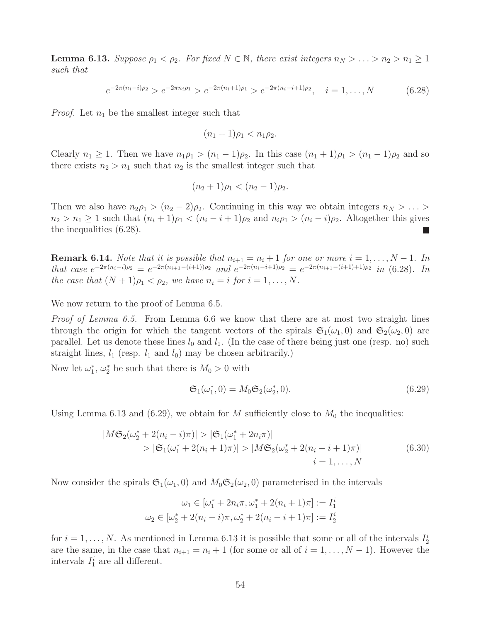**Lemma 6.13.** Suppose  $\rho_1 < \rho_2$ . For fixed  $N \in \mathbb{N}$ , there exist integers  $n_N > \ldots > n_2 > n_1 \geq 1$ such that

$$
e^{-2\pi(n_i-i)\rho_2} > e^{-2\pi n_i \rho_1} > e^{-2\pi(n_i+1)\rho_1} > e^{-2\pi(n_i-i+1)\rho_2}, \quad i = 1, \dots, N
$$
 (6.28)

*Proof.* Let  $n_1$  be the smallest integer such that

$$
(n_1+1)\rho_1 < n_1\rho_2.
$$

Clearly  $n_1 \geq 1$ . Then we have  $n_1 \rho_1 > (n_1 - 1)\rho_2$ . In this case  $(n_1 + 1)\rho_1 > (n_1 - 1)\rho_2$  and so there exists  $n_2 > n_1$  such that  $n_2$  is the smallest integer such that

$$
(n_2+1)\rho_1 < (n_2-1)\rho_2.
$$

Then we also have  $n_2\rho_1 > (n_2 - 2)\rho_2$ . Continuing in this way we obtain integers  $n_N > \ldots >$  $n_2 > n_1 \geq 1$  such that  $(n_i + 1)\rho_1 < (n_i - i + 1)\rho_2$  and  $n_i \rho_1 > (n_i - i)\rho_2$ . Altogether this gives the inequalities (6.28). L.

**Remark 6.14.** Note that it is possible that  $n_{i+1} = n_i + 1$  for one or more  $i = 1, ..., N - 1$ . In that case  $e^{-2\pi(n_i-i)\rho_2} = e^{-2\pi(n_{i+1}-(i+1))\rho_2}$  and  $e^{-2\pi(n_i-i+1)\rho_2} = e^{-2\pi(n_{i+1}-(i+1)+1)\rho_2}$  in (6.28). In the case that  $(N + 1)\rho_1 < \rho_2$ , we have  $n_i = i$  for  $i = 1, ..., N$ .

We now return to the proof of Lemma 6.5.

Proof of Lemma 6.5. From Lemma 6.6 we know that there are at most two straight lines through the origin for which the tangent vectors of the spirals  $\mathfrak{S}_1(\omega_1, 0)$  and  $\mathfrak{S}_2(\omega_2, 0)$  are parallel. Let us denote these lines  $l_0$  and  $l_1$ . (In the case of there being just one (resp. no) such straight lines,  $l_1$  (resp.  $l_1$  and  $l_0$ ) may be chosen arbitrarily.)

Now let  $\omega_1^*$ ,  $\omega_2^*$  be such that there is  $M_0 > 0$  with

$$
\mathfrak{S}_1(\omega_1^*, 0) = M_0 \mathfrak{S}_2(\omega_2^*, 0). \tag{6.29}
$$

Using Lemma 6.13 and (6.29), we obtain for M sufficiently close to  $M_0$  the inequalities:

$$
|M\mathfrak{S}_2(\omega_2^* + 2(n_i - i)\pi)| > |\mathfrak{S}_1(\omega_1^* + 2n_i\pi)|
$$
  
>  $|\mathfrak{S}_1(\omega_1^* + 2(n_i + 1)\pi)| > |M\mathfrak{S}_2(\omega_2^* + 2(n_i - i + 1)\pi)|$   
 $i = 1,..., N$  (6.30)

Now consider the spirals  $\mathfrak{S}_1(\omega_1, 0)$  and  $M_0\mathfrak{S}_2(\omega_2, 0)$  parameterised in the intervals

$$
\omega_1 \in [\omega_1^* + 2n_i\pi, \omega_1^* + 2(n_i + 1)\pi] := I_1^i
$$
  

$$
\omega_2 \in [\omega_2^* + 2(n_i - i)\pi, \omega_2^* + 2(n_i - i + 1)\pi] := I_2^i
$$

for  $i = 1, \ldots, N$ . As mentioned in Lemma 6.13 it is possible that some or all of the intervals  $I_2^i$ are the same, in the case that  $n_{i+1} = n_i + 1$  (for some or all of  $i = 1, ..., N - 1$ ). However the intervals  $I_1^i$  are all different.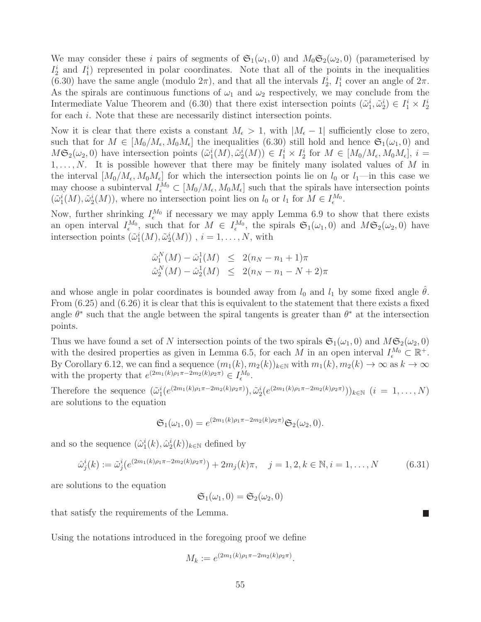We may consider these i pairs of segments of  $\mathfrak{S}_1(\omega_1, 0)$  and  $M_0\mathfrak{S}_2(\omega_2, 0)$  (parameterised by  $I_2^i$  and  $I_1^i$ ) represented in polar coordinates. Note that all of the points in the inequalities (6.30) have the same angle (modulo  $2\pi$ ), and that all the intervals  $I_2^i$ ,  $I_1^i$  cover an angle of  $2\pi$ . As the spirals are continuous functions of  $\omega_1$  and  $\omega_2$  respectively, we may conclude from the Intermediate Value Theorem and (6.30) that there exist intersection points  $(\tilde{\omega}_1^i, \tilde{\omega}_2^i) \in I_1^i \times I_2^i$ for each *i*. Note that these are necessarily distinct intersection points.

Now it is clear that there exists a constant  $M_{\epsilon} > 1$ , with  $|M_{\epsilon} - 1|$  sufficiently close to zero, such that for  $M \in [M_0/M_\epsilon, M_0M_\epsilon]$  the inequalities (6.30) still hold and hence  $\mathfrak{S}_1(\omega_1, 0)$  and  $M\mathfrak{S}_2(\omega_2,0)$  have intersection points  $(\tilde{\omega}_1^i(M), \tilde{\omega}_2^i(M)) \in I_1^i \times I_2^i$  for  $M \in [M_0/M_\epsilon, M_0M_\epsilon], i =$  $1, \ldots, N$ . It is possible however that there may be finitely many isolated values of M in the interval  $[M_0/M_\epsilon, M_0M_\epsilon]$  for which the intersection points lie on  $l_0$  or  $l_1$ —in this case we may choose a subinterval  $I_{\epsilon}^{M_0} \subset [M_0/M_{\epsilon}, M_0M_{\epsilon}]$  such that the spirals have intersection points  $(\tilde{\omega}_1^i(M), \tilde{\omega}_2^i(M))$ , where no intersection point lies on  $l_0$  or  $l_1$  for  $M \in I_{\epsilon}^{M_0}$ .

Now, further shrinking  $I_{\epsilon}^{M_0}$  if necessary we may apply Lemma 6.9 to show that there exists an open interval  $I_{\epsilon}^{M_0}$ , such that for  $M \in I_{\epsilon}^{M_0}$ , the spirals  $\mathfrak{S}_1(\omega_1,0)$  and  $M\mathfrak{S}_2(\omega_2,0)$  have intersection points  $(\tilde{\omega}_1^i(M), \tilde{\omega}_2^i(M))$ ,  $i = 1, ..., N$ , with

$$
\hat{\omega}_1^N(M) - \hat{\omega}_1^1(M) \le 2(n_N - n_1 + 1)\pi
$$
  

$$
\hat{\omega}_2^N(M) - \hat{\omega}_2^1(M) \le 2(n_N - n_1 - N + 2)\pi
$$

and whose angle in polar coordinates is bounded away from  $l_0$  and  $l_1$  by some fixed angle  $\theta$ . From (6.25) and (6.26) it is clear that this is equivalent to the statement that there exists a fixed angle  $\theta^*$  such that the angle between the spiral tangents is greater than  $\theta^*$  at the intersection points.

Thus we have found a set of N intersection points of the two spirals  $\mathfrak{S}_1(\omega_1, 0)$  and  $M\mathfrak{S}_2(\omega_2, 0)$ with the desired properties as given in Lemma 6.5, for each M in an open interval  $I_{\epsilon}^{M_0} \subset \mathbb{R}^+$ . By Corollary 6.12, we can find a sequence  $(m_1(k), m_2(k))_{k\in\mathbb{N}}$  with  $m_1(k), m_2(k) \to \infty$  as  $k \to \infty$ with the property that  $e^{(2m_1(k)\rho_1\pi - 2m_2(k)\rho_2\pi)} \in I_{\epsilon}^{M_0}$ .

Therefore the sequence  $(\tilde{\omega}_1^i(e^{(2m_1(k)\rho_1\pi-2m_2(k)\rho_2\pi)}), \tilde{\omega}_2^i(e^{(2m_1(k)\rho_1\pi-2m_2(k)\rho_2\pi)}))_{k\in\mathbb{N}}$   $(i = 1, ..., N)$ are solutions to the equation

$$
\mathfrak{S}_1(\omega_1,0) = e^{(2m_1(k)\rho_1\pi - 2m_2(k)\rho_2\pi)} \mathfrak{S}_2(\omega_2,0).
$$

and so the sequence  $(\hat{\omega}_1^i(k), \hat{\omega}_2^i(k))_{k \in \mathbb{N}}$  defined by

$$
\hat{\omega}_j^i(k) := \tilde{\omega}_j^i(e^{(2m_1(k)\rho_1 \pi - 2m_2(k)\rho_2 \pi)}) + 2m_j(k)\pi, \quad j = 1, 2, k \in \mathbb{N}, i = 1, \dots, N
$$
 (6.31)

are solutions to the equation

$$
\mathfrak{S}_1(\omega_1,0)=\mathfrak{S}_2(\omega_2,0)
$$

that satisfy the requirements of the Lemma.

Using the notations introduced in the foregoing proof we define

$$
M_k := e^{(2m_1(k)\rho_1\pi - 2m_2(k)\rho_2\pi)}.
$$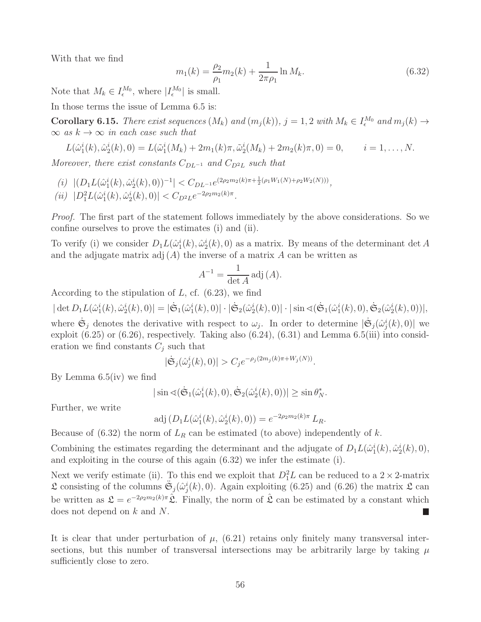With that we find

$$
m_1(k) = \frac{\rho_2}{\rho_1} m_2(k) + \frac{1}{2\pi \rho_1} \ln M_k.
$$
\n(6.32)

Note that  $M_k \in I_{\epsilon}^{M_0}$ , where  $|I_{\epsilon}^{M_0}|$  is small.

In those terms the issue of Lemma 6.5 is:

**Corollary 6.15.** There exist sequences  $(M_k)$  and  $(m_j(k)), j = 1, 2$  with  $M_k \in I_{\epsilon}^{M_0}$  and  $m_j(k) \to I_{\epsilon}^{M_0}$  $\infty$  as  $k \to \infty$  in each case such that

$$
L(\hat{\omega}_1^i(k), \hat{\omega}_2^i(k), 0) = L(\tilde{\omega}_1^i(M_k) + 2m_1(k)\pi, \tilde{\omega}_2^i(M_k) + 2m_2(k)\pi, 0) = 0, \qquad i = 1, \dots, N.
$$

Moreover, there exist constants  $C_{DL^{-1}}$  and  $C_{D^2L}$  such that

(i)  $|(D_1L(\hat{\omega}_1^i(k),\hat{\omega}_2^i(k),0))^{-1}| < C_{DL^{-1}}e^{(2\rho_2m_2(k)\pi+\frac{1}{2}(\rho_1W_1(N)+\rho_2W_2(N)))},$  $(iii) |D_1^2L(\hat{\omega}_1^i(k),\hat{\omega}_2^i(k),0)| < C_{D^2L}e^{-2\rho_2m_2(k)\pi}.$ 

Proof. The first part of the statement follows immediately by the above considerations. So we confine ourselves to prove the estimates (i) and (ii).

To verify (i) we consider  $D_1L(\hat{\omega}_1^i(k), \hat{\omega}_2^i(k), 0)$  as a matrix. By means of the determinant det A and the adjugate matrix  $adj(A)$  the inverse of a matrix A can be written as

$$
A^{-1} = \frac{1}{\det A} \operatorname{adj}(A).
$$

According to the stipulation of  $L$ , cf.  $(6.23)$ , we find

 $|\det D_1 L(\hat{\omega}_1^i(k), \hat{\omega}_2^i(k), 0)| = |\dot{\mathfrak{S}}_1(\hat{\omega}_1^i(k), 0)| \cdot |\dot{\mathfrak{S}}_2(\hat{\omega}_2^i(k), 0)| \cdot |\sin \sphericalangle (\dot{\mathfrak{S}}_1(\hat{\omega}_1^i(k), 0), \dot{\mathfrak{S}}_2(\hat{\omega}_2^i(k), 0))|,$ where  $\dot{\mathfrak{S}}_j$  denotes the derivative with respect to  $\omega_j$ . In order to determine  $|\dot{\mathfrak{S}}_j(\hat{\omega}_j^i(k),0)|$  we exploit (6.25) or (6.26), respectively. Taking also (6.24), (6.31) and Lemma 6.5(iii) into consideration we find constants  $C_j$  such that

$$
|\tilde{\mathfrak{S}}_j(\hat{\omega}_j^i(k),0)|>C_j e^{-\rho_j(2m_j(k)\pi+W_j(N))}.
$$

By Lemma 6.5(iv) we find

$$
|\sin \sphericalangle(\dot{\mathfrak{S}}_1(\hat{\omega}_1^i(k),0),\dot{\mathfrak{S}}_2(\hat{\omega}_2^i(k),0))| \geq \sin \theta_N^*.
$$

Further, we write

adj 
$$
(D_1L(\hat{\omega}_1^i(k), \hat{\omega}_2^i(k), 0)) = e^{-2\rho_2 m_2(k)\pi} L_R
$$
.

Because of (6.32) the norm of  $L_R$  can be estimated (to above) independently of k.

Combining the estimates regarding the determinant and the adjugate of  $D_1L(\hat{\omega}_1^i(k), \hat{\omega}_2^i(k), 0)$ , and exploiting in the course of this again (6.32) we infer the estimate (i).

Next we verify estimate (ii). To this end we exploit that  $D_1^2L$  can be reduced to a  $2 \times 2$ -matrix  $\mathfrak{L}$  consisting of the columns  $\ddot{\mathfrak{S}}_j(\hat{\omega}_j^i(k),0)$ . Again exploiting (6.25) and (6.26) the matrix  $\mathfrak{L}$  can be written as  $\mathfrak{L} = e^{-2\rho_2 m_2(k)\pi} \hat{\mathfrak{L}}$ . Finally, the norm of  $\hat{\mathfrak{L}}$  can be estimated by a constant which does not depend on k and N. П

It is clear that under perturbation of  $\mu$ , (6.21) retains only finitely many transversal intersections, but this number of transversal intersections may be arbitrarily large by taking  $\mu$ sufficiently close to zero.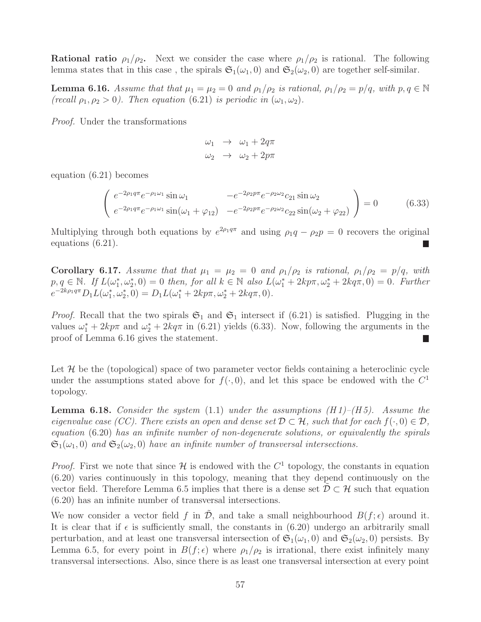**Rational ratio**  $\rho_1/\rho_2$ . Next we consider the case where  $\rho_1/\rho_2$  is rational. The following lemma states that in this case, the spirals  $\mathfrak{S}_1(\omega_1, 0)$  and  $\mathfrak{S}_2(\omega_2, 0)$  are together self-similar.

**Lemma 6.16.** Assume that that  $\mu_1 = \mu_2 = 0$  and  $\rho_1/\rho_2$  is rational,  $\rho_1/\rho_2 = p/q$ , with  $p, q \in \mathbb{N}$ (recall  $\rho_1, \rho_2 > 0$ ). Then equation (6.21) is periodic in  $(\omega_1, \omega_2)$ .

Proof. Under the transformations

$$
\begin{array}{rcl}\n\omega_1 & \to & \omega_1 + 2q\pi \\
\omega_2 & \to & \omega_2 + 2p\pi\n\end{array}
$$

equation (6.21) becomes

$$
\begin{pmatrix} e^{-2\rho_1 q \pi} e^{-\rho_1 \omega_1} \sin \omega_1 & -e^{-2\rho_2 p \pi} e^{-\rho_2 \omega_2} c_{21} \sin \omega_2 \\ e^{-2\rho_1 q \pi} e^{-\rho_1 \omega_1} \sin(\omega_1 + \varphi_{12}) & -e^{-2\rho_2 p \pi} e^{-\rho_2 \omega_2} c_{22} \sin(\omega_2 + \varphi_{22}) \end{pmatrix} = 0 \quad (6.33)
$$

Multiplying through both equations by  $e^{2\rho_1 q \pi}$  and using  $\rho_1 q - \rho_2 p = 0$  recovers the original equations (6.21).

Corollary 6.17. Assume that that  $\mu_1 = \mu_2 = 0$  and  $\rho_1/\rho_2$  is rational,  $\rho_1/\rho_2 = p/q$ , with  $p, q \in \mathbb{N}$ . If  $L(\omega_1^*, \omega_2^*, 0) = 0$  then, for all  $k \in \mathbb{N}$  also  $L(\omega_1^* + 2k p \pi, \omega_2^* + 2k q \pi, 0) = 0$ . Further  $e^{-2k\rho_1 q \pi} D_1 L(\omega_1^*, \omega_2^*, 0) = D_1 L(\omega_1^* + 2k p \pi, \omega_2^* + 2k q \pi, 0).$ 

*Proof.* Recall that the two spirals  $\mathfrak{S}_1$  and  $\mathfrak{S}_1$  intersect if (6.21) is satisfied. Plugging in the values  $\omega_1^* + 2k\pi$  and  $\omega_2^* + 2k\pi$  in (6.21) yields (6.33). Now, following the arguments in the proof of Lemma 6.16 gives the statement. L

Let  $\mathcal H$  be the (topological) space of two parameter vector fields containing a heteroclinic cycle under the assumptions stated above for  $f(\cdot, 0)$ , and let this space be endowed with the  $C<sup>1</sup>$ topology.

**Lemma 6.18.** Consider the system  $(1.1)$  under the assumptions  $(H1)-(H5)$ . Assume the eigenvalue case (CC). There exists an open and dense set  $\mathcal{D} \subset \mathcal{H}$ , such that for each  $f(\cdot, 0) \in \mathcal{D}$ , equation (6.20) has an infinite number of non-degenerate solutions, or equivalently the spirals  $\mathfrak{S}_1(\omega_1,0)$  and  $\mathfrak{S}_2(\omega_2,0)$  have an infinite number of transversal intersections.

*Proof.* First we note that since  $\mathcal{H}$  is endowed with the  $C^1$  topology, the constants in equation (6.20) varies continuously in this topology, meaning that they depend continuously on the vector field. Therefore Lemma 6.5 implies that there is a dense set  $D \subset \mathcal{H}$  such that equation (6.20) has an infinite number of transversal intersections.

We now consider a vector field f in  $\mathcal{D}$ , and take a small neighbourhood  $B(f; \epsilon)$  around it. It is clear that if  $\epsilon$  is sufficiently small, the constants in (6.20) undergo an arbitrarily small perturbation, and at least one transversal intersection of  $\mathfrak{S}_1(\omega_1, 0)$  and  $\mathfrak{S}_2(\omega_2, 0)$  persists. By Lemma 6.5, for every point in  $B(f; \epsilon)$  where  $\rho_1/\rho_2$  is irrational, there exist infinitely many transversal intersections. Also, since there is as least one transversal intersection at every point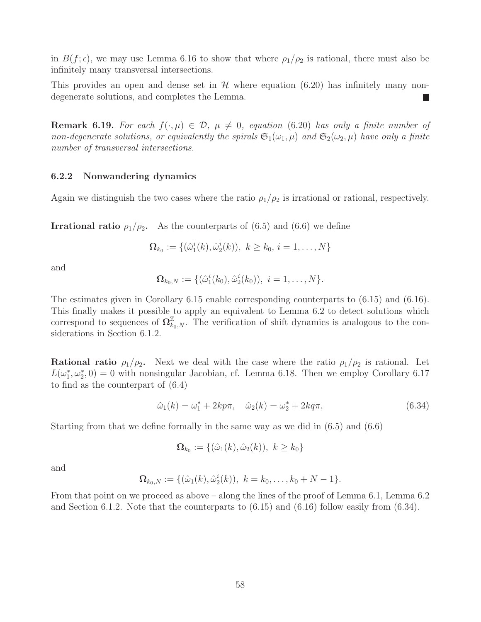in  $B(f; \epsilon)$ , we may use Lemma 6.16 to show that where  $\rho_1/\rho_2$  is rational, there must also be infinitely many transversal intersections.

This provides an open and dense set in  $H$  where equation (6.20) has infinitely many nondegenerate solutions, and completes the Lemma. П

**Remark 6.19.** For each  $f(\cdot,\mu) \in \mathcal{D}$ ,  $\mu \neq 0$ , equation (6.20) has only a finite number of non-degenerate solutions, or equivalently the spirals  $\mathfrak{S}_1(\omega_1,\mu)$  and  $\mathfrak{S}_2(\omega_2,\mu)$  have only a finite number of transversal intersections.

#### 6.2.2 Nonwandering dynamics

Again we distinguish the two cases where the ratio  $\rho_1/\rho_2$  is irrational or rational, respectively.

**Irrational ratio**  $\rho_1/\rho_2$ . As the counterparts of (6.5) and (6.6) we define

$$
\mathbf{\Omega}_{k_0} := \{ (\hat{\omega}_1^i(k), \hat{\omega}_2^i(k)), \ k \ge k_0, i = 1, \dots, N \}
$$

and

$$
\Omega_{k_0,N} := \{(\hat{\omega}_1^i(k_0), \hat{\omega}_2^i(k_0)), i = 1, \ldots, N\}.
$$

The estimates given in Corollary 6.15 enable corresponding counterparts to (6.15) and (6.16). This finally makes it possible to apply an equivalent to Lemma 6.2 to detect solutions which correspond to sequences of  $\Omega_{k_0,N}^{\mathbb{Z}}$ . The verification of shift dynamics is analogous to the considerations in Section 6.1.2.

**Rational ratio**  $\rho_1/\rho_2$ . Next we deal with the case where the ratio  $\rho_1/\rho_2$  is rational. Let  $L(\omega_1^*, \omega_2^*, 0) = 0$  with nonsingular Jacobian, cf. Lemma 6.18. Then we employ Corollary 6.17 to find as the counterpart of (6.4)

$$
\hat{\omega}_1(k) = \omega_1^* + 2kp\pi, \quad \hat{\omega}_2(k) = \omega_2^* + 2kq\pi,
$$
\n(6.34)

Starting from that we define formally in the same way as we did in (6.5) and (6.6)

$$
\Omega_{k_0} := \{(\hat{\omega}_1(k), \hat{\omega}_2(k)), k \ge k_0\}
$$

and

$$
\mathbf{\Omega}_{k_0,N} := \{(\hat{\omega}_1(k), \hat{\omega}_2^i(k)), \ k = k_0, \ldots, k_0 + N - 1\}.
$$

From that point on we proceed as above – along the lines of the proof of Lemma 6.1, Lemma 6.2 and Section 6.1.2. Note that the counterparts to  $(6.15)$  and  $(6.16)$  follow easily from  $(6.34)$ .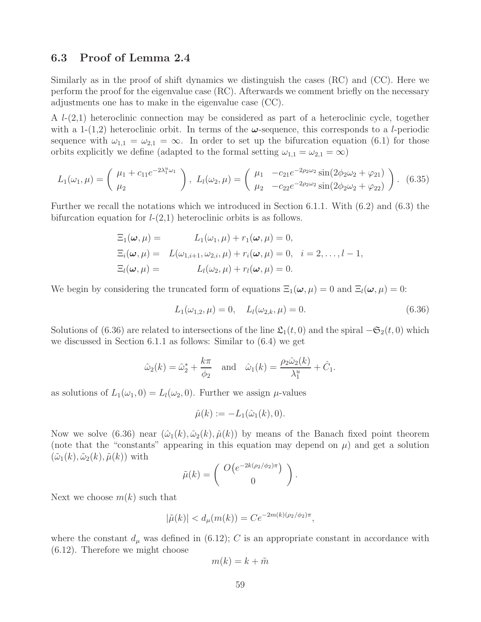### 6.3 Proof of Lemma 2.4

Similarly as in the proof of shift dynamics we distinguish the cases (RC) and (CC). Here we perform the proof for the eigenvalue case (RC). Afterwards we comment briefly on the necessary adjustments one has to make in the eigenvalue case (CC).

A  $l-(2,1)$  heteroclinic connection may be considered as part of a heteroclinic cycle, together with a 1-(1,2) heteroclinic orbit. In terms of the  $\omega$ -sequence, this corresponds to a *l*-periodic sequence with  $\omega_{1,1} = \omega_{2,1} = \infty$ . In order to set up the bifurcation equation (6.1) for those orbits explicitly we define (adapted to the formal setting  $\omega_{1,1} = \omega_{2,1} = \infty$ )

$$
L_1(\omega_1, \mu) = \begin{pmatrix} \mu_1 + c_{11}e^{-2\lambda_1^2 \omega_1} \\ \mu_2 \end{pmatrix}, L_l(\omega_2, \mu) = \begin{pmatrix} \mu_1 & -c_{21}e^{-2\rho_2\omega_2}\sin(2\phi_2\omega_2 + \varphi_{21}) \\ \mu_2 & -c_{22}e^{-2\rho_2\omega_2}\sin(2\phi_2\omega_2 + \varphi_{22}) \end{pmatrix}.
$$
 (6.35)

Further we recall the notations which we introduced in Section 6.1.1. With (6.2) and (6.3) the bifurcation equation for  $l-(2,1)$  heteroclinic orbits is as follows.

$$
\begin{aligned}\n\Xi_1(\boldsymbol{\omega}, \mu) &= L_1(\omega_1, \mu) + r_1(\boldsymbol{\omega}, \mu) = 0, \\
\Xi_i(\boldsymbol{\omega}, \mu) &= L(\omega_{1,i+1}, \omega_{2,i}, \mu) + r_i(\boldsymbol{\omega}, \mu) = 0, \quad i = 2, \dots, l-1, \\
\Xi_l(\boldsymbol{\omega}, \mu) &= L_l(\omega_2, \mu) + r_l(\boldsymbol{\omega}, \mu) = 0.\n\end{aligned}
$$

We begin by considering the truncated form of equations  $\Xi_1(\omega,\mu) = 0$  and  $\Xi_l(\omega,\mu) = 0$ :

$$
L_1(\omega_{1,2}, \mu) = 0, \quad L_l(\omega_{2,k}, \mu) = 0.
$$
\n(6.36)

Solutions of (6.36) are related to intersections of the line  $\mathfrak{L}_1(t,0)$  and the spiral  $-\mathfrak{S}_2(t,0)$  which we discussed in Section 6.1.1 as follows: Similar to (6.4) we get

$$
\hat{\omega}_2(k) = \hat{\omega}_2^* + \frac{k\pi}{\phi_2}
$$
 and  $\hat{\omega}_1(k) = \frac{\rho_2 \hat{\omega}_2(k)}{\lambda_1^u} + \hat{C}_1.$ 

as solutions of  $L_1(\omega_1, 0) = L_1(\omega_2, 0)$ . Further we assign  $\mu$ -values

$$
\hat{\mu}(k) := -L_1(\hat{\omega}_1(k), 0).
$$

Now we solve (6.36) near  $(\hat{\omega}_1(k), \hat{\omega}_2(k), \hat{\mu}(k))$  by means of the Banach fixed point theorem (note that the "constants" appearing in this equation may depend on  $\mu$ ) and get a solution  $(\tilde{\omega}_1(k), \tilde{\omega}_2(k), \tilde{\mu}(k))$  with

$$
\tilde{\mu}(k) = \begin{pmatrix} O\big(e^{-2k(\rho_2/\phi_2)\pi}\big) \\ 0 \end{pmatrix}.
$$

Next we choose  $m(k)$  such that

$$
|\tilde{\mu}(k)| < d_{\mu}(m(k)) = Ce^{-2m(k)(\rho_2/\phi_2)\pi},
$$

where the constant  $d_{\mu}$  was defined in (6.12); C is an appropriate constant in accordance with (6.12). Therefore we might choose

$$
m(k) = k + \tilde{m}
$$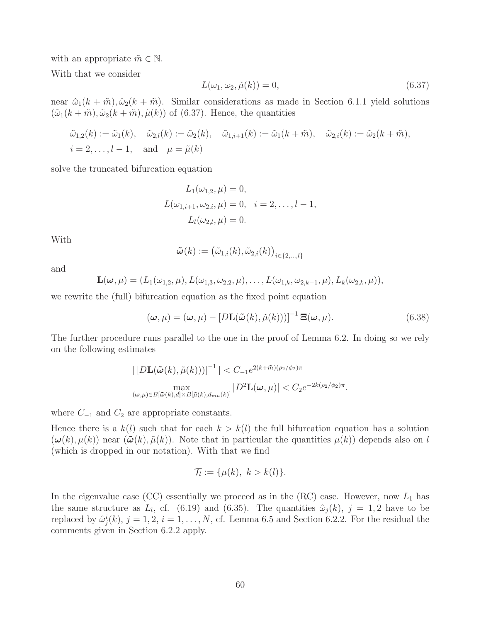with an appropriate  $\tilde{m} \in \mathbb{N}$ .

With that we consider

$$
L(\omega_1, \omega_2, \tilde{\mu}(k)) = 0,\tag{6.37}
$$

near  $\hat{\omega}_1(k + \tilde{m}), \hat{\omega}_2(k + \tilde{m})$ . Similar considerations as made in Section 6.1.1 yield solutions  $(\tilde{\omega}_1(k + \tilde{m}), \tilde{\omega}_2(k + \tilde{m}), \tilde{\mu}(k))$  of (6.37). Hence, the quantities

$$
\tilde{\omega}_{1,2}(k) := \tilde{\omega}_1(k), \quad \tilde{\omega}_{2,l}(k) := \tilde{\omega}_2(k), \quad \tilde{\omega}_{1,i+1}(k) := \tilde{\omega}_1(k + \tilde{m}), \quad \tilde{\omega}_{2,i}(k) := \tilde{\omega}_2(k + \tilde{m}),
$$
  
 $i = 2, \dots, l-1, \quad \text{and} \quad \mu = \tilde{\mu}(k)$ 

solve the truncated bifurcation equation

$$
L_1(\omega_{1,2}, \mu) = 0,
$$
  
\n
$$
L(\omega_{1,i+1}, \omega_{2,i}, \mu) = 0, \quad i = 2, ..., l-1,
$$
  
\n
$$
L_l(\omega_{2,l}, \mu) = 0.
$$

With

$$
\tilde{\boldsymbol{\omega}}(k) := \big(\tilde{\omega}_{1,i}(k), \tilde{\omega}_{2,i}(k)\big)_{i \in \{2,\ldots,l\}}
$$

and

$$
\mathbf{L}(\boldsymbol{\omega},\mu)=(L_1(\omega_{1,2},\mu),L(\omega_{1,3},\omega_{2,2},\mu),\ldots,L(\omega_{1,k},\omega_{2,k-1},\mu),L_k(\omega_{2,k},\mu)),
$$

we rewrite the (full) bifurcation equation as the fixed point equation

$$
(\boldsymbol{\omega}, \mu) = (\boldsymbol{\omega}, \mu) - [D\mathbf{L}(\tilde{\boldsymbol{\omega}}(k), \tilde{\mu}(k)))]^{-1} \mathbf{\Xi}(\boldsymbol{\omega}, \mu).
$$
 (6.38)

The further procedure runs parallel to the one in the proof of Lemma 6.2. In doing so we rely on the following estimates

$$
\left| \left[ D \mathbf{L}(\tilde{\boldsymbol{\omega}}(k), \tilde{\mu}(k))) \right]^{-1} \right| < C_{-1} e^{2(k + \tilde{m})(\rho_2/\phi_2)\pi}
$$
\n
$$
\max_{(\boldsymbol{\omega}, \mu) \in B[\tilde{\boldsymbol{\omega}}(k), d] \times B[\tilde{\mu}(k), d_{mu}(k)]} |D^2 \mathbf{L}(\boldsymbol{\omega}, \mu)| < C_2 e^{-2k(\rho_2/\phi_2)\pi}.
$$

where  $C_{-1}$  and  $C_2$  are appropriate constants.

Hence there is a  $k(l)$  such that for each  $k > k(l)$  the full bifurcation equation has a solution  $(\boldsymbol{\omega}(k), \mu(k))$  near  $(\boldsymbol{\tilde{\omega}}(k), \tilde{\mu}(k))$ . Note that in particular the quantities  $\mu(k)$  depends also on l (which is dropped in our notation). With that we find

$$
\mathcal{T}_l := \{\mu(k), \ k > k(l)\}.
$$

In the eigenvalue case (CC) essentially we proceed as in the (RC) case. However, now  $L_1$  has the same structure as  $L_l$ , cf. (6.19) and (6.35). The quantities  $\hat{\omega}_j(k)$ ,  $j = 1, 2$  have to be replaced by  $\hat{\omega}_j^i(k)$ ,  $j = 1, 2, i = 1, ..., N$ , cf. Lemma 6.5 and Section 6.2.2. For the residual the comments given in Section 6.2.2 apply.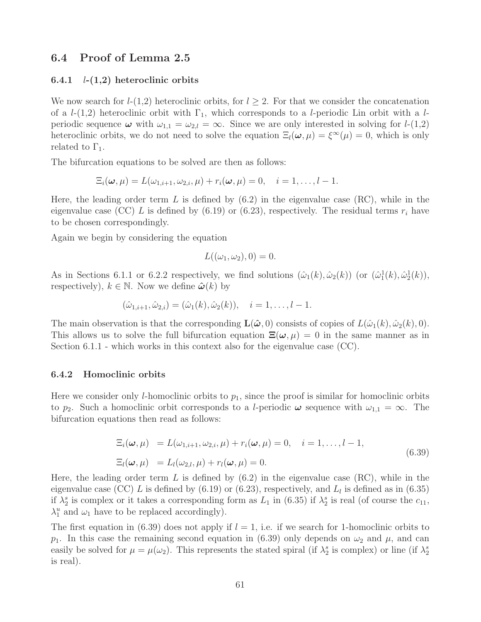### 6.4 Proof of Lemma 2.5

#### 6.4.1  $l-(1,2)$  heteroclinic orbits

We now search for  $l-(1,2)$  heteroclinic orbits, for  $l \geq 2$ . For that we consider the concatenation of a  $l-(1,2)$  heteroclinic orbit with  $\Gamma_1$ , which corresponds to a *l*-periodic Lin orbit with a *l*periodic sequence  $\omega$  with  $\omega_{1,1} = \omega_{2,l} = \infty$ . Since we are only interested in solving for  $l$ -(1,2) heteroclinic orbits, we do not need to solve the equation  $\Xi_l(\omega, \mu) = \xi^{\infty}(\mu) = 0$ , which is only related to  $\Gamma_1$ .

The bifurcation equations to be solved are then as follows:

$$
\Xi_i(\boldsymbol{\omega},\mu)=L(\omega_{1,i+1},\omega_{2,i},\mu)+r_i(\boldsymbol{\omega},\mu)=0,\quad i=1,\ldots,l-1.
$$

Here, the leading order term L is defined by  $(6.2)$  in the eigenvalue case  $(RC)$ , while in the eigenvalue case (CC) L is defined by (6.19) or (6.23), respectively. The residual terms  $r_i$  have to be chosen correspondingly.

Again we begin by considering the equation

$$
L((\omega_1, \omega_2), 0) = 0.
$$

As in Sections 6.1.1 or 6.2.2 respectively, we find solutions  $(\hat{\omega}_1(k), \hat{\omega}_2(k))$  (or  $(\hat{\omega}_1^1(k), \hat{\omega}_2^1(k))$ ), respectively),  $k \in \mathbb{N}$ . Now we define  $\hat{\boldsymbol{\omega}}(k)$  by

$$
(\hat{\omega}_{1,i+1}, \hat{\omega}_{2,i}) = (\hat{\omega}_1(k), \hat{\omega}_2(k)), \quad i = 1, \dots, l-1.
$$

The main observation is that the corresponding  $\mathbf{L}(\hat{\boldsymbol{\omega}},0)$  consists of copies of  $L(\hat{\omega}_1(k), \hat{\omega}_2(k), 0)$ . This allows us to solve the full bifurcation equation  $\Xi(\omega,\mu) = 0$  in the same manner as in Section 6.1.1 - which works in this context also for the eigenvalue case (CC).

#### 6.4.2 Homoclinic orbits

Here we consider only *l*-homoclinic orbits to  $p_1$ , since the proof is similar for homoclinic orbits to  $p_2$ . Such a homoclinic orbit corresponds to a *l*-periodic  $\omega$  sequence with  $\omega_{1,1} = \infty$ . The bifurcation equations then read as follows:

$$
\begin{aligned} \Xi_i(\boldsymbol{\omega}, \mu) &= L(\omega_{1,i+1}, \omega_{2,i}, \mu) + r_i(\boldsymbol{\omega}, \mu) = 0, \quad i = 1, \dots, l-1, \\ \Xi_l(\boldsymbol{\omega}, \mu) &= L_l(\omega_{2,l}, \mu) + r_l(\boldsymbol{\omega}, \mu) = 0. \end{aligned} \tag{6.39}
$$

Here, the leading order term L is defined by  $(6.2)$  in the eigenvalue case  $(RC)$ , while in the eigenvalue case (CC) L is defined by  $(6.19)$  or  $(6.23)$ , respectively, and  $L_l$  is defined as in  $(6.35)$ if  $\lambda_2^s$  is complex or it takes a corresponding form as  $L_1$  in (6.35) if  $\lambda_2^s$  is real (of course the  $c_{11}$ ,  $\lambda_1^u$  and  $\omega_1$  have to be replaced accordingly).

The first equation in (6.39) does not apply if  $l = 1$ , i.e. if we search for 1-homoclinic orbits to  $p_1$ . In this case the remaining second equation in (6.39) only depends on  $\omega_2$  and  $\mu$ , and can easily be solved for  $\mu = \mu(\omega_2)$ . This represents the stated spiral (if  $\lambda_2^s$  is complex) or line (if  $\lambda_2^s$ ) is real).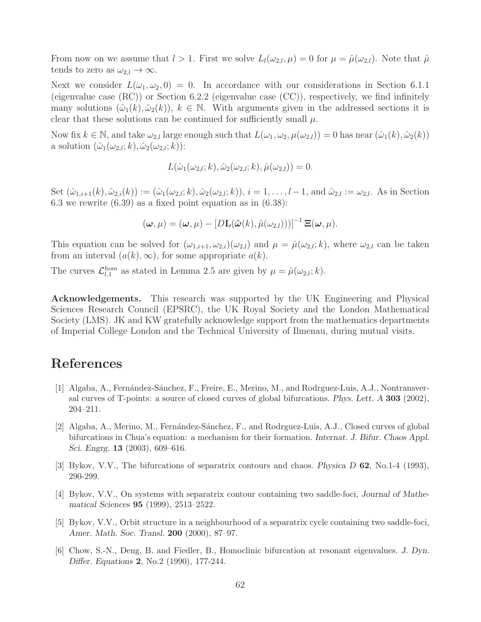From now on we assume that  $l > 1$ . First we solve  $L_l(\omega_{2,l}, \mu) = 0$  for  $\mu = \hat{\mu}(\omega_{2,l})$ . Note that  $\hat{\mu}$ tends to zero as  $\omega_{2,l} \to \infty$ .

Next we consider  $L(\omega_1, \omega_2, 0) = 0$ . In accordance with our considerations in Section 6.1.1 (eigenvalue case (RC)) or Section 6.2.2 (eigenvalue case (CC)), respectively, we find infinitely many solutions  $(\hat{\omega}_1(k), \hat{\omega}_2(k)), k \in \mathbb{N}$ . With arguments given in the addressed sections it is clear that these solutions can be continued for sufficiently small  $\mu$ .

Now fix  $k \in \mathbb{N}$ , and take  $\omega_{2,l}$  large enough such that  $L(\omega_1, \omega_2, \mu(\omega_{2,l})) = 0$  has near  $(\hat{\omega}_1(k), \hat{\omega}_2(k))$ a solution  $(\hat{\omega}_1(\omega_{2,l}; k), \hat{\omega}_2(\omega_{2,l}; k))$ :

$$
L(\hat{\omega}_1(\omega_{2,l};k),\hat{\omega}_2(\omega_{2,l};k),\hat{\mu}(\omega_{2,l}))=0.
$$

Set  $(\hat{\omega}_{1,i+1}(k), \hat{\omega}_{2,i}(k)) := (\hat{\omega}_1(\omega_{2,l}; k), \hat{\omega}_2(\omega_{2,l}; k)), i = 1, \ldots, l-1$ , and  $\hat{\omega}_{2,l} := \omega_{2,l}$ . As in Section 6.3 we rewrite  $(6.39)$  as a fixed point equation as in  $(6.38)$ :

$$
(\boldsymbol{\omega}, \mu) = (\boldsymbol{\omega}, \mu) - [D\mathbf{L}(\hat{\boldsymbol{\omega}}(k), \hat{\mu}(\omega_{2,l})))]^{-1} \mathbf{\Xi}(\boldsymbol{\omega}, \mu).
$$

This equation can be solved for  $(\omega_{1,i+1}, \omega_{2,i})(\omega_{2,i})$  and  $\mu = \hat{\mu}(\omega_{2,i}; k)$ , where  $\omega_{2,i}$  can be taken from an interval  $(a(k), \infty)$ , for some appropriate  $a(k)$ .

The curves  $\mathcal{L}_{l,1}^{hom}$  as stated in Lemma 2.5 are given by  $\mu = \hat{\mu}(\omega_{2,l}; k)$ .

Acknowledgements. This research was supported by the UK Engineering and Physical Sciences Research Council (EPSRC), the UK Royal Society and the London Mathematical Society (LMS). JK and KW gratefully acknowledge support from the mathematics departments of Imperial College London and the Technical University of Ilmenau, during mutual visits.

## References

- [1] Algaba, A., Fernández-Sánchez, F., Freire, E., Merino, M., and Rodrguez-Luis, A.J., Nontransversal curves of T-points: a source of closed curves of global bifurcations. Phys. Lett. A 303 (2002), 204–211.
- [2] Algaba, A., Merino, M., Fernández-Sánchez, F., and Rodrguez-Luis, A.J., Closed curves of global bifurcations in Chua's equation: a mechanism for their formation. Internat. J. Bifur. Chaos Appl. Sci. Engrg. 13 (2003), 609–616.
- [3] Bykov, V.V., The bifurcations of separatrix contours and chaos. Physica D 62, No.1-4 (1993), 290-299.
- [4] Bykov, V.V., On systems with separatrix contour containing two saddle-foci, Journal of Mathematical Sciences 95 (1999), 2513–2522.
- [5] Bykov, V.V., Orbit structure in a neighbourhood of a separatrix cycle containing two saddle-foci, Amer. Math. Soc. Transl. 200 (2000), 87–97.
- [6] Chow, S.-N., Deng, B. and Fiedler, B., Homoclinic bifurcation at resonant eigenvalues. J. Dyn. Differ. Equations 2, No.2 (1990), 177-244.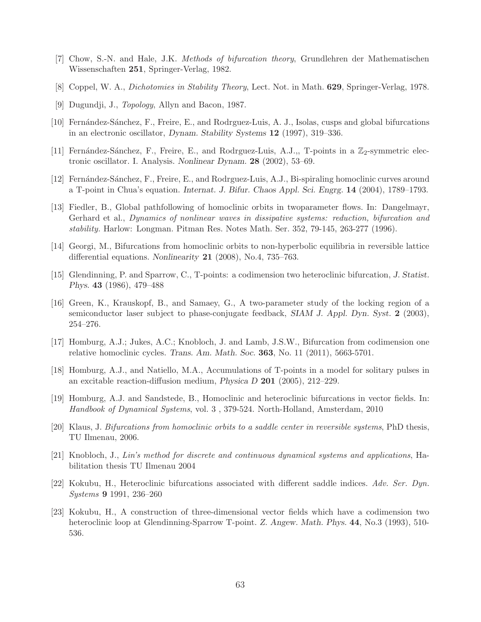- [7] Chow, S.-N. and Hale, J.K. Methods of bifurcation theory, Grundlehren der Mathematischen Wissenschaften 251, Springer-Verlag, 1982.
- [8] Coppel, W. A., Dichotomies in Stability Theory, Lect. Not. in Math. 629, Springer-Verlag, 1978.
- [9] Dugundji, J., Topology, Allyn and Bacon, 1987.
- [10] Fern´andez-S´anchez, F., Freire, E., and Rodrguez-Luis, A. J., Isolas, cusps and global bifurcations in an electronic oscillator, Dynam. Stability Systems 12 (1997), 319–336.
- [11] Fernández-Sánchez, F., Freire, E., and Rodrguez-Luis, A.J.,, T-points in a  $\mathbb{Z}_2$ -symmetric electronic oscillator. I. Analysis. Nonlinear Dynam. 28 (2002), 53–69.
- [12] Fernández-Sánchez, F., Freire, E., and Rodrguez-Luis, A.J., Bi-spiraling homoclinic curves around a T-point in Chua's equation. Internat. J. Bifur. Chaos Appl. Sci. Engrg. 14 (2004), 1789–1793.
- [13] Fiedler, B., Global pathfollowing of homoclinic orbits in twoparameter flows. In: Dangelmayr, Gerhard et al., Dynamics of nonlinear waves in dissipative systems: reduction, bifurcation and stability. Harlow: Longman. Pitman Res. Notes Math. Ser. 352, 79-145, 263-277 (1996).
- [14] Georgi, M., Bifurcations from homoclinic orbits to non-hyperbolic equilibria in reversible lattice differential equations. Nonlinearity 21 (2008), No.4, 735–763.
- [15] Glendinning, P. and Sparrow, C., T-points: a codimension two heteroclinic bifurcation, J. Statist. Phys. 43 (1986), 479–488
- [16] Green, K., Krauskopf, B., and Samaey, G., A two-parameter study of the locking region of a semiconductor laser subject to phase-conjugate feedback, SIAM J. Appl. Dyn. Syst. 2 (2003), 254–276.
- [17] Homburg, A.J.; Jukes, A.C.; Knobloch, J. and Lamb, J.S.W., Bifurcation from codimension one relative homoclinic cycles. Trans. Am. Math. Soc.  $363$ , No. 11 (2011), 5663-5701.
- [18] Homburg, A.J., and Natiello, M.A., Accumulations of T-points in a model for solitary pulses in an excitable reaction-diffusion medium, *Physica D* 201 (2005), 212–229.
- [19] Homburg, A.J. and Sandstede, B., Homoclinic and heteroclinic bifurcations in vector fields. In: Handbook of Dynamical Systems, vol. 3 , 379-524. North-Holland, Amsterdam, 2010
- [20] Klaus, J. Bifurcations from homoclinic orbits to a saddle center in reversible systems, PhD thesis, TU Ilmenau, 2006.
- [21] Knobloch, J., Lin's method for discrete and continuous dynamical systems and applications, Habilitation thesis TU Ilmenau 2004
- [22] Kokubu, H., Heteroclinic bifurcations associated with different saddle indices. Adv. Ser. Dyn. Systems 9 1991, 236–260
- [23] Kokubu, H., A construction of three-dimensional vector fields which have a codimension two heteroclinic loop at Glendinning-Sparrow T-point. Z. Angew. Math. Phys. 44, No.3 (1993), 510-536.